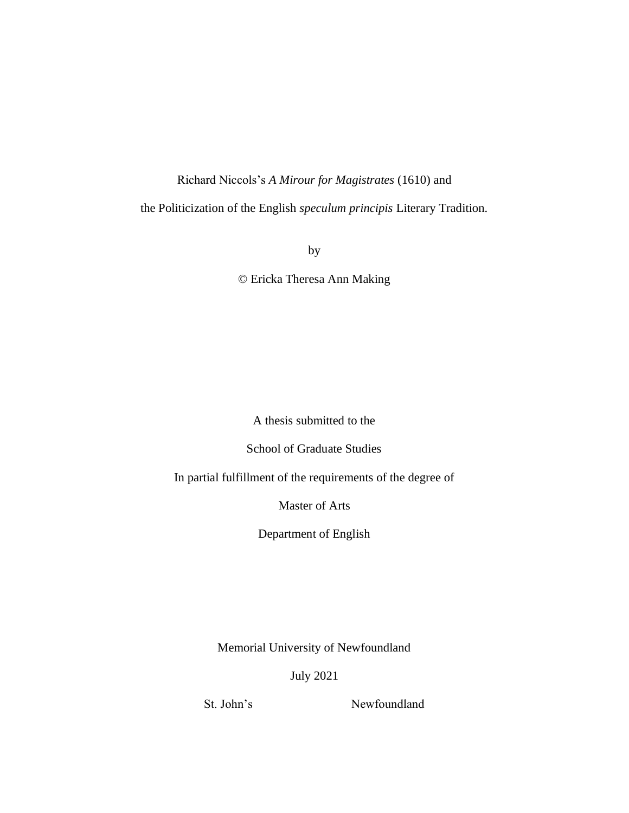## Richard Niccols's *A Mirour for Magistrates* (1610) and

the Politicization of the English *speculum principis* Literary Tradition.

by

© Ericka Theresa Ann Making

A thesis submitted to the

School of Graduate Studies

In partial fulfillment of the requirements of the degree of

Master of Arts

Department of English

Memorial University of Newfoundland

July 2021

St. John's Newfoundland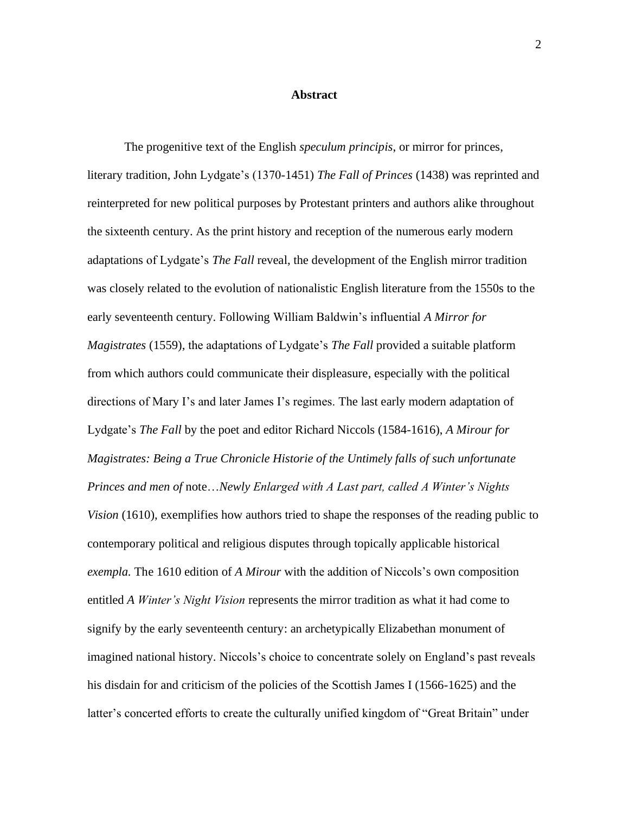#### **Abstract**

The progenitive text of the English *speculum principis*, or mirror for princes, literary tradition, John Lydgate's (1370-1451) *The Fall of Princes* (1438) was reprinted and reinterpreted for new political purposes by Protestant printers and authors alike throughout the sixteenth century. As the print history and reception of the numerous early modern adaptations of Lydgate's *The Fall* reveal, the development of the English mirror tradition was closely related to the evolution of nationalistic English literature from the 1550s to the early seventeenth century. Following William Baldwin's influential *A Mirror for Magistrates* (1559), the adaptations of Lydgate's *The Fall* provided a suitable platform from which authors could communicate their displeasure, especially with the political directions of Mary I's and later James I's regimes. The last early modern adaptation of Lydgate's *The Fall* by the poet and editor Richard Niccols (1584-1616), *A Mirour for Magistrates: Being a True Chronicle Historie of the Untimely falls of such unfortunate Princes and men of* note…*Newly Enlarged with A Last part, called A Winter's Nights Vision* (1610), exemplifies how authors tried to shape the responses of the reading public to contemporary political and religious disputes through topically applicable historical *exempla.* The 1610 edition of *A Mirour* with the addition of Niccols's own composition entitled *A Winter's Night Vision* represents the mirror tradition as what it had come to signify by the early seventeenth century: an archetypically Elizabethan monument of imagined national history. Niccols's choice to concentrate solely on England's past reveals his disdain for and criticism of the policies of the Scottish James I (1566-1625) and the latter's concerted efforts to create the culturally unified kingdom of "Great Britain" under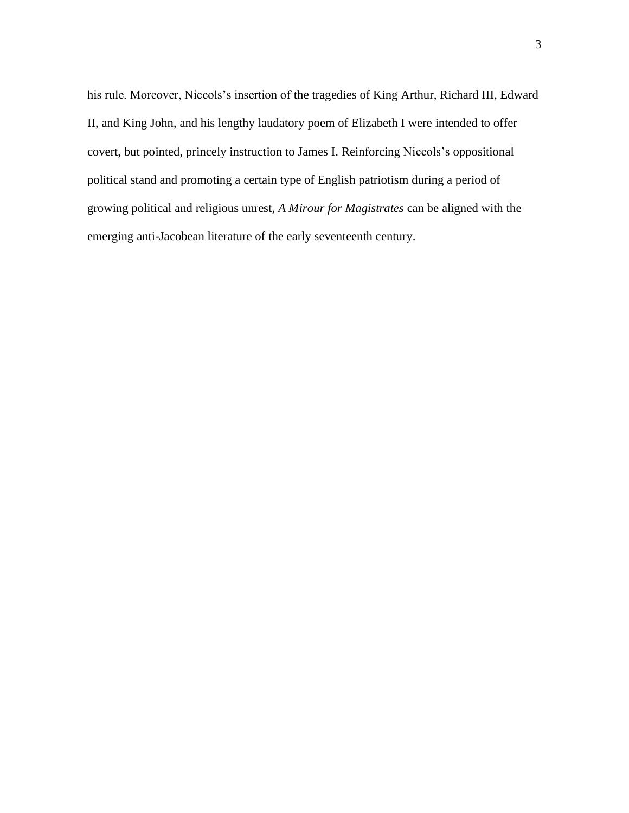his rule. Moreover, Niccols's insertion of the tragedies of King Arthur, Richard III, Edward II, and King John, and his lengthy laudatory poem of Elizabeth I were intended to offer covert, but pointed, princely instruction to James I. Reinforcing Niccols's oppositional political stand and promoting a certain type of English patriotism during a period of growing political and religious unrest, *A Mirour for Magistrates* can be aligned with the emerging anti-Jacobean literature of the early seventeenth century.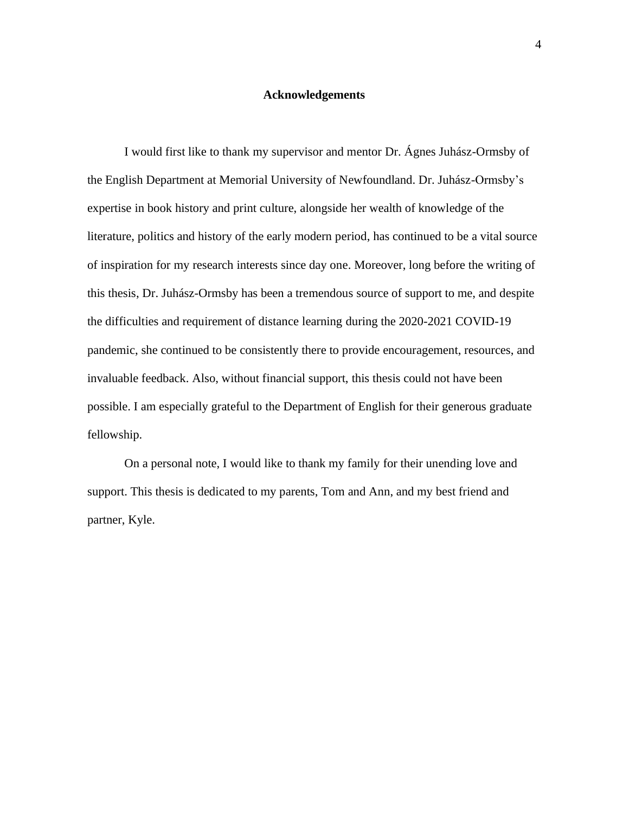### **Acknowledgements**

I would first like to thank my supervisor and mentor Dr. Ágnes Juhász-Ormsby of the English Department at Memorial University of Newfoundland. Dr. Juhász-Ormsby's expertise in book history and print culture, alongside her wealth of knowledge of the literature, politics and history of the early modern period, has continued to be a vital source of inspiration for my research interests since day one. Moreover, long before the writing of this thesis, Dr. Juhász-Ormsby has been a tremendous source of support to me, and despite the difficulties and requirement of distance learning during the 2020-2021 COVID-19 pandemic, she continued to be consistently there to provide encouragement, resources, and invaluable feedback. Also, without financial support, this thesis could not have been possible. I am especially grateful to the Department of English for their generous graduate fellowship.

On a personal note, I would like to thank my family for their unending love and support. This thesis is dedicated to my parents, Tom and Ann, and my best friend and partner, Kyle.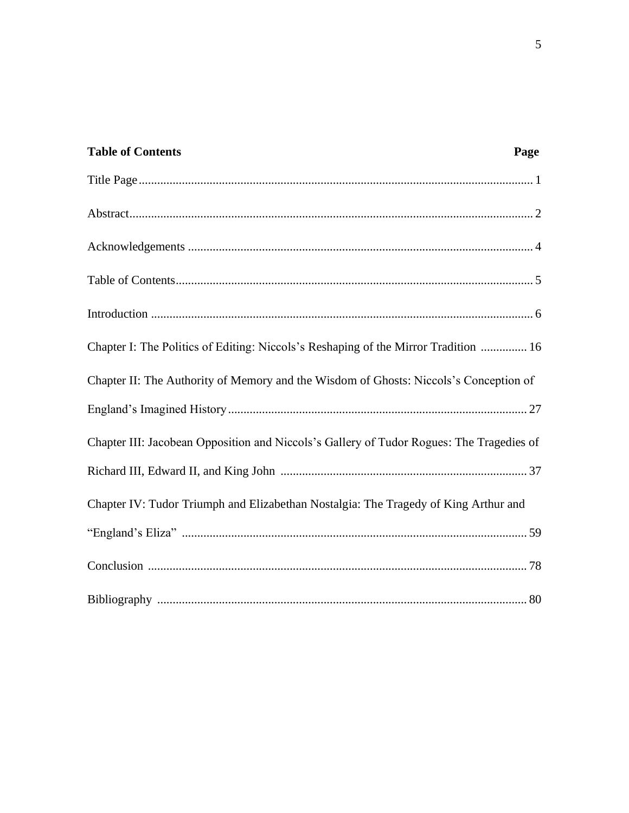| <b>Table of Contents</b>                                                                 | Page |
|------------------------------------------------------------------------------------------|------|
|                                                                                          |      |
|                                                                                          |      |
|                                                                                          |      |
|                                                                                          |      |
|                                                                                          |      |
| Chapter I: The Politics of Editing: Niccols's Reshaping of the Mirror Tradition  16      |      |
| Chapter II: The Authority of Memory and the Wisdom of Ghosts: Niccols's Conception of    |      |
|                                                                                          |      |
| Chapter III: Jacobean Opposition and Niccols's Gallery of Tudor Rogues: The Tragedies of |      |
|                                                                                          |      |
| Chapter IV: Tudor Triumph and Elizabethan Nostalgia: The Tragedy of King Arthur and      |      |
|                                                                                          |      |
|                                                                                          |      |
|                                                                                          |      |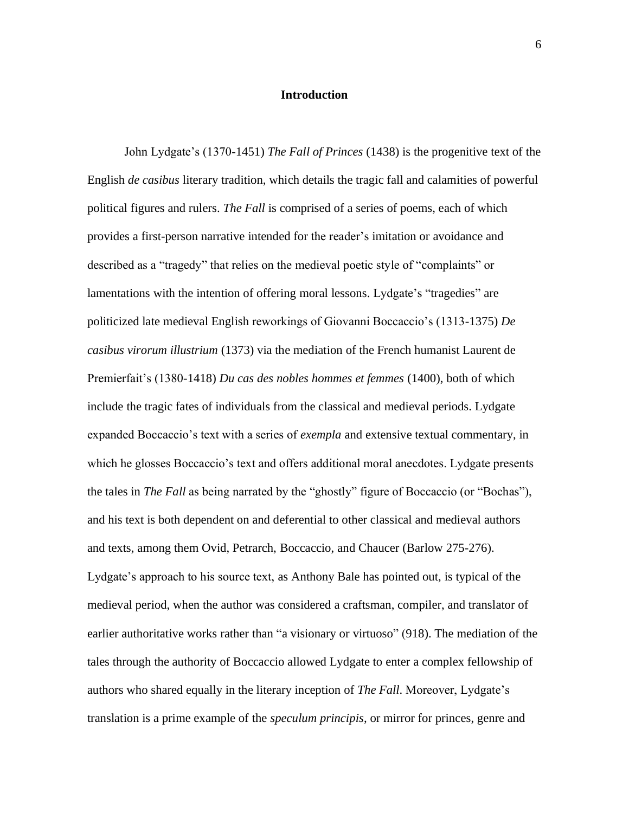#### **Introduction**

John Lydgate's (1370-1451) *The Fall of Princes* (1438) is the progenitive text of the English *de casibus* literary tradition, which details the tragic fall and calamities of powerful political figures and rulers. *The Fall* is comprised of a series of poems, each of which provides a first-person narrative intended for the reader's imitation or avoidance and described as a "tragedy" that relies on the medieval poetic style of "complaints" or lamentations with the intention of offering moral lessons. Lydgate's "tragedies" are politicized late medieval English reworkings of Giovanni Boccaccio's (1313-1375) *De casibus virorum illustrium* (1373) via the mediation of the French humanist Laurent de Premierfait's (1380-1418) *Du cas des nobles hommes et femmes* (1400), both of which include the tragic fates of individuals from the classical and medieval periods. Lydgate expanded Boccaccio's text with a series of *exempla* and extensive textual commentary, in which he glosses Boccaccio's text and offers additional moral anecdotes. Lydgate presents the tales in *The Fall* as being narrated by the "ghostly" figure of Boccaccio (or "Bochas"), and his text is both dependent on and deferential to other classical and medieval authors and texts, among them Ovid, Petrarch, Boccaccio, and Chaucer (Barlow 275-276). Lydgate's approach to his source text, as Anthony Bale has pointed out, is typical of the medieval period, when the author was considered a craftsman, compiler, and translator of earlier authoritative works rather than "a visionary or virtuoso" (918). The mediation of the tales through the authority of Boccaccio allowed Lydgate to enter a complex fellowship of authors who shared equally in the literary inception of *The Fall*. Moreover, Lydgate's translation is a prime example of the *speculum principis*, or mirror for princes, genre and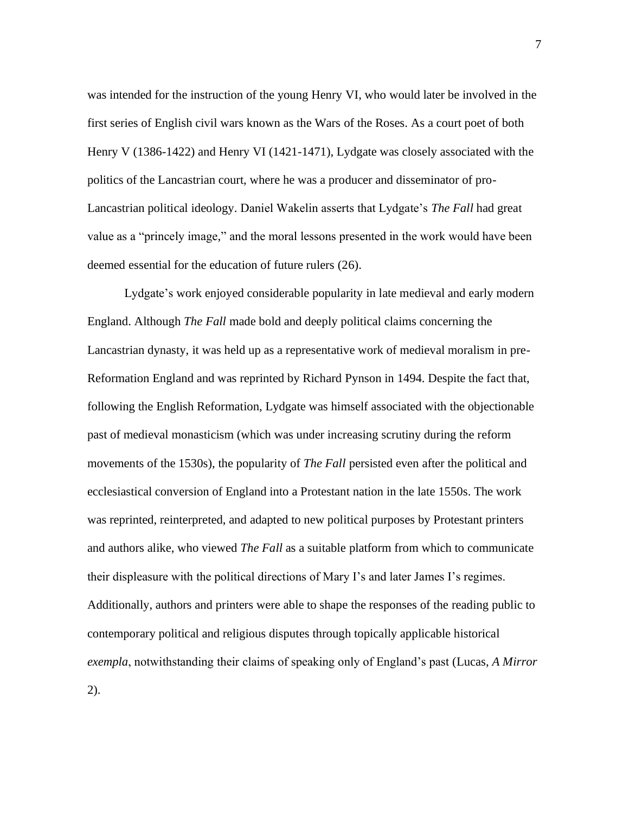was intended for the instruction of the young Henry VI, who would later be involved in the first series of English civil wars known as the Wars of the Roses. As a court poet of both Henry V (1386-1422) and Henry VI (1421-1471), Lydgate was closely associated with the politics of the Lancastrian court, where he was a producer and disseminator of pro-Lancastrian political ideology. Daniel Wakelin asserts that Lydgate's *The Fall* had great value as a "princely image," and the moral lessons presented in the work would have been deemed essential for the education of future rulers (26).

Lydgate's work enjoyed considerable popularity in late medieval and early modern England. Although *The Fall* made bold and deeply political claims concerning the Lancastrian dynasty, it was held up as a representative work of medieval moralism in pre-Reformation England and was reprinted by Richard Pynson in 1494. Despite the fact that, following the English Reformation, Lydgate was himself associated with the objectionable past of medieval monasticism (which was under increasing scrutiny during the reform movements of the 1530s), the popularity of *The Fall* persisted even after the political and ecclesiastical conversion of England into a Protestant nation in the late 1550s. The work was reprinted, reinterpreted, and adapted to new political purposes by Protestant printers and authors alike, who viewed *The Fall* as a suitable platform from which to communicate their displeasure with the political directions of Mary I's and later James I's regimes. Additionally, authors and printers were able to shape the responses of the reading public to contemporary political and religious disputes through topically applicable historical *exempla*, notwithstanding their claims of speaking only of England's past (Lucas, *A Mirror* 2).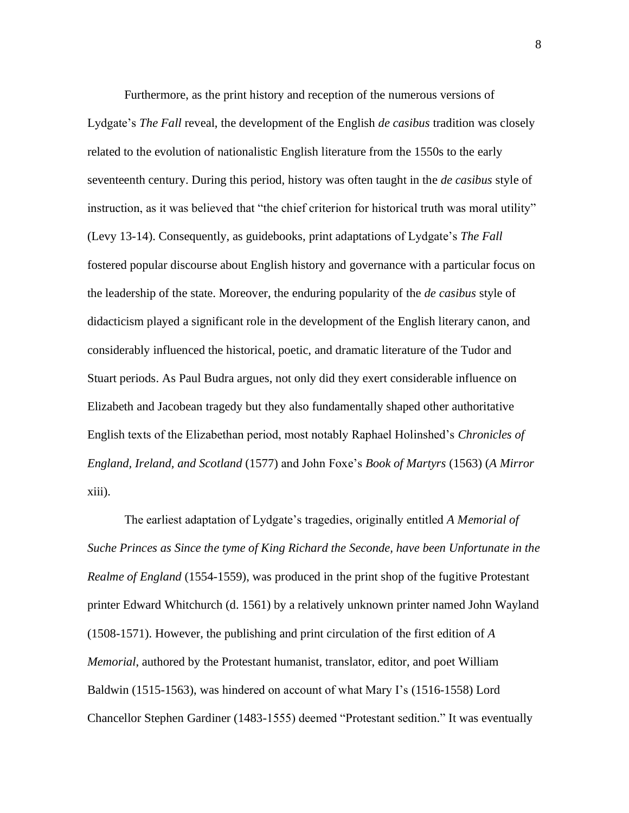Furthermore, as the print history and reception of the numerous versions of Lydgate's *The Fall* reveal, the development of the English *de casibus* tradition was closely related to the evolution of nationalistic English literature from the 1550s to the early seventeenth century. During this period, history was often taught in the *de casibus* style of instruction, as it was believed that "the chief criterion for historical truth was moral utility" (Levy 13-14). Consequently, as guidebooks, print adaptations of Lydgate's *The Fall* fostered popular discourse about English history and governance with a particular focus on the leadership of the state. Moreover, the enduring popularity of the *de casibus* style of didacticism played a significant role in the development of the English literary canon, and considerably influenced the historical, poetic, and dramatic literature of the Tudor and Stuart periods. As Paul Budra argues, not only did they exert considerable influence on Elizabeth and Jacobean tragedy but they also fundamentally shaped other authoritative English texts of the Elizabethan period, most notably Raphael Holinshed's *Chronicles of England, Ireland, and Scotland* (1577) and John Foxe's *Book of Martyrs* (1563) (*A Mirror* xiii).

The earliest adaptation of Lydgate's tragedies, originally entitled *A Memorial of Suche Princes as Since the tyme of King Richard the Seconde, have been Unfortunate in the Realme of England* (1554-1559), was produced in the print shop of the fugitive Protestant printer Edward Whitchurch (d. 1561) by a relatively unknown printer named John Wayland (1508-1571). However, the publishing and print circulation of the first edition of *A Memorial*, authored by the Protestant humanist, translator, editor, and poet William Baldwin (1515-1563), was hindered on account of what Mary I's (1516-1558) Lord Chancellor Stephen Gardiner (1483-1555) deemed "Protestant sedition." It was eventually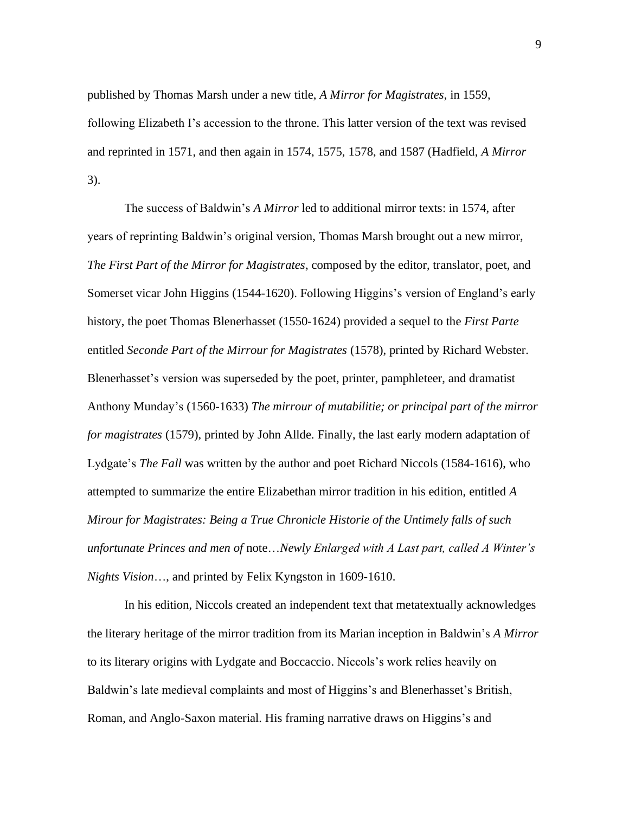published by Thomas Marsh under a new title, *A Mirror for Magistrates*, in 1559, following Elizabeth I's accession to the throne. This latter version of the text was revised and reprinted in 1571, and then again in 1574, 1575, 1578, and 1587 (Hadfield, *A Mirror* 3).

The success of Baldwin's *A Mirror* led to additional mirror texts: in 1574, after years of reprinting Baldwin's original version, Thomas Marsh brought out a new mirror, *The First Part of the Mirror for Magistrates*, composed by the editor, translator, poet, and Somerset vicar John Higgins (1544-1620). Following Higgins's version of England's early history, the poet Thomas Blenerhasset (1550-1624) provided a sequel to the *First Parte* entitled *Seconde Part of the Mirrour for Magistrates* (1578), printed by Richard Webster. Blenerhasset's version was superseded by the poet, printer, pamphleteer, and dramatist Anthony Munday's (1560-1633) *The mirrour of mutabilitie; or principal part of the mirror for magistrates* (1579), printed by John Allde. Finally, the last early modern adaptation of Lydgate's *The Fall* was written by the author and poet Richard Niccols (1584-1616), who attempted to summarize the entire Elizabethan mirror tradition in his edition, entitled *A Mirour for Magistrates: Being a True Chronicle Historie of the Untimely falls of such unfortunate Princes and men of* note…*Newly Enlarged with A Last part, called A Winter's Nights Vision*…, and printed by Felix Kyngston in 1609-1610.

In his edition, Niccols created an independent text that metatextually acknowledges the literary heritage of the mirror tradition from its Marian inception in Baldwin's *A Mirror* to its literary origins with Lydgate and Boccaccio. Niccols's work relies heavily on Baldwin's late medieval complaints and most of Higgins's and Blenerhasset's British, Roman, and Anglo-Saxon material. His framing narrative draws on Higgins's and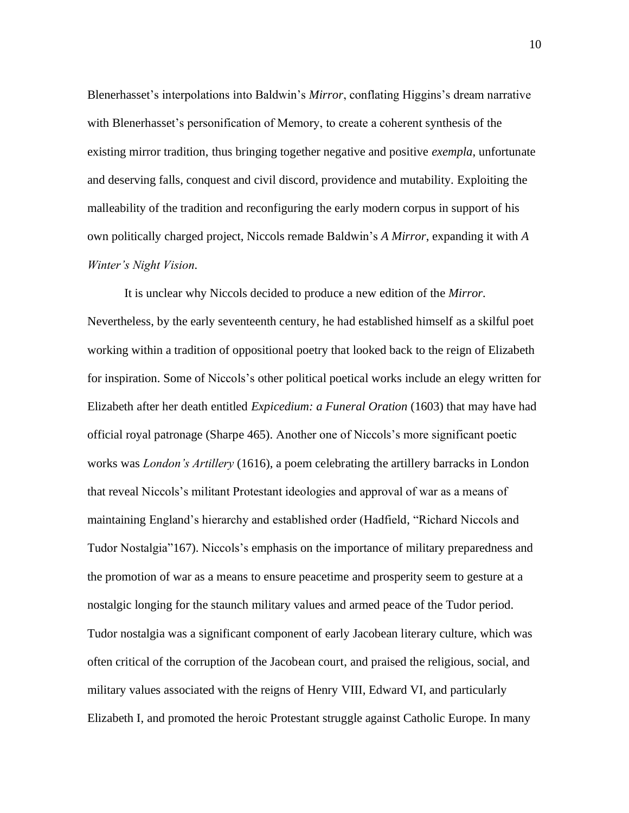Blenerhasset's interpolations into Baldwin's *Mirror*, conflating Higgins's dream narrative with Blenerhasset's personification of Memory, to create a coherent synthesis of the existing mirror tradition, thus bringing together negative and positive *exempla*, unfortunate and deserving falls, conquest and civil discord, providence and mutability. Exploiting the malleability of the tradition and reconfiguring the early modern corpus in support of his own politically charged project, Niccols remade Baldwin's *A Mirror*, expanding it with *A Winter's Night Vision.* 

It is unclear why Niccols decided to produce a new edition of the *Mirror.* Nevertheless, by the early seventeenth century, he had established himself as a skilful poet working within a tradition of oppositional poetry that looked back to the reign of Elizabeth for inspiration. Some of Niccols's other political poetical works include an elegy written for Elizabeth after her death entitled *Expicedium: a Funeral Oration* (1603) that may have had official royal patronage (Sharpe 465). Another one of Niccols's more significant poetic works was *London's Artillery* (1616), a poem celebrating the artillery barracks in London that reveal Niccols's militant Protestant ideologies and approval of war as a means of maintaining England's hierarchy and established order (Hadfield, "Richard Niccols and Tudor Nostalgia"167). Niccols's emphasis on the importance of military preparedness and the promotion of war as a means to ensure peacetime and prosperity seem to gesture at a nostalgic longing for the staunch military values and armed peace of the Tudor period. Tudor nostalgia was a significant component of early Jacobean literary culture, which was often critical of the corruption of the Jacobean court, and praised the religious, social, and military values associated with the reigns of Henry VIII, Edward VI, and particularly Elizabeth I, and promoted the heroic Protestant struggle against Catholic Europe. In many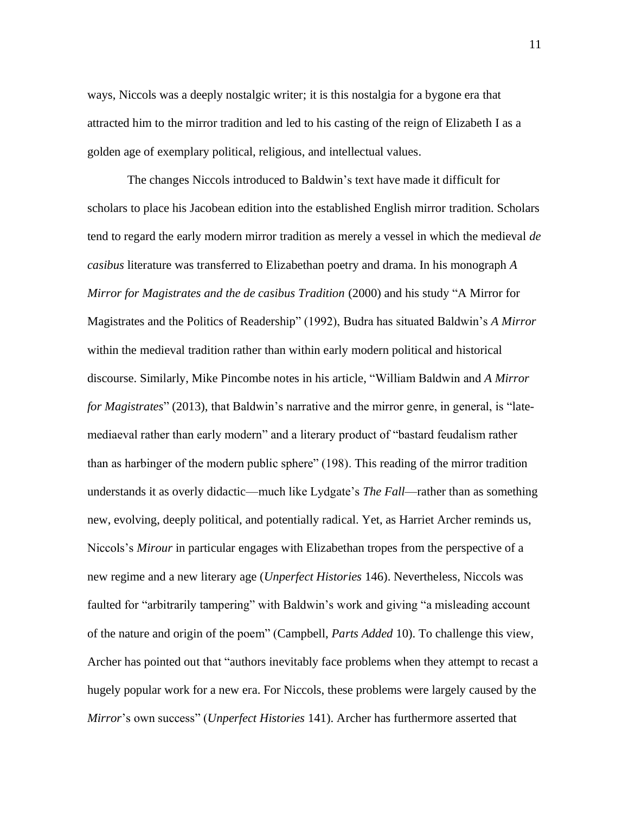ways, Niccols was a deeply nostalgic writer; it is this nostalgia for a bygone era that attracted him to the mirror tradition and led to his casting of the reign of Elizabeth I as a golden age of exemplary political, religious, and intellectual values.

The changes Niccols introduced to Baldwin's text have made it difficult for scholars to place his Jacobean edition into the established English mirror tradition. Scholars tend to regard the early modern mirror tradition as merely a vessel in which the medieval *de casibus* literature was transferred to Elizabethan poetry and drama. In his monograph *A Mirror for Magistrates and the de casibus Tradition* (2000) and his study "A Mirror for Magistrates and the Politics of Readership" (1992), Budra has situated Baldwin's *A Mirror*  within the medieval tradition rather than within early modern political and historical discourse. Similarly, Mike Pincombe notes in his article, "William Baldwin and *A Mirror for Magistrates*" (2013), that Baldwin's narrative and the mirror genre, in general, is "latemediaeval rather than early modern" and a literary product of "bastard feudalism rather than as harbinger of the modern public sphere" (198). This reading of the mirror tradition understands it as overly didactic—much like Lydgate's *The Fall*—rather than as something new, evolving, deeply political, and potentially radical. Yet, as Harriet Archer reminds us, Niccols's *Mirour* in particular engages with Elizabethan tropes from the perspective of a new regime and a new literary age (*Unperfect Histories* 146). Nevertheless, Niccols was faulted for "arbitrarily tampering" with Baldwin's work and giving "a misleading account of the nature and origin of the poem" (Campbell, *Parts Added* 10). To challenge this view, Archer has pointed out that "authors inevitably face problems when they attempt to recast a hugely popular work for a new era. For Niccols, these problems were largely caused by the *Mirror*'s own success" (*Unperfect Histories* 141). Archer has furthermore asserted that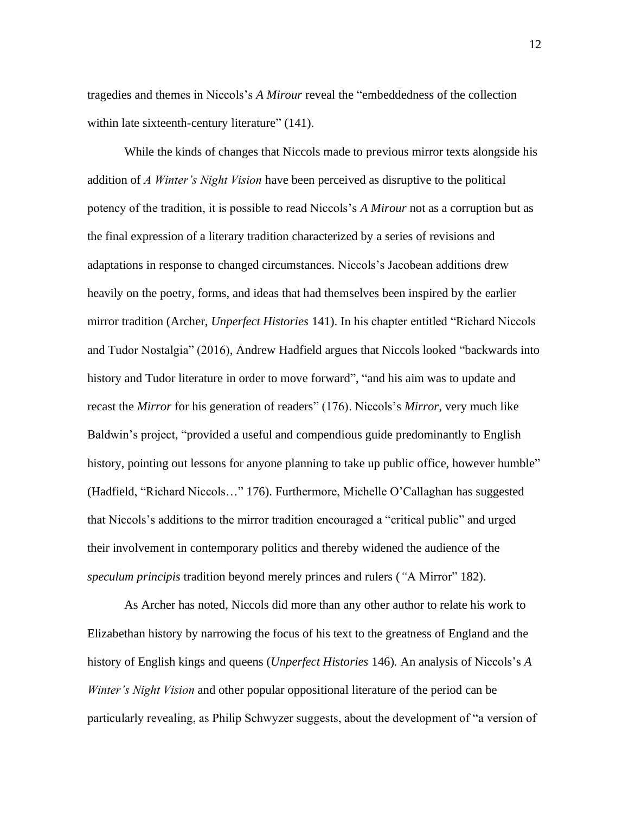tragedies and themes in Niccols's *A Mirour* reveal the "embeddedness of the collection within late sixteenth-century literature" (141).

While the kinds of changes that Niccols made to previous mirror texts alongside his addition of *A Winter's Night Vision* have been perceived as disruptive to the political potency of the tradition, it is possible to read Niccols's *A Mirour* not as a corruption but as the final expression of a literary tradition characterized by a series of revisions and adaptations in response to changed circumstances. Niccols's Jacobean additions drew heavily on the poetry, forms, and ideas that had themselves been inspired by the earlier mirror tradition (Archer, *Unperfect Histories* 141). In his chapter entitled "Richard Niccols and Tudor Nostalgia" (2016), Andrew Hadfield argues that Niccols looked "backwards into history and Tudor literature in order to move forward", "and his aim was to update and recast the *Mirror* for his generation of readers" (176). Niccols's *Mirror*, very much like Baldwin's project, "provided a useful and compendious guide predominantly to English history, pointing out lessons for anyone planning to take up public office, however humble" (Hadfield, "Richard Niccols…" 176). Furthermore, Michelle O'Callaghan has suggested that Niccols's additions to the mirror tradition encouraged a "critical public" and urged their involvement in contemporary politics and thereby widened the audience of the *speculum principis* tradition beyond merely princes and rulers (*"*A Mirror" 182).

As Archer has noted, Niccols did more than any other author to relate his work to Elizabethan history by narrowing the focus of his text to the greatness of England and the history of English kings and queens (*Unperfect Histories* 146)*.* An analysis of Niccols's *A Winter's Night Vision* and other popular oppositional literature of the period can be particularly revealing, as Philip Schwyzer suggests, about the development of "a version of

12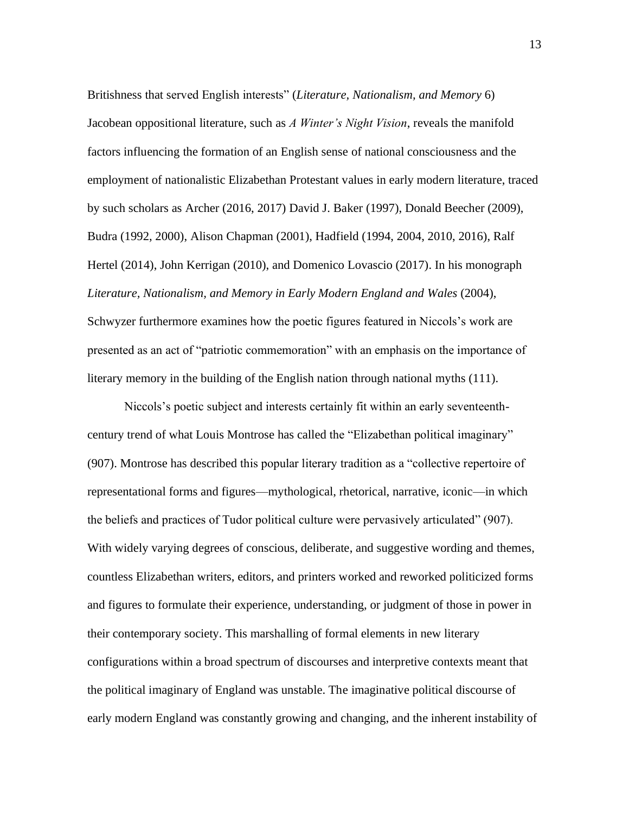Britishness that served English interests" (*Literature, Nationalism, and Memory* 6) Jacobean oppositional literature, such as *A Winter's Night Vision*, reveals the manifold factors influencing the formation of an English sense of national consciousness and the employment of nationalistic Elizabethan Protestant values in early modern literature, traced by such scholars as Archer (2016, 2017) David J. Baker (1997), Donald Beecher (2009), Budra (1992, 2000), Alison Chapman (2001), Hadfield (1994, 2004, 2010, 2016), Ralf Hertel (2014), John Kerrigan (2010), and Domenico Lovascio (2017). In his monograph *Literature, Nationalism, and Memory in Early Modern England and Wales* (2004), Schwyzer furthermore examines how the poetic figures featured in Niccols's work are presented as an act of "patriotic commemoration" with an emphasis on the importance of literary memory in the building of the English nation through national myths (111).

Niccols's poetic subject and interests certainly fit within an early seventeenthcentury trend of what Louis Montrose has called the "Elizabethan political imaginary" (907). Montrose has described this popular literary tradition as a "collective repertoire of representational forms and figures—mythological, rhetorical, narrative, iconic—in which the beliefs and practices of Tudor political culture were pervasively articulated" (907). With widely varying degrees of conscious, deliberate, and suggestive wording and themes, countless Elizabethan writers, editors, and printers worked and reworked politicized forms and figures to formulate their experience, understanding, or judgment of those in power in their contemporary society. This marshalling of formal elements in new literary configurations within a broad spectrum of discourses and interpretive contexts meant that the political imaginary of England was unstable. The imaginative political discourse of early modern England was constantly growing and changing, and the inherent instability of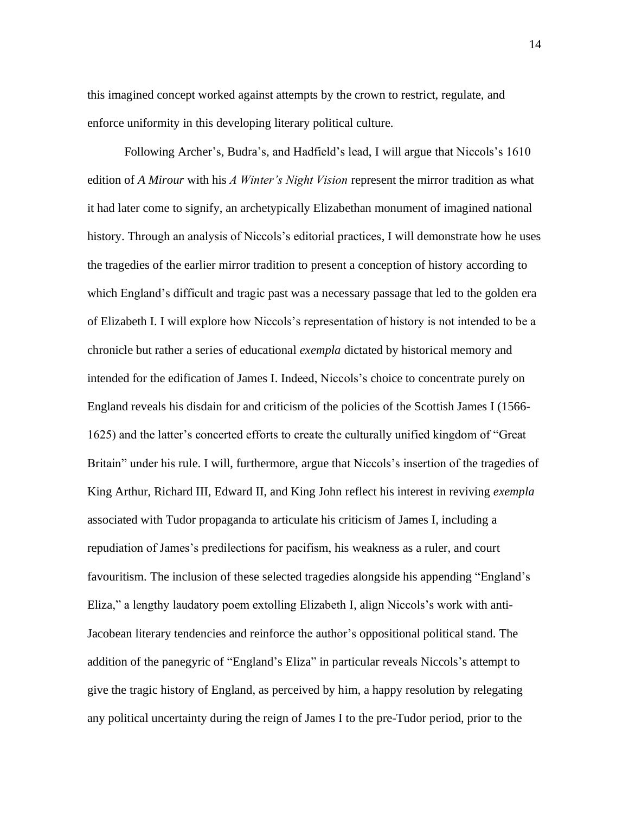this imagined concept worked against attempts by the crown to restrict, regulate, and enforce uniformity in this developing literary political culture.

Following Archer's, Budra's, and Hadfield's lead, I will argue that Niccols's 1610 edition of *A Mirour* with his *A Winter's Night Vision* represent the mirror tradition as what it had later come to signify, an archetypically Elizabethan monument of imagined national history. Through an analysis of Niccols's editorial practices, I will demonstrate how he uses the tragedies of the earlier mirror tradition to present a conception of history according to which England's difficult and tragic past was a necessary passage that led to the golden era of Elizabeth I. I will explore how Niccols's representation of history is not intended to be a chronicle but rather a series of educational *exempla* dictated by historical memory and intended for the edification of James I. Indeed, Niccols's choice to concentrate purely on England reveals his disdain for and criticism of the policies of the Scottish James I (1566- 1625) and the latter's concerted efforts to create the culturally unified kingdom of "Great Britain" under his rule. I will, furthermore, argue that Niccols's insertion of the tragedies of King Arthur, Richard III, Edward II, and King John reflect his interest in reviving *exempla*  associated with Tudor propaganda to articulate his criticism of James I, including a repudiation of James's predilections for pacifism, his weakness as a ruler, and court favouritism. The inclusion of these selected tragedies alongside his appending "England's Eliza," a lengthy laudatory poem extolling Elizabeth I, align Niccols's work with anti-Jacobean literary tendencies and reinforce the author's oppositional political stand. The addition of the panegyric of "England's Eliza" in particular reveals Niccols's attempt to give the tragic history of England, as perceived by him, a happy resolution by relegating any political uncertainty during the reign of James I to the pre-Tudor period, prior to the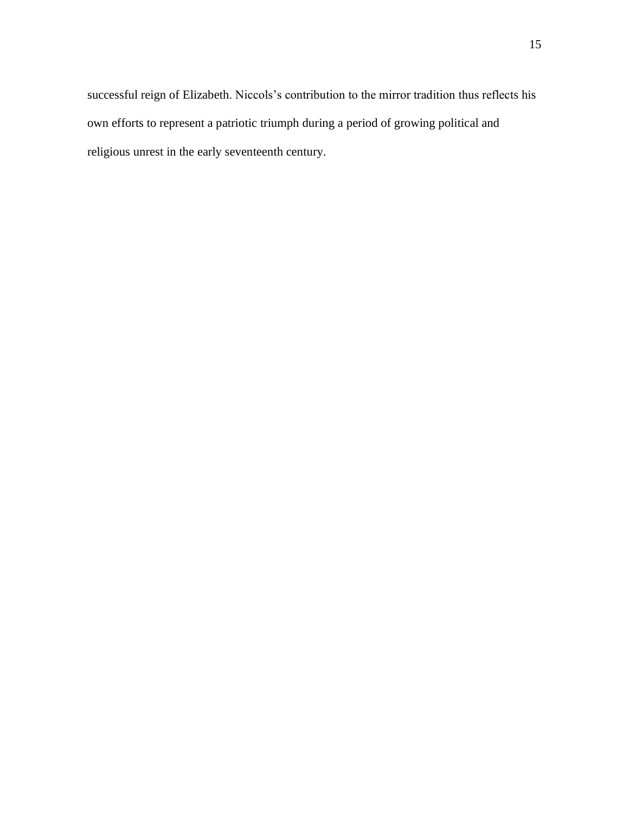successful reign of Elizabeth. Niccols's contribution to the mirror tradition thus reflects his own efforts to represent a patriotic triumph during a period of growing political and religious unrest in the early seventeenth century.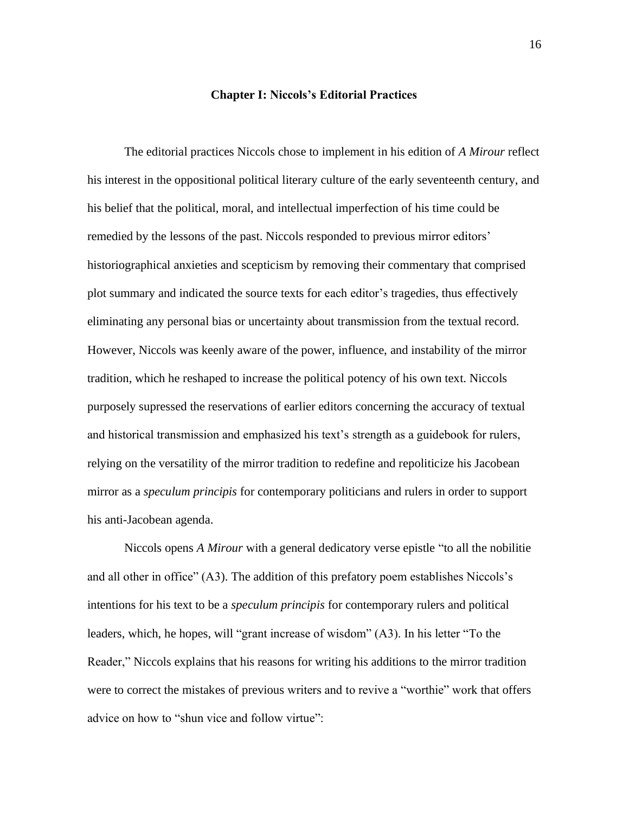#### **Chapter I: Niccols's Editorial Practices**

The editorial practices Niccols chose to implement in his edition of *A Mirour* reflect his interest in the oppositional political literary culture of the early seventeenth century, and his belief that the political, moral, and intellectual imperfection of his time could be remedied by the lessons of the past. Niccols responded to previous mirror editors' historiographical anxieties and scepticism by removing their commentary that comprised plot summary and indicated the source texts for each editor's tragedies, thus effectively eliminating any personal bias or uncertainty about transmission from the textual record. However, Niccols was keenly aware of the power, influence, and instability of the mirror tradition, which he reshaped to increase the political potency of his own text. Niccols purposely supressed the reservations of earlier editors concerning the accuracy of textual and historical transmission and emphasized his text's strength as a guidebook for rulers, relying on the versatility of the mirror tradition to redefine and repoliticize his Jacobean mirror as a *speculum principis* for contemporary politicians and rulers in order to support his anti-Jacobean agenda.

Niccols opens *A Mirour* with a general dedicatory verse epistle "to all the nobilitie and all other in office" (A3). The addition of this prefatory poem establishes Niccols's intentions for his text to be a *speculum principis* for contemporary rulers and political leaders, which, he hopes, will "grant increase of wisdom" (A3). In his letter "To the Reader," Niccols explains that his reasons for writing his additions to the mirror tradition were to correct the mistakes of previous writers and to revive a "worthie" work that offers advice on how to "shun vice and follow virtue":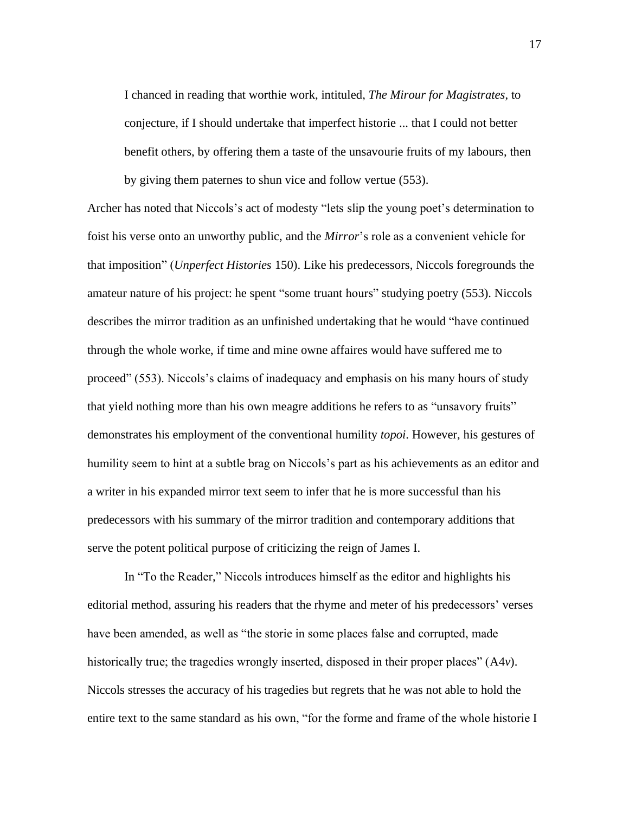I chanced in reading that worthie work, intituled, *The Mirour for Magistrates*, to conjecture, if I should undertake that imperfect historie ... that I could not better benefit others, by offering them a taste of the unsavourie fruits of my labours, then by giving them paternes to shun vice and follow vertue (553).

Archer has noted that Niccols's act of modesty "lets slip the young poet's determination to foist his verse onto an unworthy public, and the *Mirror*'s role as a convenient vehicle for that imposition" (*Unperfect Histories* 150). Like his predecessors, Niccols foregrounds the amateur nature of his project: he spent "some truant hours" studying poetry (553). Niccols describes the mirror tradition as an unfinished undertaking that he would "have continued through the whole worke, if time and mine owne affaires would have suffered me to proceed" (553). Niccols's claims of inadequacy and emphasis on his many hours of study that yield nothing more than his own meagre additions he refers to as "unsavory fruits" demonstrates his employment of the conventional humility *topoi*. However, his gestures of humility seem to hint at a subtle brag on Niccols's part as his achievements as an editor and a writer in his expanded mirror text seem to infer that he is more successful than his predecessors with his summary of the mirror tradition and contemporary additions that serve the potent political purpose of criticizing the reign of James I.

In "To the Reader," Niccols introduces himself as the editor and highlights his editorial method, assuring his readers that the rhyme and meter of his predecessors' verses have been amended, as well as "the storie in some places false and corrupted, made historically true; the tragedies wrongly inserted, disposed in their proper places" (A4*v*). Niccols stresses the accuracy of his tragedies but regrets that he was not able to hold the entire text to the same standard as his own, "for the forme and frame of the whole historie I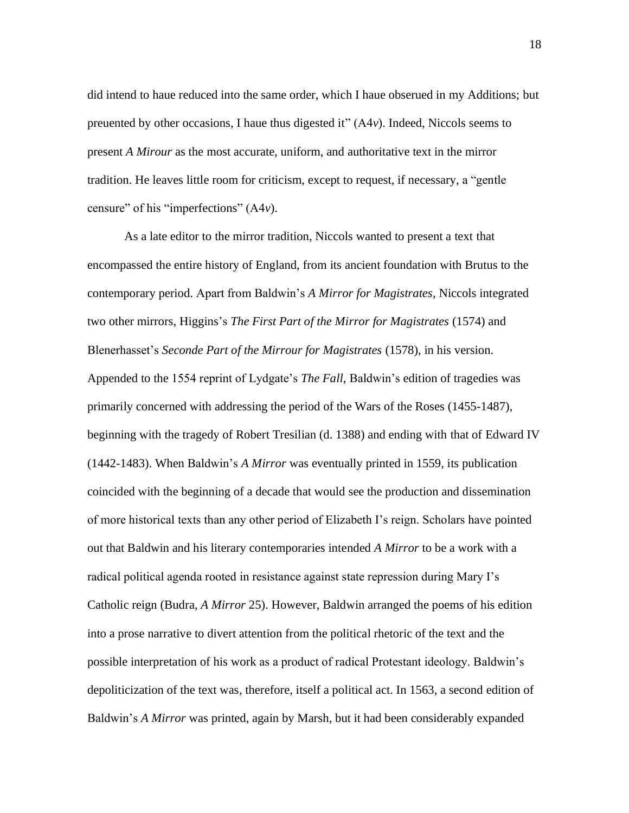did intend to haue reduced into the same order, which I haue obserued in my Additions; but preuented by other occasions, I haue thus digested it" (A4*v*). Indeed, Niccols seems to present *A Mirour* as the most accurate, uniform, and authoritative text in the mirror tradition. He leaves little room for criticism, except to request, if necessary, a "gentle censure" of his "imperfections" (A4*v*).

As a late editor to the mirror tradition, Niccols wanted to present a text that encompassed the entire history of England, from its ancient foundation with Brutus to the contemporary period. Apart from Baldwin's *A Mirror for Magistrates*, Niccols integrated two other mirrors, Higgins's *The First Part of the Mirror for Magistrates* (1574) and Blenerhasset's *Seconde Part of the Mirrour for Magistrates* (1578), in his version. Appended to the 1554 reprint of Lydgate's *The Fall*, Baldwin's edition of tragedies was primarily concerned with addressing the period of the Wars of the Roses (1455-1487), beginning with the tragedy of Robert Tresilian (d. 1388) and ending with that of Edward IV (1442-1483). When Baldwin's *A Mirror* was eventually printed in 1559, its publication coincided with the beginning of a decade that would see the production and dissemination of more historical texts than any other period of Elizabeth I's reign. Scholars have pointed out that Baldwin and his literary contemporaries intended *A Mirror* to be a work with a radical political agenda rooted in resistance against state repression during Mary I's Catholic reign (Budra, *A Mirror* 25). However, Baldwin arranged the poems of his edition into a prose narrative to divert attention from the political rhetoric of the text and the possible interpretation of his work as a product of radical Protestant ideology. Baldwin's depoliticization of the text was, therefore, itself a political act. In 1563, a second edition of Baldwin's *A Mirror* was printed, again by Marsh, but it had been considerably expanded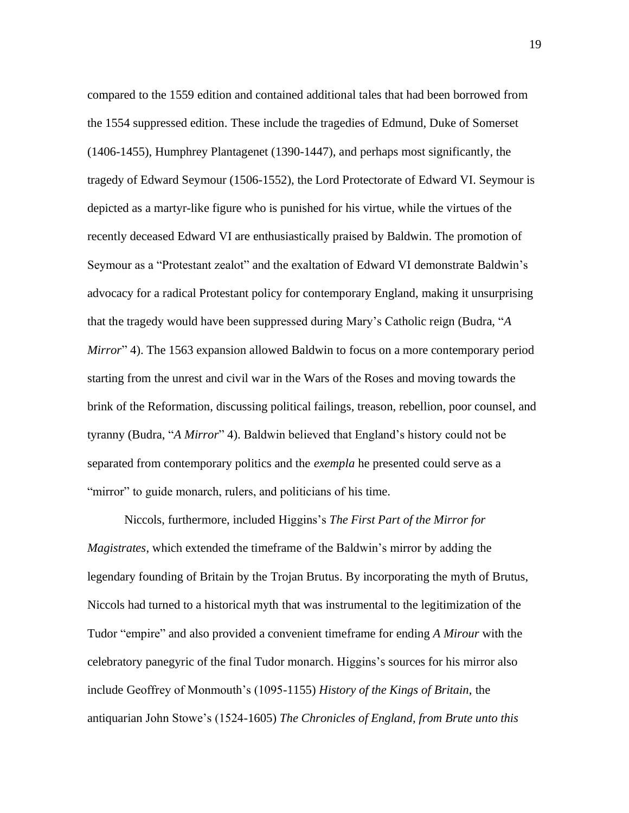compared to the 1559 edition and contained additional tales that had been borrowed from the 1554 suppressed edition. These include the tragedies of Edmund, Duke of Somerset (1406-1455), Humphrey Plantagenet (1390-1447), and perhaps most significantly, the tragedy of Edward Seymour (1506-1552), the Lord Protectorate of Edward VI. Seymour is depicted as a martyr-like figure who is punished for his virtue, while the virtues of the recently deceased Edward VI are enthusiastically praised by Baldwin. The promotion of Seymour as a "Protestant zealot" and the exaltation of Edward VI demonstrate Baldwin's advocacy for a radical Protestant policy for contemporary England, making it unsurprising that the tragedy would have been suppressed during Mary's Catholic reign (Budra, "*A Mirror*" 4). The 1563 expansion allowed Baldwin to focus on a more contemporary period starting from the unrest and civil war in the Wars of the Roses and moving towards the brink of the Reformation, discussing political failings, treason, rebellion, poor counsel, and tyranny (Budra, "*A Mirror*" 4). Baldwin believed that England's history could not be separated from contemporary politics and the *exempla* he presented could serve as a "mirror" to guide monarch, rulers, and politicians of his time.

Niccols, furthermore, included Higgins's *The First Part of the Mirror for Magistrates*, which extended the timeframe of the Baldwin's mirror by adding the legendary founding of Britain by the Trojan Brutus. By incorporating the myth of Brutus, Niccols had turned to a historical myth that was instrumental to the legitimization of the Tudor "empire" and also provided a convenient timeframe for ending *A Mirour* with the celebratory panegyric of the final Tudor monarch. Higgins's sources for his mirror also include Geoffrey of Monmouth's (1095-1155) *History of the Kings of Britain*, the antiquarian John Stowe's (1524-1605) *The Chronicles of England, from Brute unto this*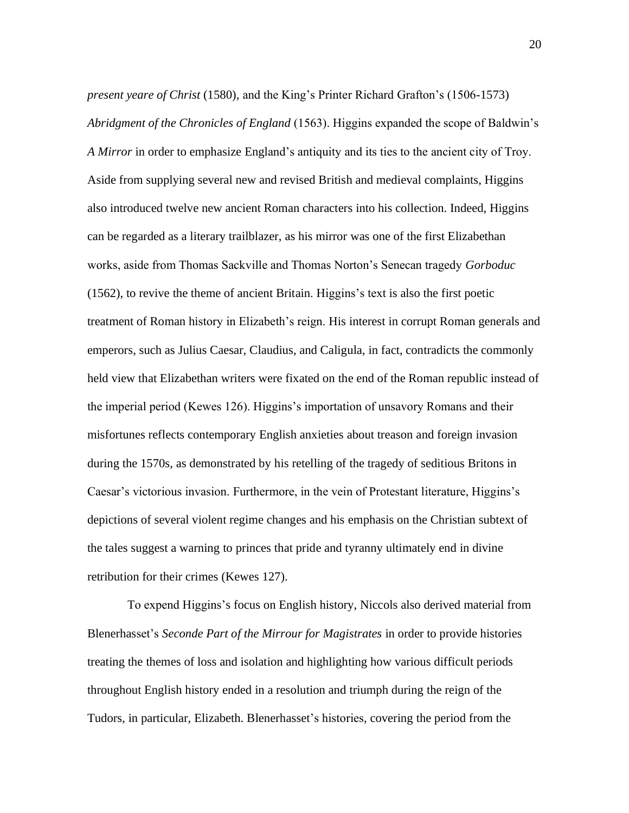*present yeare of Christ* (1580), and the King's Printer Richard Grafton's (1506-1573) *Abridgment of the Chronicles of England* (1563). Higgins expanded the scope of Baldwin's *A Mirror* in order to emphasize England's antiquity and its ties to the ancient city of Troy. Aside from supplying several new and revised British and medieval complaints, Higgins also introduced twelve new ancient Roman characters into his collection. Indeed, Higgins can be regarded as a literary trailblazer, as his mirror was one of the first Elizabethan works, aside from Thomas Sackville and Thomas Norton's Senecan tragedy *Gorboduc* (1562), to revive the theme of ancient Britain. Higgins's text is also the first poetic treatment of Roman history in Elizabeth's reign. His interest in corrupt Roman generals and emperors, such as Julius Caesar, Claudius, and Caligula, in fact, contradicts the commonly held view that Elizabethan writers were fixated on the end of the Roman republic instead of the imperial period (Kewes 126). Higgins's importation of unsavory Romans and their misfortunes reflects contemporary English anxieties about treason and foreign invasion during the 1570s, as demonstrated by his retelling of the tragedy of seditious Britons in Caesar's victorious invasion. Furthermore, in the vein of Protestant literature, Higgins's depictions of several violent regime changes and his emphasis on the Christian subtext of the tales suggest a warning to princes that pride and tyranny ultimately end in divine retribution for their crimes (Kewes 127).

To expend Higgins's focus on English history, Niccols also derived material from Blenerhasset's *Seconde Part of the Mirrour for Magistrates* in order to provide histories treating the themes of loss and isolation and highlighting how various difficult periods throughout English history ended in a resolution and triumph during the reign of the Tudors, in particular, Elizabeth. Blenerhasset's histories, covering the period from the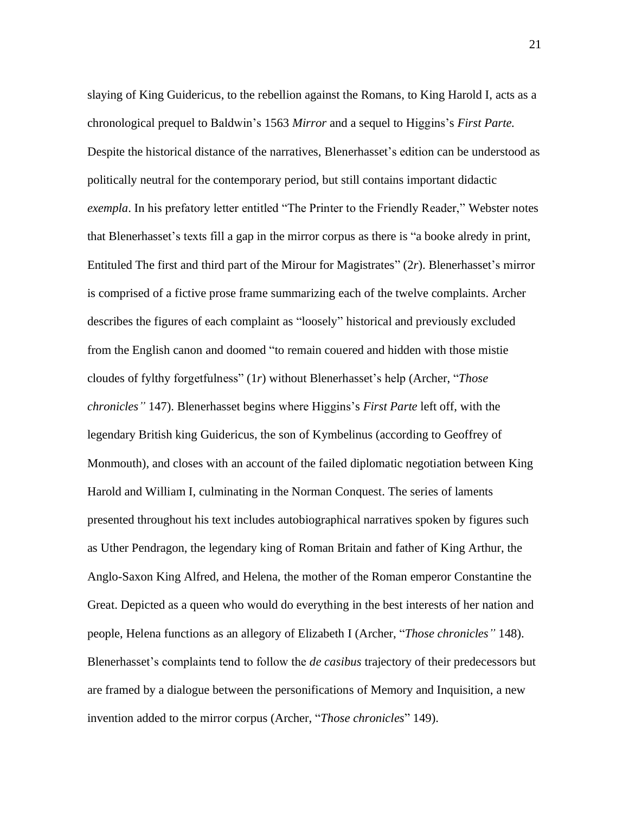slaying of King Guidericus, to the rebellion against the Romans, to King Harold I, acts as a chronological prequel to Baldwin's 1563 *Mirror* and a sequel to Higgins's *First Parte.* Despite the historical distance of the narratives, Blenerhasset's edition can be understood as politically neutral for the contemporary period, but still contains important didactic *exempla*. In his prefatory letter entitled "The Printer to the Friendly Reader," Webster notes that Blenerhasset's texts fill a gap in the mirror corpus as there is "a booke alredy in print, Entituled The first and third part of the Mirour for Magistrates" (2*r*). Blenerhasset's mirror is comprised of a fictive prose frame summarizing each of the twelve complaints. Archer describes the figures of each complaint as "loosely" historical and previously excluded from the English canon and doomed "to remain couered and hidden with those mistie cloudes of fylthy forgetfulness" (1*r*) without Blenerhasset's help (Archer, "*Those chronicles"* 147). Blenerhasset begins where Higgins's *First Parte* left off, with the legendary British king Guidericus, the son of Kymbelinus (according to Geoffrey of Monmouth), and closes with an account of the failed diplomatic negotiation between King Harold and William I, culminating in the Norman Conquest. The series of laments presented throughout his text includes autobiographical narratives spoken by figures such as Uther Pendragon, the legendary king of Roman Britain and father of King Arthur, the Anglo-Saxon King Alfred, and Helena, the mother of the Roman emperor Constantine the Great. Depicted as a queen who would do everything in the best interests of her nation and people, Helena functions as an allegory of Elizabeth I (Archer, "*Those chronicles"* 148). Blenerhasset's complaints tend to follow the *de casibus* trajectory of their predecessors but are framed by a dialogue between the personifications of Memory and Inquisition, a new invention added to the mirror corpus (Archer, "*Those chronicles*" 149).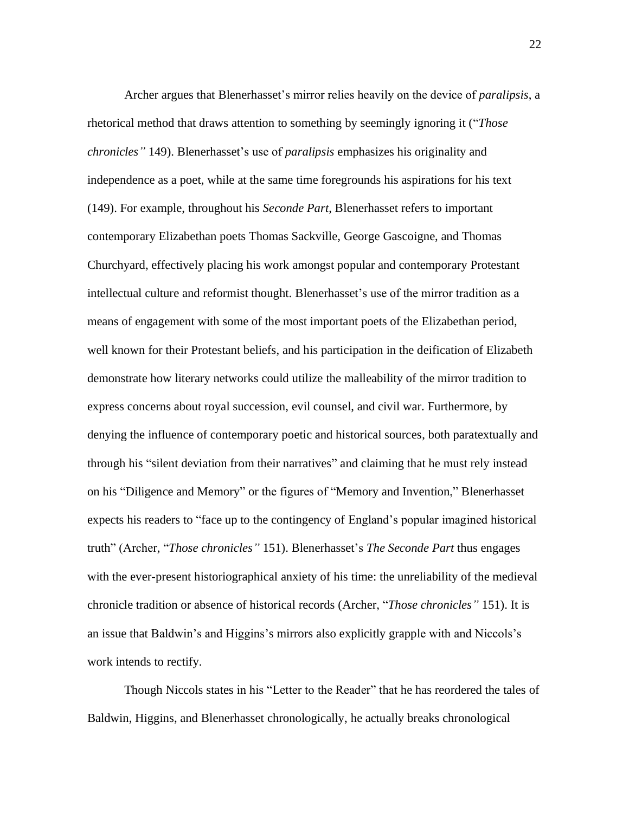Archer argues that Blenerhasset's mirror relies heavily on the device of *paralipsis*, a rhetorical method that draws attention to something by seemingly ignoring it ("*Those chronicles"* 149). Blenerhasset's use of *paralipsis* emphasizes his originality and independence as a poet, while at the same time foregrounds his aspirations for his text (149). For example, throughout his *Seconde Part*, Blenerhasset refers to important contemporary Elizabethan poets Thomas Sackville, George Gascoigne, and Thomas Churchyard, effectively placing his work amongst popular and contemporary Protestant intellectual culture and reformist thought. Blenerhasset's use of the mirror tradition as a means of engagement with some of the most important poets of the Elizabethan period, well known for their Protestant beliefs, and his participation in the deification of Elizabeth demonstrate how literary networks could utilize the malleability of the mirror tradition to express concerns about royal succession, evil counsel, and civil war. Furthermore, by denying the influence of contemporary poetic and historical sources, both paratextually and through his "silent deviation from their narratives" and claiming that he must rely instead on his "Diligence and Memory" or the figures of "Memory and Invention," Blenerhasset expects his readers to "face up to the contingency of England's popular imagined historical truth" (Archer, "*Those chronicles"* 151). Blenerhasset's *The Seconde Part* thus engages with the ever-present historiographical anxiety of his time: the unreliability of the medieval chronicle tradition or absence of historical records (Archer, "*Those chronicles"* 151). It is an issue that Baldwin's and Higgins's mirrors also explicitly grapple with and Niccols's work intends to rectify.

Though Niccols states in his "Letter to the Reader" that he has reordered the tales of Baldwin, Higgins, and Blenerhasset chronologically, he actually breaks chronological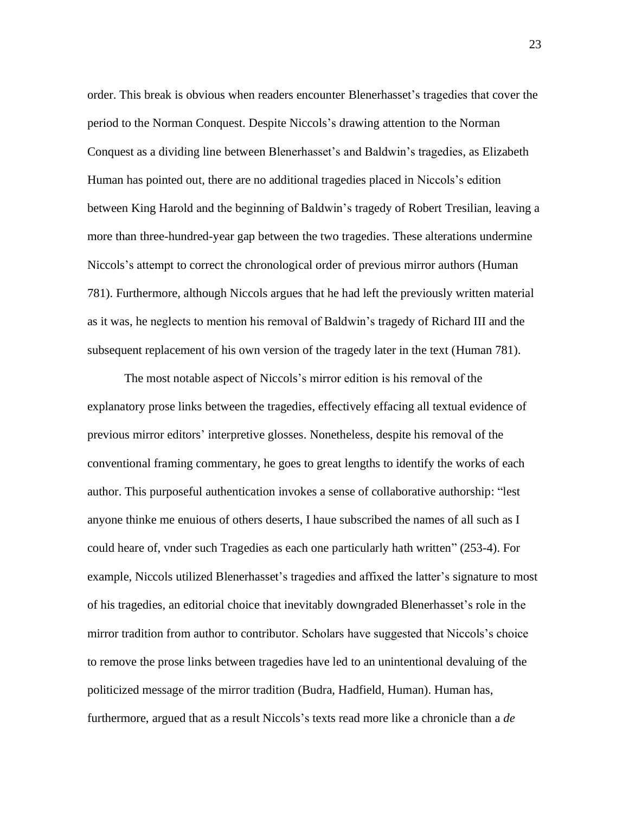order. This break is obvious when readers encounter Blenerhasset's tragedies that cover the period to the Norman Conquest. Despite Niccols's drawing attention to the Norman Conquest as a dividing line between Blenerhasset's and Baldwin's tragedies, as Elizabeth Human has pointed out, there are no additional tragedies placed in Niccols's edition between King Harold and the beginning of Baldwin's tragedy of Robert Tresilian, leaving a more than three-hundred-year gap between the two tragedies. These alterations undermine Niccols's attempt to correct the chronological order of previous mirror authors (Human 781). Furthermore, although Niccols argues that he had left the previously written material as it was, he neglects to mention his removal of Baldwin's tragedy of Richard III and the subsequent replacement of his own version of the tragedy later in the text (Human 781).

The most notable aspect of Niccols's mirror edition is his removal of the explanatory prose links between the tragedies, effectively effacing all textual evidence of previous mirror editors' interpretive glosses. Nonetheless, despite his removal of the conventional framing commentary, he goes to great lengths to identify the works of each author. This purposeful authentication invokes a sense of collaborative authorship: "lest anyone thinke me enuious of others deserts, I haue subscribed the names of all such as I could heare of, vnder such Tragedies as each one particularly hath written" (253-4). For example, Niccols utilized Blenerhasset's tragedies and affixed the latter's signature to most of his tragedies, an editorial choice that inevitably downgraded Blenerhasset's role in the mirror tradition from author to contributor. Scholars have suggested that Niccols's choice to remove the prose links between tragedies have led to an unintentional devaluing of the politicized message of the mirror tradition (Budra, Hadfield, Human). Human has, furthermore, argued that as a result Niccols's texts read more like a chronicle than a *de*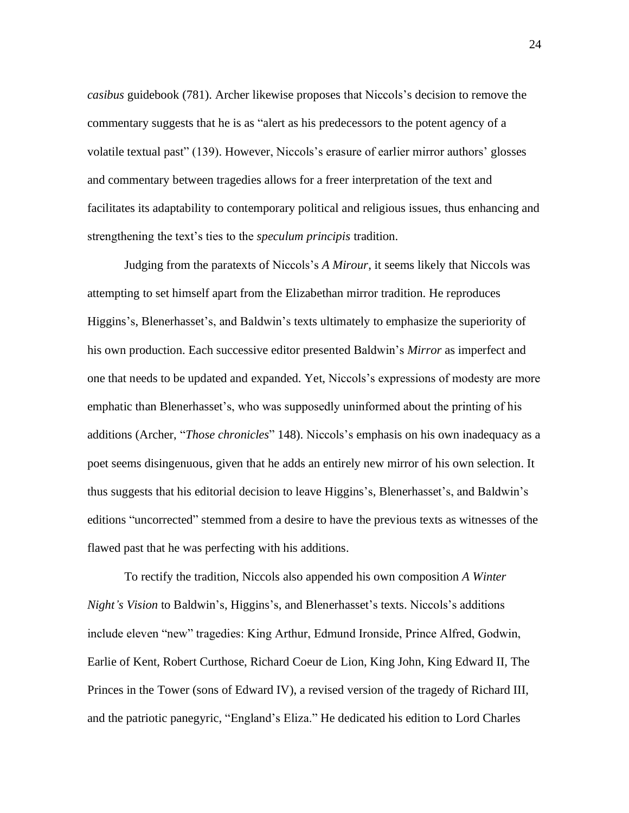*casibus* guidebook (781). Archer likewise proposes that Niccols's decision to remove the commentary suggests that he is as "alert as his predecessors to the potent agency of a volatile textual past" (139). However, Niccols's erasure of earlier mirror authors' glosses and commentary between tragedies allows for a freer interpretation of the text and facilitates its adaptability to contemporary political and religious issues, thus enhancing and strengthening the text's ties to the *speculum principis* tradition.

Judging from the paratexts of Niccols's *A Mirour*, it seems likely that Niccols was attempting to set himself apart from the Elizabethan mirror tradition. He reproduces Higgins's, Blenerhasset's, and Baldwin's texts ultimately to emphasize the superiority of his own production. Each successive editor presented Baldwin's *Mirror* as imperfect and one that needs to be updated and expanded. Yet, Niccols's expressions of modesty are more emphatic than Blenerhasset's, who was supposedly uninformed about the printing of his additions (Archer, "*Those chronicles*" 148). Niccols's emphasis on his own inadequacy as a poet seems disingenuous, given that he adds an entirely new mirror of his own selection. It thus suggests that his editorial decision to leave Higgins's, Blenerhasset's, and Baldwin's editions "uncorrected" stemmed from a desire to have the previous texts as witnesses of the flawed past that he was perfecting with his additions.

To rectify the tradition, Niccols also appended his own composition *A Winter Night's Vision* to Baldwin's, Higgins's, and Blenerhasset's texts. Niccols's additions include eleven "new" tragedies: King Arthur, Edmund Ironside, Prince Alfred, Godwin, Earlie of Kent, Robert Curthose, Richard Coeur de Lion, King John, King Edward II, The Princes in the Tower (sons of Edward IV), a revised version of the tragedy of Richard III, and the patriotic panegyric, "England's Eliza." He dedicated his edition to Lord Charles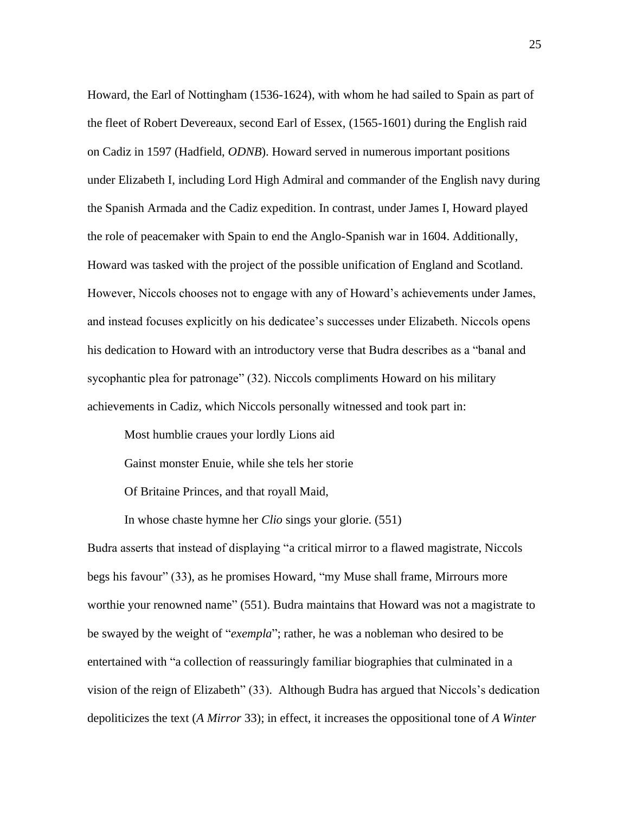Howard, the Earl of Nottingham (1536-1624), with whom he had sailed to Spain as part of the fleet of Robert Devereaux, second Earl of Essex, (1565-1601) during the English raid on Cadiz in 1597 (Hadfield, *ODNB*). Howard served in numerous important positions under Elizabeth I, including Lord High Admiral and commander of the English navy during the Spanish Armada and the Cadiz expedition. In contrast, under James I, Howard played the role of peacemaker with Spain to end the Anglo-Spanish war in 1604. Additionally, Howard was tasked with the project of the possible unification of England and Scotland. However, Niccols chooses not to engage with any of Howard's achievements under James, and instead focuses explicitly on his dedicatee's successes under Elizabeth. Niccols opens his dedication to Howard with an introductory verse that Budra describes as a "banal and sycophantic plea for patronage" (32). Niccols compliments Howard on his military achievements in Cadiz, which Niccols personally witnessed and took part in:

Most humblie craues your lordly Lions aid

Gainst monster Enuie, while she tels her storie

Of Britaine Princes, and that royall Maid,

In whose chaste hymne her *Clio* sings your glorie. (551)

Budra asserts that instead of displaying "a critical mirror to a flawed magistrate, Niccols begs his favour" (33), as he promises Howard, "my Muse shall frame, Mirrours more worthie your renowned name" (551). Budra maintains that Howard was not a magistrate to be swayed by the weight of "*exempla*"; rather, he was a nobleman who desired to be entertained with "a collection of reassuringly familiar biographies that culminated in a vision of the reign of Elizabeth" (33). Although Budra has argued that Niccols's dedication depoliticizes the text (*A Mirror* 33); in effect, it increases the oppositional tone of *A Winter*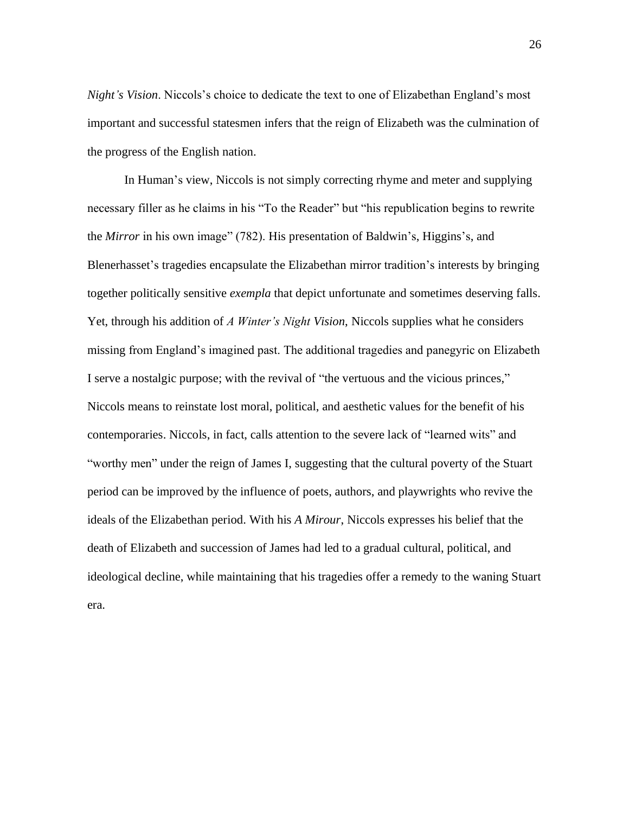*Night's Vision*. Niccols's choice to dedicate the text to one of Elizabethan England's most important and successful statesmen infers that the reign of Elizabeth was the culmination of the progress of the English nation.

In Human's view, Niccols is not simply correcting rhyme and meter and supplying necessary filler as he claims in his "To the Reader" but "his republication begins to rewrite the *Mirror* in his own image" (782). His presentation of Baldwin's, Higgins's, and Blenerhasset's tragedies encapsulate the Elizabethan mirror tradition's interests by bringing together politically sensitive *exempla* that depict unfortunate and sometimes deserving falls. Yet, through his addition of *A Winter's Night Vision*, Niccols supplies what he considers missing from England's imagined past. The additional tragedies and panegyric on Elizabeth I serve a nostalgic purpose; with the revival of "the vertuous and the vicious princes," Niccols means to reinstate lost moral, political, and aesthetic values for the benefit of his contemporaries. Niccols, in fact, calls attention to the severe lack of "learned wits" and "worthy men" under the reign of James I, suggesting that the cultural poverty of the Stuart period can be improved by the influence of poets, authors, and playwrights who revive the ideals of the Elizabethan period. With his *A Mirour*, Niccols expresses his belief that the death of Elizabeth and succession of James had led to a gradual cultural, political, and ideological decline, while maintaining that his tragedies offer a remedy to the waning Stuart era.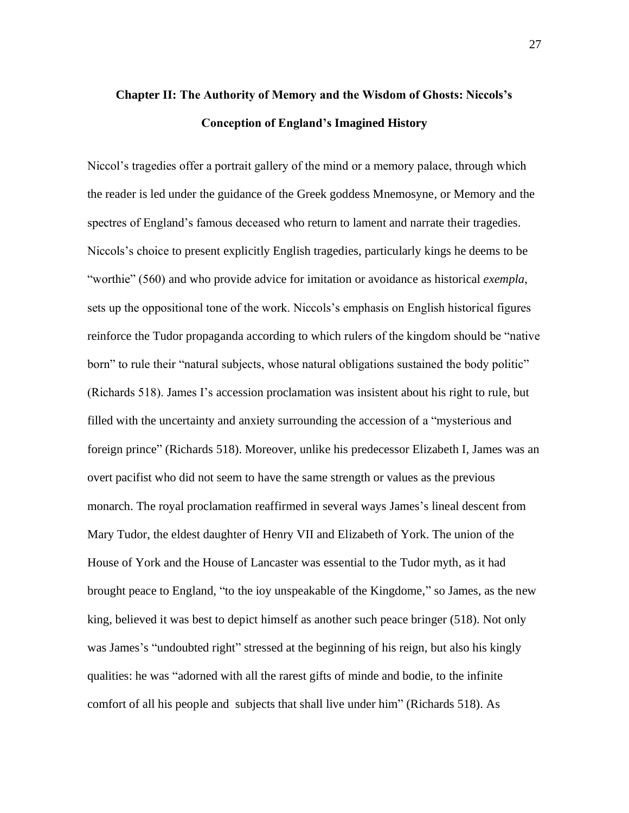# **Chapter II: The Authority of Memory and the Wisdom of Ghosts: Niccols's Conception of England's Imagined History**

Niccol's tragedies offer a portrait gallery of the mind or a memory palace, through which the reader is led under the guidance of the Greek goddess Mnemosyne, or Memory and the spectres of England's famous deceased who return to lament and narrate their tragedies. Niccols's choice to present explicitly English tragedies, particularly kings he deems to be "worthie" (560) and who provide advice for imitation or avoidance as historical *exempla*, sets up the oppositional tone of the work. Niccols's emphasis on English historical figures reinforce the Tudor propaganda according to which rulers of the kingdom should be "native born" to rule their "natural subjects, whose natural obligations sustained the body politic" (Richards 518). James I's accession proclamation was insistent about his right to rule, but filled with the uncertainty and anxiety surrounding the accession of a "mysterious and foreign prince" (Richards 518). Moreover, unlike his predecessor Elizabeth I, James was an overt pacifist who did not seem to have the same strength or values as the previous monarch. The royal proclamation reaffirmed in several ways James's lineal descent from Mary Tudor, the eldest daughter of Henry VII and Elizabeth of York. The union of the House of York and the House of Lancaster was essential to the Tudor myth, as it had brought peace to England, "to the ioy unspeakable of the Kingdome," so James, as the new king, believed it was best to depict himself as another such peace bringer (518). Not only was James's "undoubted right" stressed at the beginning of his reign, but also his kingly qualities: he was "adorned with all the rarest gifts of minde and bodie, to the infinite comfort of all his people and subjects that shall live under him" (Richards 518). As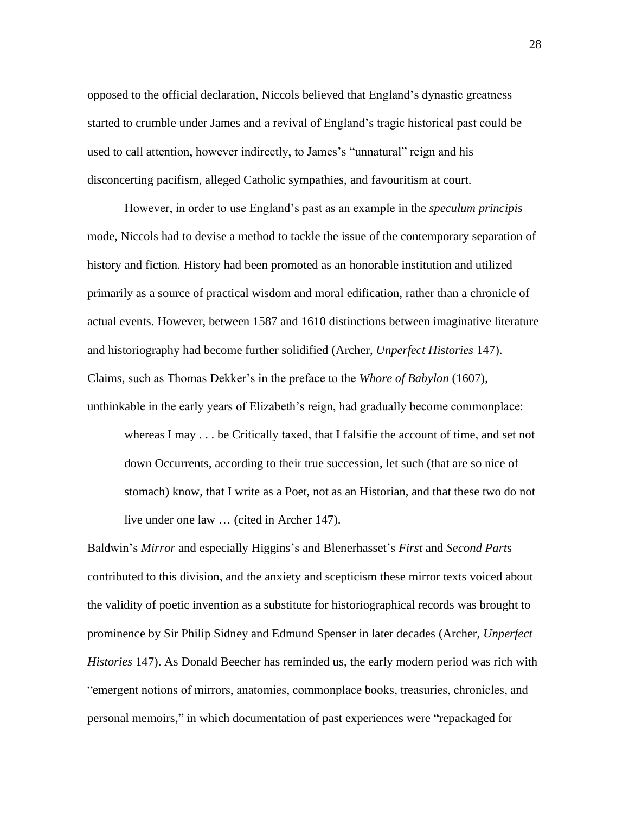opposed to the official declaration, Niccols believed that England's dynastic greatness started to crumble under James and a revival of England's tragic historical past could be used to call attention, however indirectly, to James's "unnatural" reign and his disconcerting pacifism, alleged Catholic sympathies, and favouritism at court.

However, in order to use England's past as an example in the *speculum principis*  mode, Niccols had to devise a method to tackle the issue of the contemporary separation of history and fiction. History had been promoted as an honorable institution and utilized primarily as a source of practical wisdom and moral edification, rather than a chronicle of actual events. However, between 1587 and 1610 distinctions between imaginative literature and historiography had become further solidified (Archer, *Unperfect Histories* 147). Claims, such as Thomas Dekker's in the preface to the *Whore of Babylon* (1607), unthinkable in the early years of Elizabeth's reign, had gradually become commonplace:

whereas I may . . . be Critically taxed, that I falsifie the account of time, and set not down Occurrents, according to their true succession, let such (that are so nice of stomach) know, that I write as a Poet, not as an Historian, and that these two do not live under one law … (cited in Archer 147).

Baldwin's *Mirror* and especially Higgins's and Blenerhasset's *First* and *Second Part*s contributed to this division, and the anxiety and scepticism these mirror texts voiced about the validity of poetic invention as a substitute for historiographical records was brought to prominence by Sir Philip Sidney and Edmund Spenser in later decades (Archer, *Unperfect Histories* 147). As Donald Beecher has reminded us, the early modern period was rich with "emergent notions of mirrors, anatomies, commonplace books, treasuries, chronicles, and personal memoirs," in which documentation of past experiences were "repackaged for

28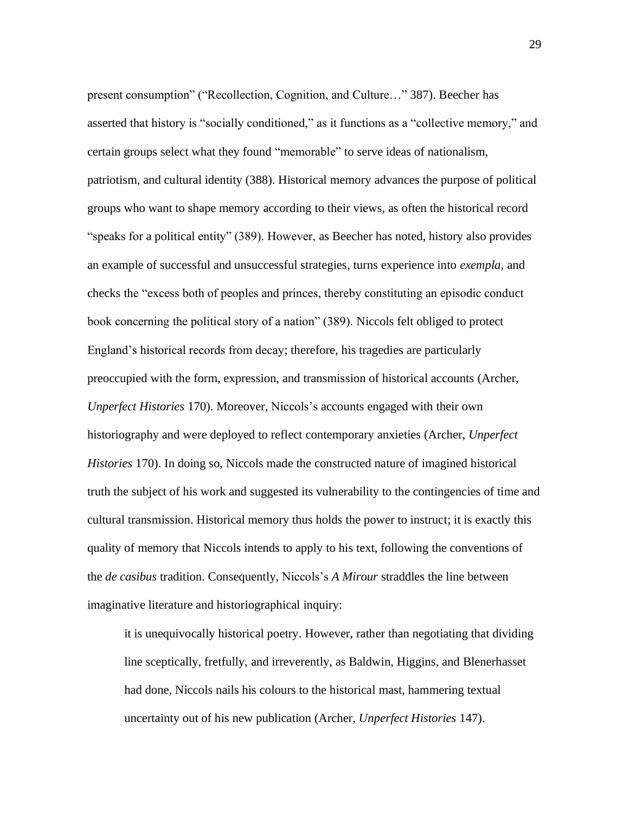present consumption" ("Recollection, Cognition, and Culture…" 387). Beecher has asserted that history is "socially conditioned," as it functions as a "collective memory," and certain groups select what they found "memorable" to serve ideas of nationalism, patriotism, and cultural identity (388). Historical memory advances the purpose of political groups who want to shape memory according to their views, as often the historical record "speaks for a political entity" (389). However, as Beecher has noted, history also provides an example of successful and unsuccessful strategies, turns experience into *exempla*, and checks the "excess both of peoples and princes, thereby constituting an episodic conduct book concerning the political story of a nation" (389). Niccols felt obliged to protect England's historical records from decay; therefore, his tragedies are particularly preoccupied with the form, expression, and transmission of historical accounts (Archer, *Unperfect Histories* 170). Moreover, Niccols's accounts engaged with their own historiography and were deployed to reflect contemporary anxieties (Archer, *Unperfect Histories* 170). In doing so, Niccols made the constructed nature of imagined historical truth the subject of his work and suggested its vulnerability to the contingencies of time and cultural transmission. Historical memory thus holds the power to instruct; it is exactly this quality of memory that Niccols intends to apply to his text, following the conventions of the *de casibus* tradition. Consequently, Niccols's *A Mirour* straddles the line between imaginative literature and historiographical inquiry:

it is unequivocally historical poetry. However, rather than negotiating that dividing line sceptically, fretfully, and irreverently, as Baldwin, Higgins, and Blenerhasset had done, Niccols nails his colours to the historical mast, hammering textual uncertainty out of his new publication (Archer, *Unperfect Histories* 147).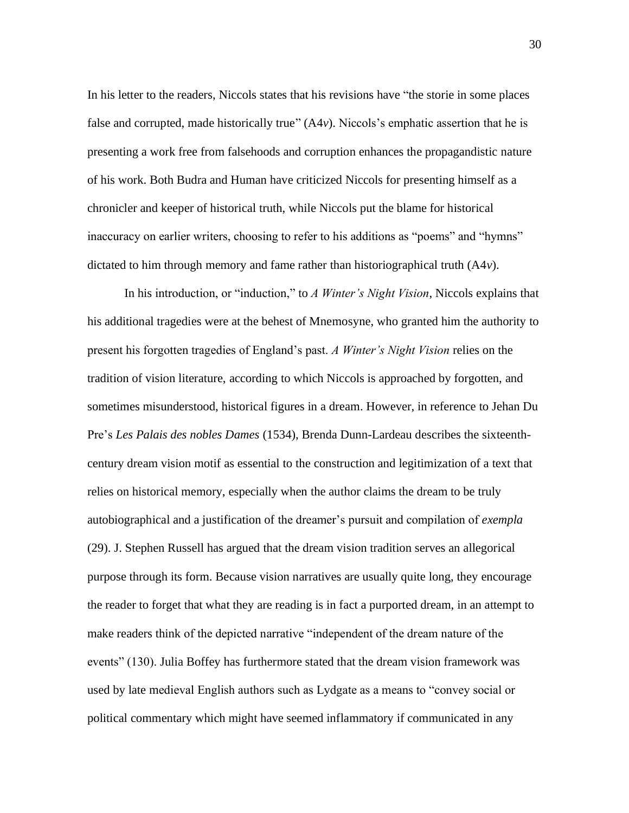In his letter to the readers, Niccols states that his revisions have "the storie in some places false and corrupted, made historically true"  $(A4v)$ . Niccols's emphatic assertion that he is presenting a work free from falsehoods and corruption enhances the propagandistic nature of his work. Both Budra and Human have criticized Niccols for presenting himself as a chronicler and keeper of historical truth, while Niccols put the blame for historical inaccuracy on earlier writers, choosing to refer to his additions as "poems" and "hymns" dictated to him through memory and fame rather than historiographical truth (A4*v*).

In his introduction, or "induction," to *A Winter's Night Vision*, Niccols explains that his additional tragedies were at the behest of Mnemosyne, who granted him the authority to present his forgotten tragedies of England's past. *A Winter's Night Vision* relies on the tradition of vision literature, according to which Niccols is approached by forgotten, and sometimes misunderstood, historical figures in a dream. However, in reference to Jehan Du Pre's *Les Palais des nobles Dames* (1534), Brenda Dunn-Lardeau describes the sixteenthcentury dream vision motif as essential to the construction and legitimization of a text that relies on historical memory, especially when the author claims the dream to be truly autobiographical and a justification of the dreamer's pursuit and compilation of *exempla* (29). J. Stephen Russell has argued that the dream vision tradition serves an allegorical purpose through its form. Because vision narratives are usually quite long, they encourage the reader to forget that what they are reading is in fact a purported dream, in an attempt to make readers think of the depicted narrative "independent of the dream nature of the events" (130). Julia Boffey has furthermore stated that the dream vision framework was used by late medieval English authors such as Lydgate as a means to "convey social or political commentary which might have seemed inflammatory if communicated in any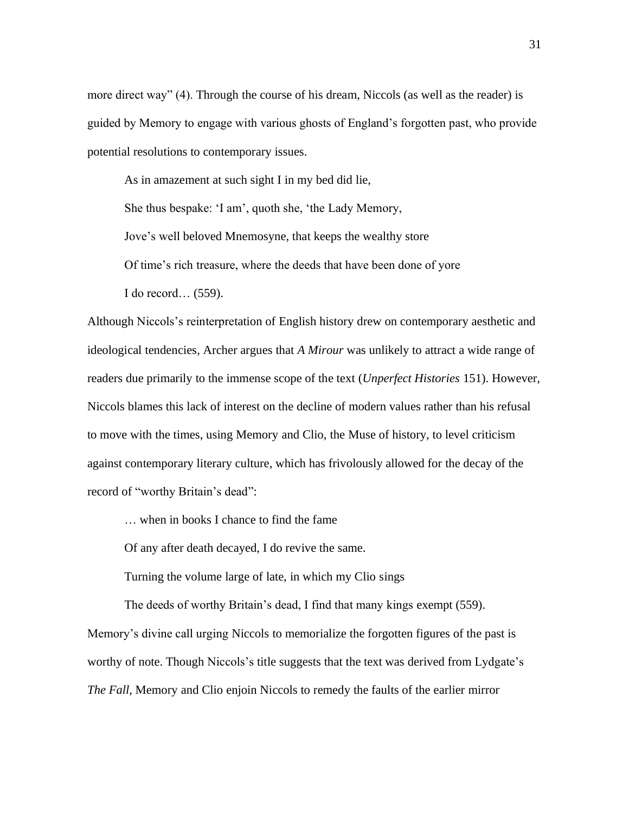more direct way" (4). Through the course of his dream, Niccols (as well as the reader) is guided by Memory to engage with various ghosts of England's forgotten past, who provide potential resolutions to contemporary issues.

As in amazement at such sight I in my bed did lie, She thus bespake: 'I am', quoth she, 'the Lady Memory, Jove's well beloved Mnemosyne, that keeps the wealthy store Of time's rich treasure, where the deeds that have been done of yore I do record… (559).

Although Niccols's reinterpretation of English history drew on contemporary aesthetic and ideological tendencies, Archer argues that *A Mirour* was unlikely to attract a wide range of readers due primarily to the immense scope of the text (*Unperfect Histories* 151). However, Niccols blames this lack of interest on the decline of modern values rather than his refusal to move with the times, using Memory and Clio, the Muse of history, to level criticism against contemporary literary culture, which has frivolously allowed for the decay of the record of "worthy Britain's dead":

… when in books I chance to find the fame

Of any after death decayed, I do revive the same.

Turning the volume large of late, in which my Clio sings

The deeds of worthy Britain's dead, I find that many kings exempt (559).

Memory's divine call urging Niccols to memorialize the forgotten figures of the past is worthy of note. Though Niccols's title suggests that the text was derived from Lydgate's *The Fall*, Memory and Clio enjoin Niccols to remedy the faults of the earlier mirror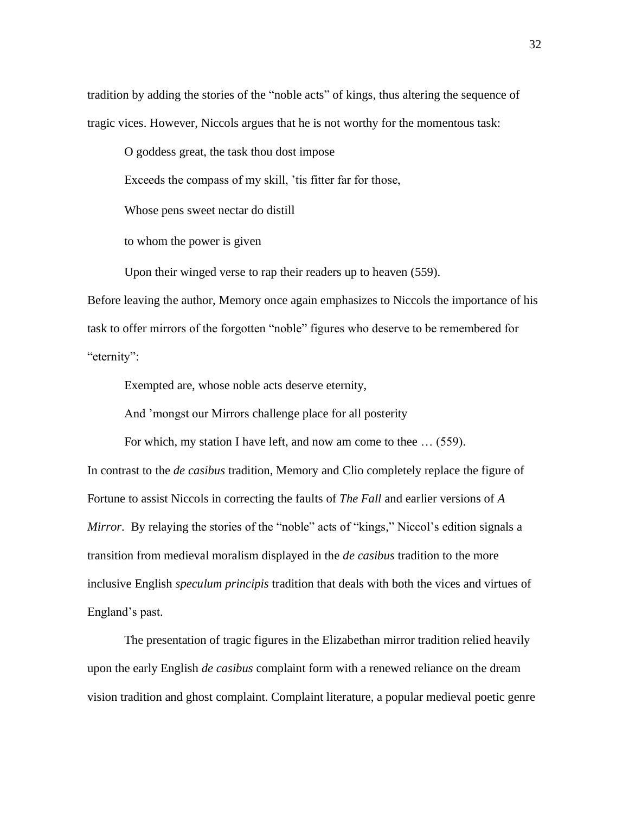tradition by adding the stories of the "noble acts" of kings, thus altering the sequence of tragic vices. However, Niccols argues that he is not worthy for the momentous task:

O goddess great, the task thou dost impose

Exceeds the compass of my skill, 'tis fitter far for those,

Whose pens sweet nectar do distill

to whom the power is given

Upon their winged verse to rap their readers up to heaven (559).

Before leaving the author, Memory once again emphasizes to Niccols the importance of his task to offer mirrors of the forgotten "noble" figures who deserve to be remembered for "eternity":

Exempted are, whose noble acts deserve eternity,

And 'mongst our Mirrors challenge place for all posterity

For which, my station I have left, and now am come to thee … (559).

In contrast to the *de casibus* tradition, Memory and Clio completely replace the figure of Fortune to assist Niccols in correcting the faults of *The Fall* and earlier versions of *A Mirror.* By relaying the stories of the "noble" acts of "kings," Niccol's edition signals a transition from medieval moralism displayed in the *de casibus* tradition to the more inclusive English *speculum principis* tradition that deals with both the vices and virtues of England's past.

The presentation of tragic figures in the Elizabethan mirror tradition relied heavily upon the early English *de casibus* complaint form with a renewed reliance on the dream vision tradition and ghost complaint. Complaint literature, a popular medieval poetic genre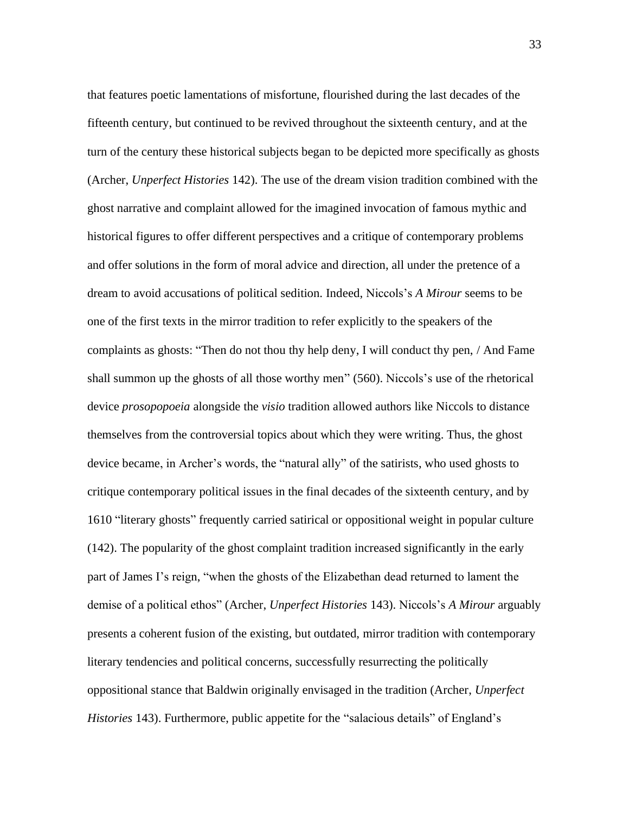that features poetic lamentations of misfortune, flourished during the last decades of the fifteenth century, but continued to be revived throughout the sixteenth century, and at the turn of the century these historical subjects began to be depicted more specifically as ghosts (Archer, *Unperfect Histories* 142). The use of the dream vision tradition combined with the ghost narrative and complaint allowed for the imagined invocation of famous mythic and historical figures to offer different perspectives and a critique of contemporary problems and offer solutions in the form of moral advice and direction, all under the pretence of a dream to avoid accusations of political sedition. Indeed, Niccols's *A Mirour* seems to be one of the first texts in the mirror tradition to refer explicitly to the speakers of the complaints as ghosts: "Then do not thou thy help deny, I will conduct thy pen, / And Fame shall summon up the ghosts of all those worthy men" (560). Niccols's use of the rhetorical device *prosopopoeia* alongside the *visio* tradition allowed authors like Niccols to distance themselves from the controversial topics about which they were writing. Thus, the ghost device became, in Archer's words, the "natural ally" of the satirists, who used ghosts to critique contemporary political issues in the final decades of the sixteenth century, and by 1610 "literary ghosts" frequently carried satirical or oppositional weight in popular culture (142). The popularity of the ghost complaint tradition increased significantly in the early part of James I's reign, "when the ghosts of the Elizabethan dead returned to lament the demise of a political ethos" (Archer, *Unperfect Histories* 143). Niccols's *A Mirour* arguably presents a coherent fusion of the existing, but outdated, mirror tradition with contemporary literary tendencies and political concerns, successfully resurrecting the politically oppositional stance that Baldwin originally envisaged in the tradition (Archer, *Unperfect Histories* 143). Furthermore, public appetite for the "salacious details" of England's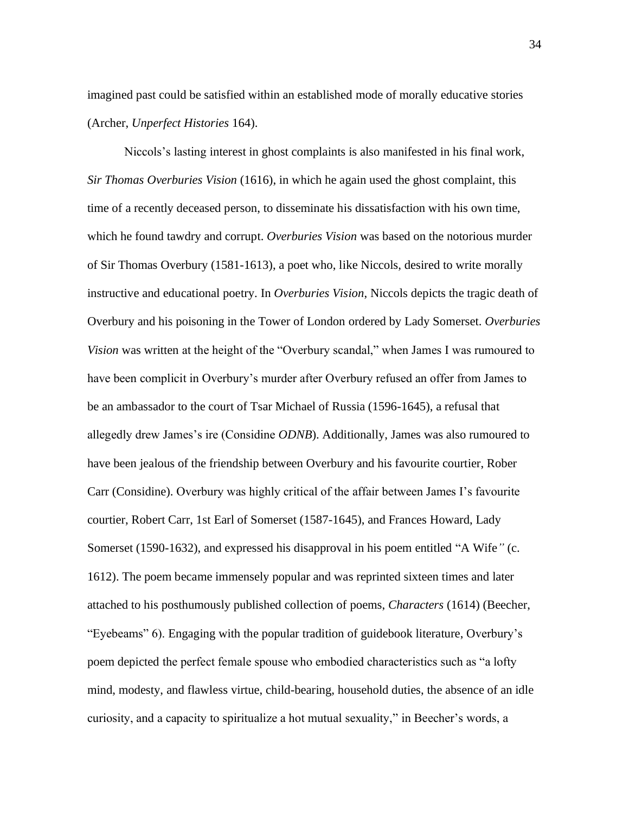imagined past could be satisfied within an established mode of morally educative stories (Archer, *Unperfect Histories* 164).

Niccols's lasting interest in ghost complaints is also manifested in his final work, *Sir Thomas Overburies Vision* (1616), in which he again used the ghost complaint, this time of a recently deceased person, to disseminate his dissatisfaction with his own time, which he found tawdry and corrupt. *Overburies Vision* was based on the notorious murder of Sir Thomas Overbury (1581-1613), a poet who, like Niccols, desired to write morally instructive and educational poetry. In *Overburies Vision*, Niccols depicts the tragic death of Overbury and his poisoning in the Tower of London ordered by Lady Somerset. *Overburies Vision* was written at the height of the "Overbury scandal," when James I was rumoured to have been complicit in Overbury's murder after Overbury refused an offer from James to be an ambassador to the court of Tsar Michael of Russia (1596-1645), a refusal that allegedly drew James's ire (Considine *ODNB*). Additionally, James was also rumoured to have been jealous of the friendship between Overbury and his favourite courtier, Rober Carr (Considine). Overbury was highly critical of the affair between James I's favourite courtier, Robert Carr, 1st Earl of Somerset (1587-1645), and Frances Howard, Lady Somerset (1590-1632), and expressed his disapproval in his poem entitled "A Wife*"* (c. 1612). The poem became immensely popular and was reprinted sixteen times and later attached to his posthumously published collection of poems, *Characters* (1614) (Beecher, "Eyebeams" 6). Engaging with the popular tradition of guidebook literature, Overbury's poem depicted the perfect female spouse who embodied characteristics such as "a lofty mind, modesty, and flawless virtue, child-bearing, household duties, the absence of an idle curiosity, and a capacity to spiritualize a hot mutual sexuality," in Beecher's words, a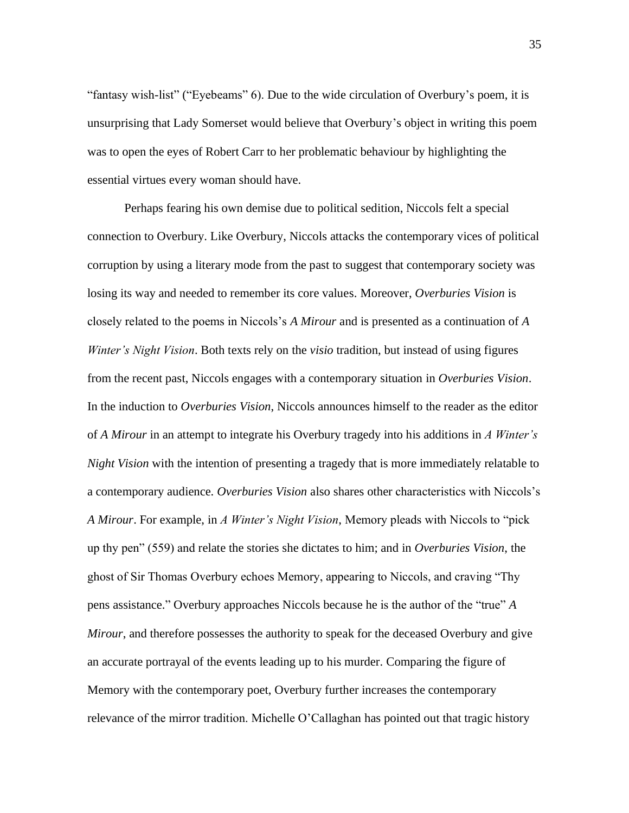"fantasy wish-list" ("Eyebeams" 6). Due to the wide circulation of Overbury's poem, it is unsurprising that Lady Somerset would believe that Overbury's object in writing this poem was to open the eyes of Robert Carr to her problematic behaviour by highlighting the essential virtues every woman should have.

Perhaps fearing his own demise due to political sedition, Niccols felt a special connection to Overbury. Like Overbury, Niccols attacks the contemporary vices of political corruption by using a literary mode from the past to suggest that contemporary society was losing its way and needed to remember its core values. Moreover, *Overburies Vision* is closely related to the poems in Niccols's *A Mirour* and is presented as a continuation of *A Winter's Night Vision*. Both texts rely on the *visio* tradition, but instead of using figures from the recent past, Niccols engages with a contemporary situation in *Overburies Vision*. In the induction to *Overburies Vision*, Niccols announces himself to the reader as the editor of *A Mirour* in an attempt to integrate his Overbury tragedy into his additions in *A Winter's Night Vision* with the intention of presenting a tragedy that is more immediately relatable to a contemporary audience. *Overburies Vision* also shares other characteristics with Niccols's *A Mirour*. For example, in *A Winter's Night Vision*, Memory pleads with Niccols to "pick up thy pen" (559) and relate the stories she dictates to him; and in *Overburies Vision*, the ghost of Sir Thomas Overbury echoes Memory, appearing to Niccols, and craving "Thy pens assistance." Overbury approaches Niccols because he is the author of the "true" *A Mirour*, and therefore possesses the authority to speak for the deceased Overbury and give an accurate portrayal of the events leading up to his murder. Comparing the figure of Memory with the contemporary poet, Overbury further increases the contemporary relevance of the mirror tradition. Michelle O'Callaghan has pointed out that tragic history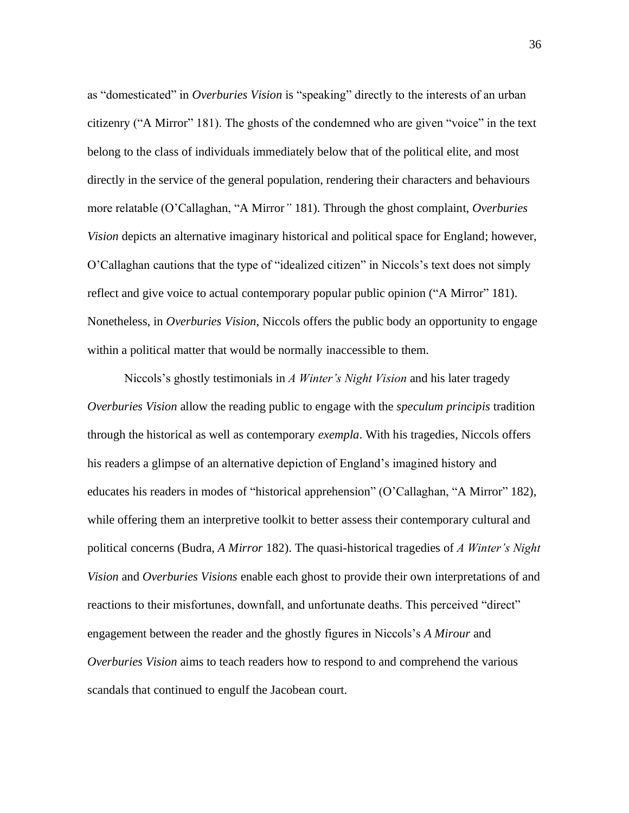as "domesticated" in *Overburies Vision* is "speaking" directly to the interests of an urban citizenry ("A Mirror" 181). The ghosts of the condemned who are given "voice" in the text belong to the class of individuals immediately below that of the political elite, and most directly in the service of the general population, rendering their characters and behaviours more relatable (O'Callaghan, "A Mirror*"* 181). Through the ghost complaint, *Overburies Vision* depicts an alternative imaginary historical and political space for England; however, O'Callaghan cautions that the type of "idealized citizen" in Niccols's text does not simply reflect and give voice to actual contemporary popular public opinion ("A Mirror" 181). Nonetheless, in *Overburies Vision*, Niccols offers the public body an opportunity to engage within a political matter that would be normally inaccessible to them.

Niccols's ghostly testimonials in *A Winter's Night Vision* and his later tragedy *Overburies Vision* allow the reading public to engage with the *speculum principis* tradition through the historical as well as contemporary *exempla*. With his tragedies, Niccols offers his readers a glimpse of an alternative depiction of England's imagined history and educates his readers in modes of "historical apprehension" (O'Callaghan, "A Mirror" 182), while offering them an interpretive toolkit to better assess their contemporary cultural and political concerns (Budra, *A Mirror* 182). The quasi-historical tragedies of *A Winter's Night Vision* and *Overburies Visions* enable each ghost to provide their own interpretations of and reactions to their misfortunes, downfall, and unfortunate deaths. This perceived "direct" engagement between the reader and the ghostly figures in Niccols's *A Mirour* and *Overburies Vision* aims to teach readers how to respond to and comprehend the various scandals that continued to engulf the Jacobean court.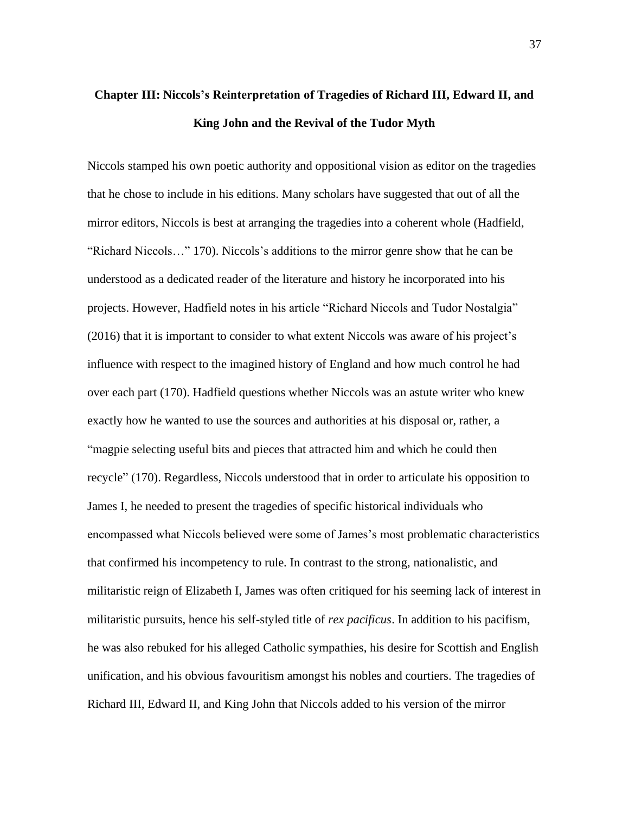## **Chapter III: Niccols's Reinterpretation of Tragedies of Richard III, Edward II, and King John and the Revival of the Tudor Myth**

Niccols stamped his own poetic authority and oppositional vision as editor on the tragedies that he chose to include in his editions. Many scholars have suggested that out of all the mirror editors, Niccols is best at arranging the tragedies into a coherent whole (Hadfield, "Richard Niccols…" 170). Niccols's additions to the mirror genre show that he can be understood as a dedicated reader of the literature and history he incorporated into his projects. However, Hadfield notes in his article "Richard Niccols and Tudor Nostalgia" (2016) that it is important to consider to what extent Niccols was aware of his project's influence with respect to the imagined history of England and how much control he had over each part (170). Hadfield questions whether Niccols was an astute writer who knew exactly how he wanted to use the sources and authorities at his disposal or, rather, a "magpie selecting useful bits and pieces that attracted him and which he could then recycle" (170). Regardless, Niccols understood that in order to articulate his opposition to James I, he needed to present the tragedies of specific historical individuals who encompassed what Niccols believed were some of James's most problematic characteristics that confirmed his incompetency to rule. In contrast to the strong, nationalistic, and militaristic reign of Elizabeth I, James was often critiqued for his seeming lack of interest in militaristic pursuits, hence his self-styled title of *rex pacificus*. In addition to his pacifism, he was also rebuked for his alleged Catholic sympathies, his desire for Scottish and English unification, and his obvious favouritism amongst his nobles and courtiers. The tragedies of Richard III, Edward II, and King John that Niccols added to his version of the mirror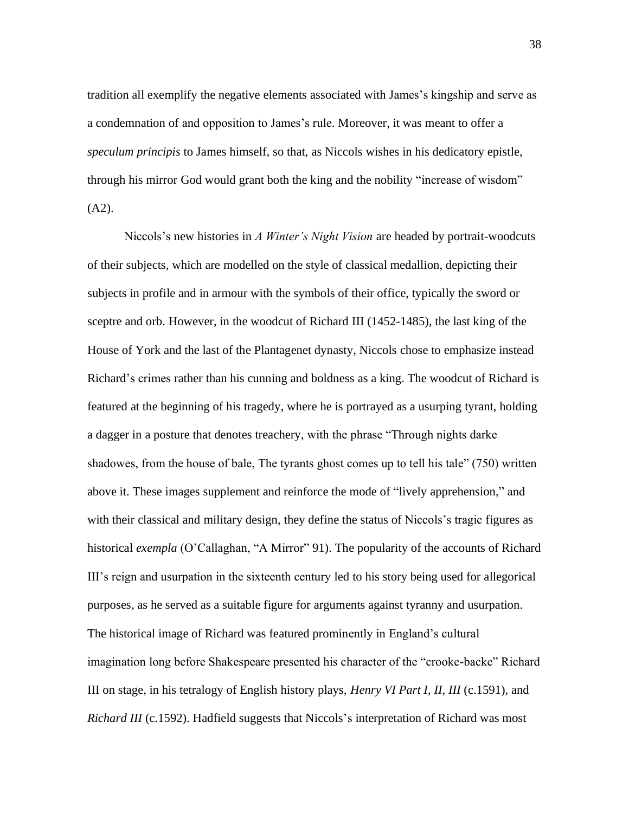tradition all exemplify the negative elements associated with James's kingship and serve as a condemnation of and opposition to James's rule. Moreover, it was meant to offer a *speculum principis* to James himself, so that, as Niccols wishes in his dedicatory epistle, through his mirror God would grant both the king and the nobility "increase of wisdom"  $(A2)$ .

Niccols's new histories in *A Winter's Night Vision* are headed by portrait-woodcuts of their subjects, which are modelled on the style of classical medallion, depicting their subjects in profile and in armour with the symbols of their office, typically the sword or sceptre and orb. However, in the woodcut of Richard III (1452-1485), the last king of the House of York and the last of the Plantagenet dynasty, Niccols chose to emphasize instead Richard's crimes rather than his cunning and boldness as a king. The woodcut of Richard is featured at the beginning of his tragedy, where he is portrayed as a usurping tyrant, holding a dagger in a posture that denotes treachery, with the phrase "Through nights darke shadowes, from the house of bale, The tyrants ghost comes up to tell his tale" (750) written above it. These images supplement and reinforce the mode of "lively apprehension," and with their classical and military design, they define the status of Niccols's tragic figures as historical *exempla* (O'Callaghan, "A Mirror" 91). The popularity of the accounts of Richard III's reign and usurpation in the sixteenth century led to his story being used for allegorical purposes, as he served as a suitable figure for arguments against tyranny and usurpation. The historical image of Richard was featured prominently in England's cultural imagination long before Shakespeare presented his character of the "crooke-backe" Richard III on stage, in his tetralogy of English history plays, *Henry VI Part I*, *II, III* (c.1591), and *Richard III* (c.1592). Hadfield suggests that Niccols's interpretation of Richard was most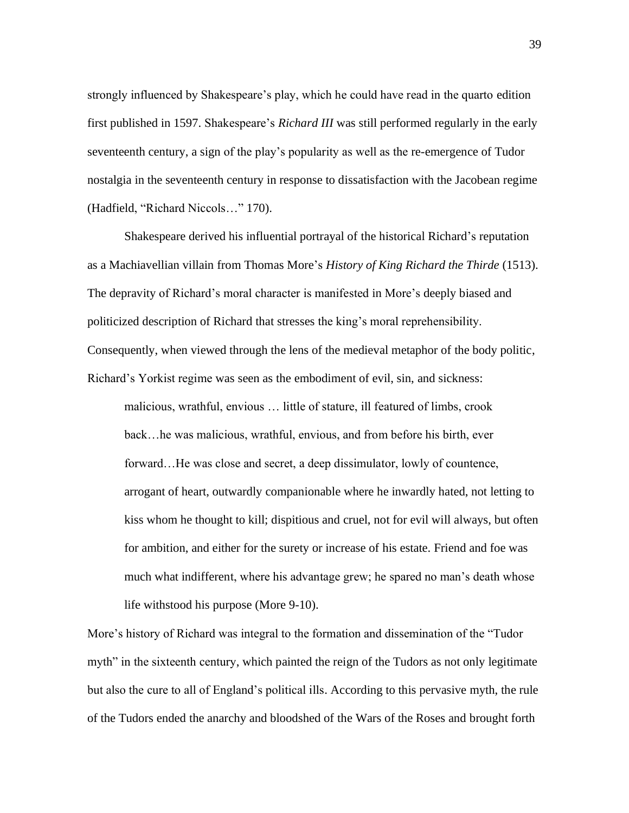strongly influenced by Shakespeare's play, which he could have read in the quarto edition first published in 1597. Shakespeare's *Richard III* was still performed regularly in the early seventeenth century, a sign of the play's popularity as well as the re-emergence of Tudor nostalgia in the seventeenth century in response to dissatisfaction with the Jacobean regime (Hadfield, "Richard Niccols…" 170).

Shakespeare derived his influential portrayal of the historical Richard's reputation as a Machiavellian villain from Thomas More's *History of King Richard the Thirde* (1513). The depravity of Richard's moral character is manifested in More's deeply biased and politicized description of Richard that stresses the king's moral reprehensibility. Consequently, when viewed through the lens of the medieval metaphor of the body politic, Richard's Yorkist regime was seen as the embodiment of evil, sin, and sickness:

malicious, wrathful, envious … little of stature, ill featured of limbs, crook back…he was malicious, wrathful, envious, and from before his birth, ever forward…He was close and secret, a deep dissimulator, lowly of countence, arrogant of heart, outwardly companionable where he inwardly hated, not letting to kiss whom he thought to kill; dispitious and cruel, not for evil will always, but often for ambition, and either for the surety or increase of his estate. Friend and foe was much what indifferent, where his advantage grew; he spared no man's death whose life withstood his purpose (More 9-10).

More's history of Richard was integral to the formation and dissemination of the "Tudor myth" in the sixteenth century, which painted the reign of the Tudors as not only legitimate but also the cure to all of England's political ills. According to this pervasive myth, the rule of the Tudors ended the anarchy and bloodshed of the Wars of the Roses and brought forth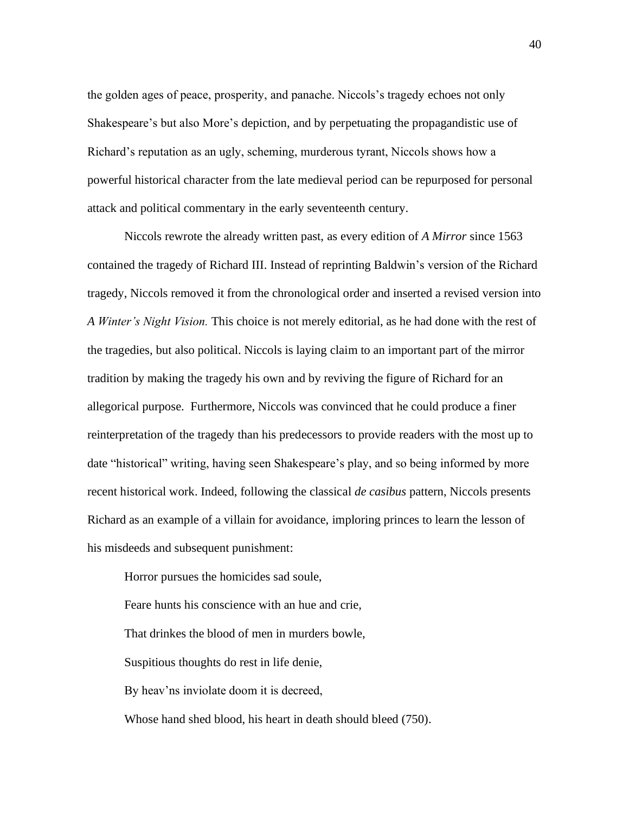the golden ages of peace, prosperity, and panache. Niccols's tragedy echoes not only Shakespeare's but also More's depiction, and by perpetuating the propagandistic use of Richard's reputation as an ugly, scheming, murderous tyrant, Niccols shows how a powerful historical character from the late medieval period can be repurposed for personal attack and political commentary in the early seventeenth century.

Niccols rewrote the already written past, as every edition of *A Mirror* since 1563 contained the tragedy of Richard III. Instead of reprinting Baldwin's version of the Richard tragedy, Niccols removed it from the chronological order and inserted a revised version into *A Winter's Night Vision.* This choice is not merely editorial, as he had done with the rest of the tragedies, but also political. Niccols is laying claim to an important part of the mirror tradition by making the tragedy his own and by reviving the figure of Richard for an allegorical purpose. Furthermore, Niccols was convinced that he could produce a finer reinterpretation of the tragedy than his predecessors to provide readers with the most up to date "historical" writing, having seen Shakespeare's play, and so being informed by more recent historical work. Indeed, following the classical *de casibus* pattern, Niccols presents Richard as an example of a villain for avoidance, imploring princes to learn the lesson of his misdeeds and subsequent punishment:

Horror pursues the homicides sad soule,

Feare hunts his conscience with an hue and crie,

That drinkes the blood of men in murders bowle,

Suspitious thoughts do rest in life denie,

By heav'ns inviolate doom it is decreed,

Whose hand shed blood, his heart in death should bleed (750).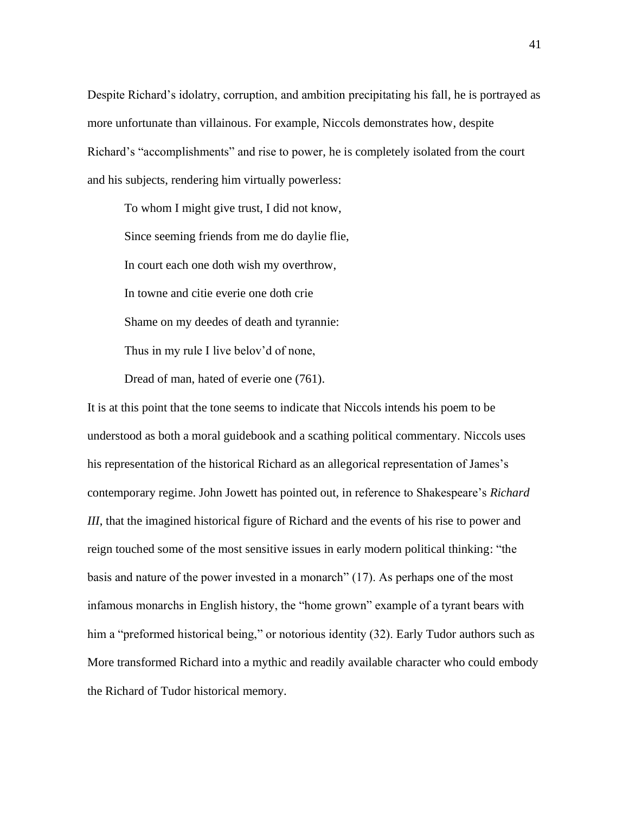Despite Richard's idolatry, corruption, and ambition precipitating his fall, he is portrayed as more unfortunate than villainous. For example, Niccols demonstrates how, despite Richard's "accomplishments" and rise to power, he is completely isolated from the court and his subjects, rendering him virtually powerless:

To whom I might give trust, I did not know, Since seeming friends from me do daylie flie, In court each one doth wish my overthrow, In towne and citie everie one doth crie Shame on my deedes of death and tyrannie: Thus in my rule I live belov'd of none,

Dread of man, hated of everie one (761).

It is at this point that the tone seems to indicate that Niccols intends his poem to be understood as both a moral guidebook and a scathing political commentary. Niccols uses his representation of the historical Richard as an allegorical representation of James's contemporary regime. John Jowett has pointed out, in reference to Shakespeare's *Richard III*, that the imagined historical figure of Richard and the events of his rise to power and reign touched some of the most sensitive issues in early modern political thinking: "the basis and nature of the power invested in a monarch" (17). As perhaps one of the most infamous monarchs in English history, the "home grown" example of a tyrant bears with him a "preformed historical being," or notorious identity (32). Early Tudor authors such as More transformed Richard into a mythic and readily available character who could embody the Richard of Tudor historical memory.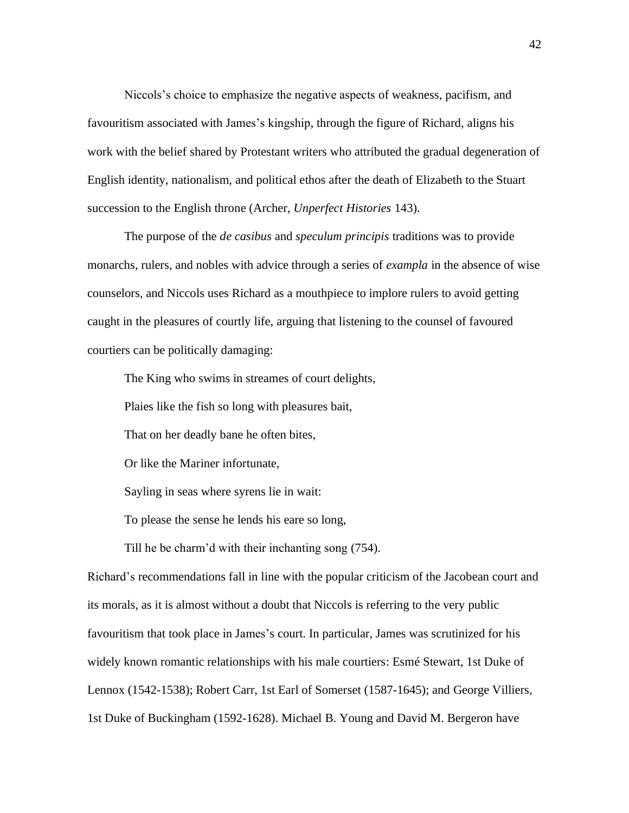Niccols's choice to emphasize the negative aspects of weakness, pacifism, and favouritism associated with James's kingship, through the figure of Richard, aligns his work with the belief shared by Protestant writers who attributed the gradual degeneration of English identity, nationalism, and political ethos after the death of Elizabeth to the Stuart succession to the English throne (Archer, *Unperfect Histories* 143).

The purpose of the *de casibus* and *speculum principis* traditions was to provide monarchs, rulers, and nobles with advice through a series of *exampla* in the absence of wise counselors, and Niccols uses Richard as a mouthpiece to implore rulers to avoid getting caught in the pleasures of courtly life, arguing that listening to the counsel of favoured courtiers can be politically damaging:

The King who swims in streames of court delights,

Plaies like the fish so long with pleasures bait,

That on her deadly bane he often bites,

Or like the Mariner infortunate,

Sayling in seas where syrens lie in wait:

To please the sense he lends his eare so long,

Till he be charm'd with their inchanting song (754).

Richard's recommendations fall in line with the popular criticism of the Jacobean court and its morals, as it is almost without a doubt that Niccols is referring to the very public favouritism that took place in James's court. In particular, James was scrutinized for his widely known romantic relationships with his male courtiers: Esmé Stewart, 1st Duke of Lennox (1542-1538); Robert Carr, 1st Earl of Somerset (1587-1645); and George Villiers, 1st Duke of Buckingham (1592-1628). Michael B. Young and David M. Bergeron have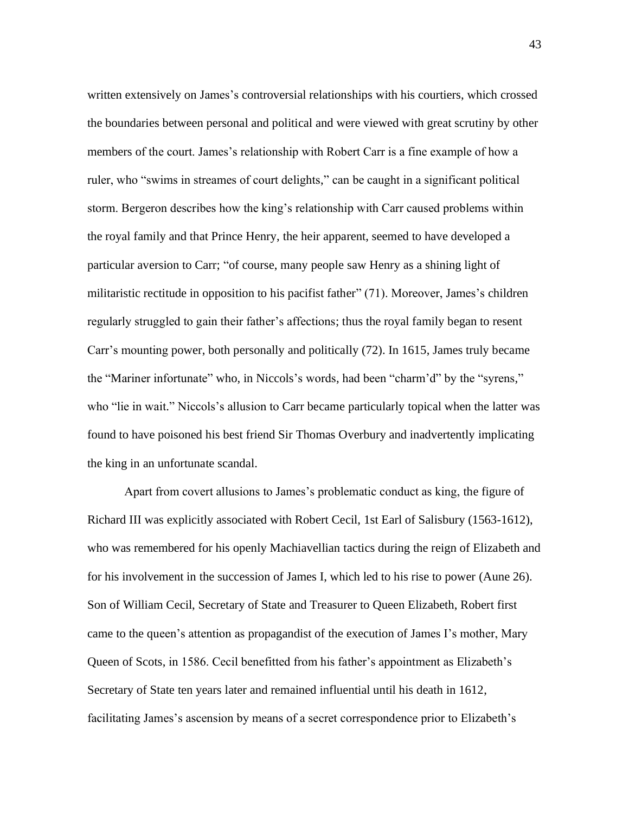written extensively on James's controversial relationships with his courtiers, which crossed the boundaries between personal and political and were viewed with great scrutiny by other members of the court. James's relationship with Robert Carr is a fine example of how a ruler, who "swims in streames of court delights," can be caught in a significant political storm. Bergeron describes how the king's relationship with Carr caused problems within the royal family and that Prince Henry, the heir apparent, seemed to have developed a particular aversion to Carr; "of course, many people saw Henry as a shining light of militaristic rectitude in opposition to his pacifist father" (71). Moreover, James's children regularly struggled to gain their father's affections; thus the royal family began to resent Carr's mounting power, both personally and politically (72). In 1615, James truly became the "Mariner infortunate" who, in Niccols's words, had been "charm'd" by the "syrens," who "lie in wait." Niccols's allusion to Carr became particularly topical when the latter was found to have poisoned his best friend Sir Thomas Overbury and inadvertently implicating the king in an unfortunate scandal.

Apart from covert allusions to James's problematic conduct as king, the figure of Richard III was explicitly associated with Robert Cecil, 1st Earl of Salisbury (1563-1612), who was remembered for his openly Machiavellian tactics during the reign of Elizabeth and for his involvement in the succession of James I, which led to his rise to power (Aune 26). Son of William Cecil, Secretary of State and Treasurer to Queen Elizabeth, Robert first came to the queen's attention as propagandist of the execution of James I's mother, Mary Queen of Scots, in 1586. Cecil benefitted from his father's appointment as Elizabeth's Secretary of State ten years later and remained influential until his death in 1612, facilitating James's ascension by means of a secret correspondence prior to Elizabeth's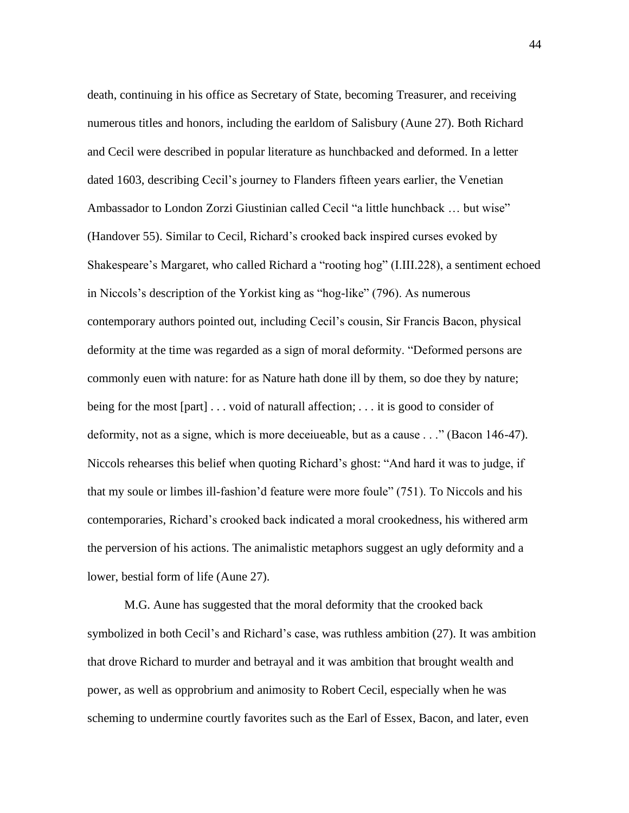death, continuing in his office as Secretary of State, becoming Treasurer, and receiving numerous titles and honors, including the earldom of Salisbury (Aune 27). Both Richard and Cecil were described in popular literature as hunchbacked and deformed. In a letter dated 1603, describing Cecil's journey to Flanders fifteen years earlier, the Venetian Ambassador to London Zorzi Giustinian called Cecil "a little hunchback … but wise" (Handover 55). Similar to Cecil, Richard's crooked back inspired curses evoked by Shakespeare's Margaret, who called Richard a "rooting hog" (I.III.228), a sentiment echoed in Niccols's description of the Yorkist king as "hog-like" (796). As numerous contemporary authors pointed out, including Cecil's cousin, Sir Francis Bacon, physical deformity at the time was regarded as a sign of moral deformity. "Deformed persons are commonly euen with nature: for as Nature hath done ill by them, so doe they by nature; being for the most [part] . . . void of naturall affection; *. . .* it is good to consider of deformity, not as a signe, which is more deceiueable, but as a cause . . ." (Bacon 146-47). Niccols rehearses this belief when quoting Richard's ghost: "And hard it was to judge, if that my soule or limbes ill-fashion'd feature were more foule" (751). To Niccols and his contemporaries, Richard's crooked back indicated a moral crookedness, his withered arm the perversion of his actions. The animalistic metaphors suggest an ugly deformity and a lower, bestial form of life (Aune 27).

M.G. Aune has suggested that the moral deformity that the crooked back symbolized in both Cecil's and Richard's case, was ruthless ambition (27). It was ambition that drove Richard to murder and betrayal and it was ambition that brought wealth and power, as well as opprobrium and animosity to Robert Cecil, especially when he was scheming to undermine courtly favorites such as the Earl of Essex, Bacon, and later, even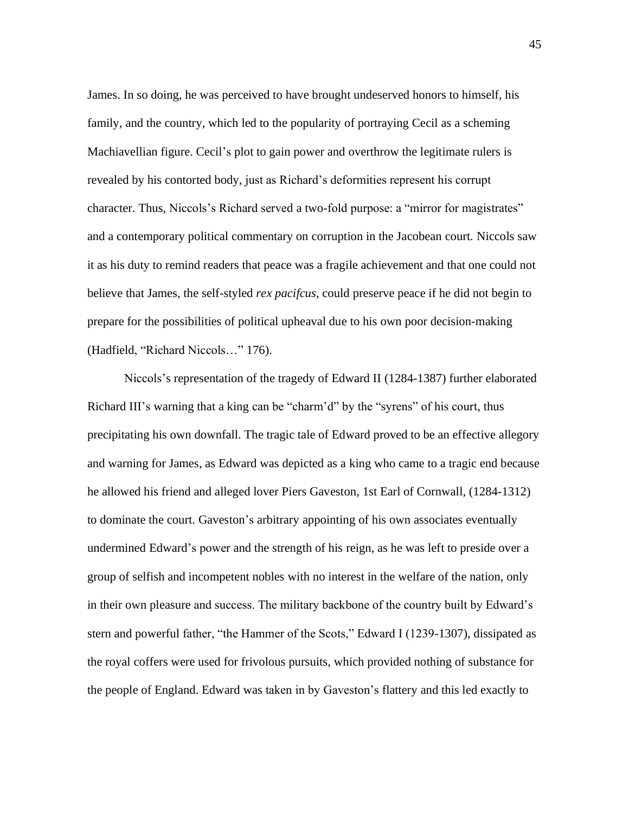James. In so doing, he was perceived to have brought undeserved honors to himself, his family, and the country, which led to the popularity of portraying Cecil as a scheming Machiavellian figure. Cecil's plot to gain power and overthrow the legitimate rulers is revealed by his contorted body, just as Richard's deformities represent his corrupt character. Thus, Niccols's Richard served a two-fold purpose: a "mirror for magistrates" and a contemporary political commentary on corruption in the Jacobean court. Niccols saw it as his duty to remind readers that peace was a fragile achievement and that one could not believe that James, the self-styled *rex pacifcus*, could preserve peace if he did not begin to prepare for the possibilities of political upheaval due to his own poor decision-making (Hadfield, "Richard Niccols…" 176).

Niccols's representation of the tragedy of Edward II (1284-1387) further elaborated Richard III's warning that a king can be "charm'd" by the "syrens" of his court, thus precipitating his own downfall. The tragic tale of Edward proved to be an effective allegory and warning for James, as Edward was depicted as a king who came to a tragic end because he allowed his friend and alleged lover Piers Gaveston, 1st Earl of Cornwall, (1284-1312) to dominate the court. Gaveston's arbitrary appointing of his own associates eventually undermined Edward's power and the strength of his reign, as he was left to preside over a group of selfish and incompetent nobles with no interest in the welfare of the nation, only in their own pleasure and success. The military backbone of the country built by Edward's stern and powerful father, "the Hammer of the Scots," Edward I (1239-1307), dissipated as the royal coffers were used for frivolous pursuits, which provided nothing of substance for the people of England. Edward was taken in by Gaveston's flattery and this led exactly to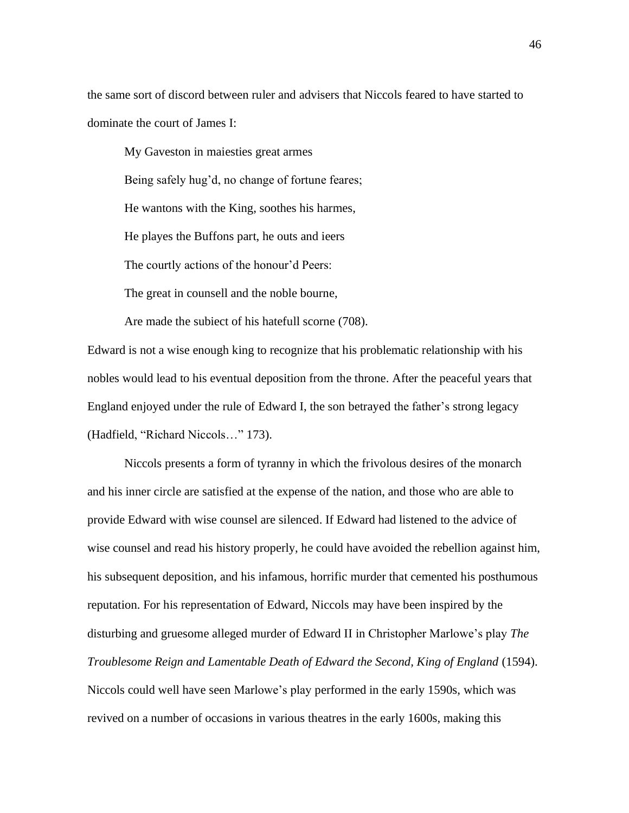the same sort of discord between ruler and advisers that Niccols feared to have started to dominate the court of James I:

My Gaveston in maiesties great armes Being safely hug'd, no change of fortune feares; He wantons with the King, soothes his harmes, He playes the Buffons part, he outs and ieers The courtly actions of the honour'd Peers: The great in counsell and the noble bourne,

Are made the subiect of his hatefull scorne (708).

Edward is not a wise enough king to recognize that his problematic relationship with his nobles would lead to his eventual deposition from the throne. After the peaceful years that England enjoyed under the rule of Edward I, the son betrayed the father's strong legacy (Hadfield, "Richard Niccols…" 173).

Niccols presents a form of tyranny in which the frivolous desires of the monarch and his inner circle are satisfied at the expense of the nation, and those who are able to provide Edward with wise counsel are silenced. If Edward had listened to the advice of wise counsel and read his history properly, he could have avoided the rebellion against him, his subsequent deposition, and his infamous, horrific murder that cemented his posthumous reputation. For his representation of Edward, Niccols may have been inspired by the disturbing and gruesome alleged murder of Edward II in Christopher Marlowe's play *The Troublesome Reign and Lamentable Death of Edward the Second, King of England* (1594). Niccols could well have seen Marlowe's play performed in the early 1590s, which was revived on a number of occasions in various theatres in the early 1600s, making this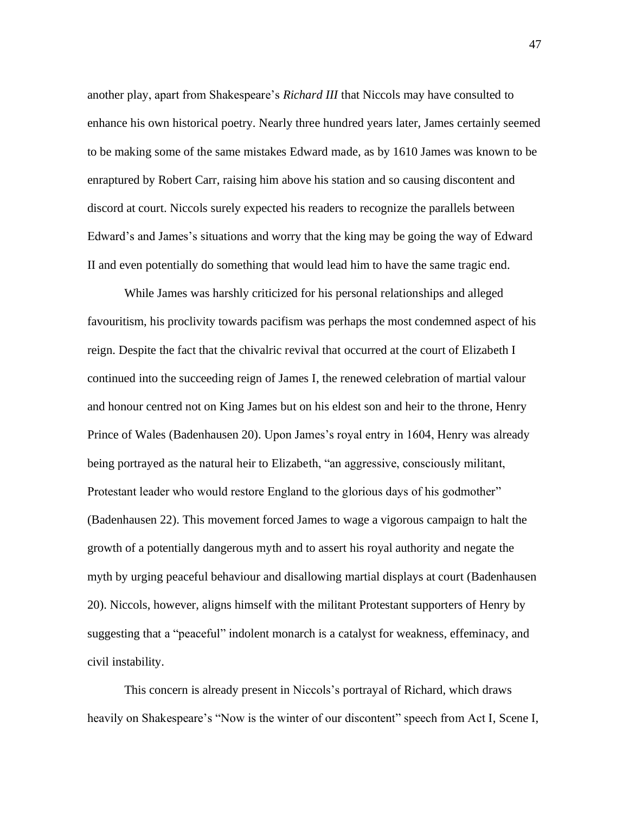another play, apart from Shakespeare's *Richard III* that Niccols may have consulted to enhance his own historical poetry. Nearly three hundred years later, James certainly seemed to be making some of the same mistakes Edward made, as by 1610 James was known to be enraptured by Robert Carr, raising him above his station and so causing discontent and discord at court. Niccols surely expected his readers to recognize the parallels between Edward's and James's situations and worry that the king may be going the way of Edward II and even potentially do something that would lead him to have the same tragic end.

While James was harshly criticized for his personal relationships and alleged favouritism, his proclivity towards pacifism was perhaps the most condemned aspect of his reign. Despite the fact that the chivalric revival that occurred at the court of Elizabeth I continued into the succeeding reign of James I, the renewed celebration of martial valour and honour centred not on King James but on his eldest son and heir to the throne, Henry Prince of Wales (Badenhausen 20). Upon James's royal entry in 1604, Henry was already being portrayed as the natural heir to Elizabeth, "an aggressive, consciously militant, Protestant leader who would restore England to the glorious days of his godmother" (Badenhausen 22). This movement forced James to wage a vigorous campaign to halt the growth of a potentially dangerous myth and to assert his royal authority and negate the myth by urging peaceful behaviour and disallowing martial displays at court (Badenhausen 20). Niccols, however, aligns himself with the militant Protestant supporters of Henry by suggesting that a "peaceful" indolent monarch is a catalyst for weakness, effeminacy, and civil instability.

This concern is already present in Niccols's portrayal of Richard, which draws heavily on Shakespeare's "Now is the winter of our discontent" speech from Act I, Scene I,

47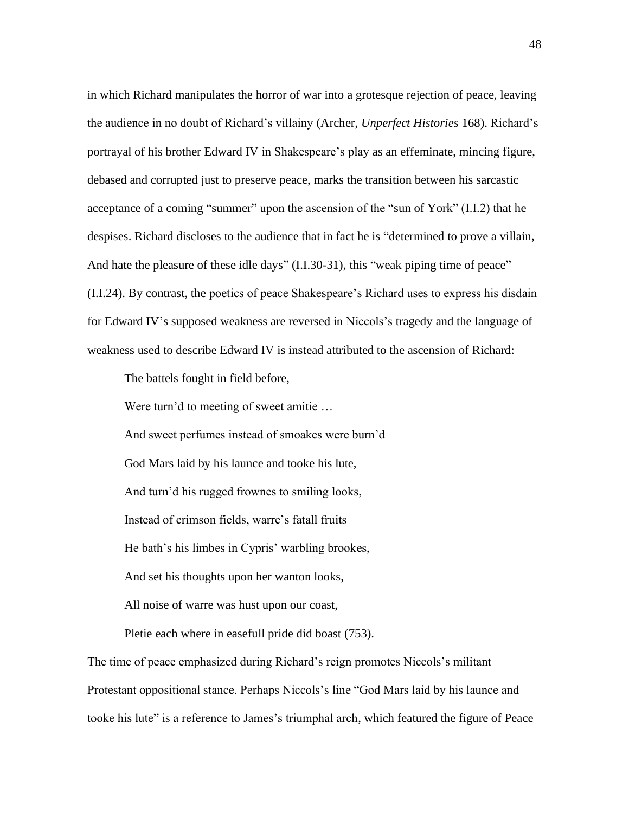in which Richard manipulates the horror of war into a grotesque rejection of peace, leaving the audience in no doubt of Richard's villainy (Archer, *Unperfect Histories* 168). Richard's portrayal of his brother Edward IV in Shakespeare's play as an effeminate, mincing figure, debased and corrupted just to preserve peace, marks the transition between his sarcastic acceptance of a coming "summer" upon the ascension of the "sun of York" (I.I.2) that he despises. Richard discloses to the audience that in fact he is "determined to prove a villain, And hate the pleasure of these idle days" (I.I.30-31), this "weak piping time of peace" (I.I.24). By contrast, the poetics of peace Shakespeare's Richard uses to express his disdain for Edward IV's supposed weakness are reversed in Niccols's tragedy and the language of weakness used to describe Edward IV is instead attributed to the ascension of Richard:

The battels fought in field before,

Were turn'd to meeting of sweet amitie …

And sweet perfumes instead of smoakes were burn'd

God Mars laid by his launce and tooke his lute,

And turn'd his rugged frownes to smiling looks,

Instead of crimson fields, warre's fatall fruits

He bath's his limbes in Cypris' warbling brookes,

And set his thoughts upon her wanton looks,

All noise of warre was hust upon our coast,

Pletie each where in easefull pride did boast (753).

The time of peace emphasized during Richard's reign promotes Niccols's militant Protestant oppositional stance. Perhaps Niccols's line "God Mars laid by his launce and tooke his lute" is a reference to James's triumphal arch, which featured the figure of Peace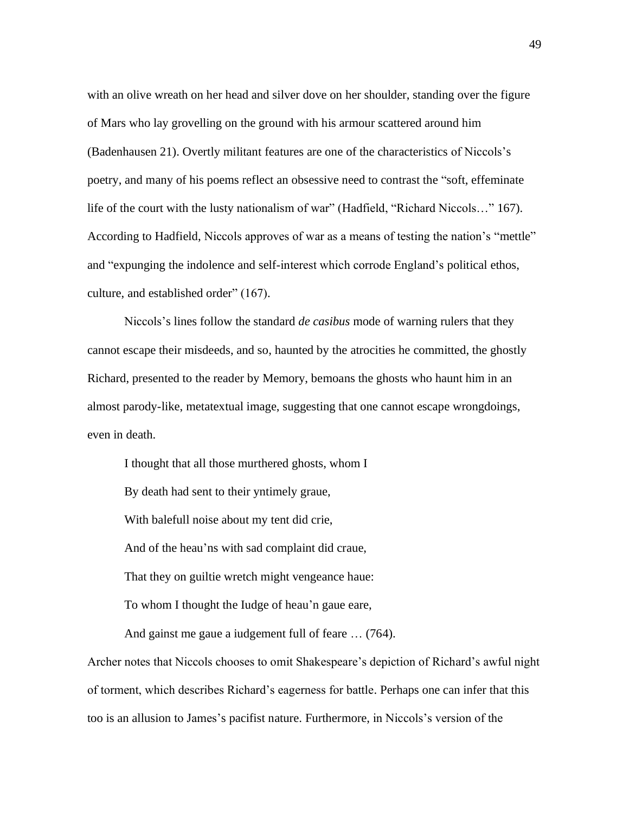with an olive wreath on her head and silver dove on her shoulder, standing over the figure of Mars who lay grovelling on the ground with his armour scattered around him (Badenhausen 21). Overtly militant features are one of the characteristics of Niccols's poetry, and many of his poems reflect an obsessive need to contrast the "soft, effeminate life of the court with the lusty nationalism of war" (Hadfield, "Richard Niccols…" 167). According to Hadfield, Niccols approves of war as a means of testing the nation's "mettle" and "expunging the indolence and self-interest which corrode England's political ethos, culture, and established order" (167).

Niccols's lines follow the standard *de casibus* mode of warning rulers that they cannot escape their misdeeds, and so, haunted by the atrocities he committed, the ghostly Richard, presented to the reader by Memory, bemoans the ghosts who haunt him in an almost parody-like, metatextual image, suggesting that one cannot escape wrongdoings, even in death.

I thought that all those murthered ghosts, whom I By death had sent to their yntimely graue, With balefull noise about my tent did crie, And of the heau'ns with sad complaint did craue, That they on guiltie wretch might vengeance haue: To whom I thought the Iudge of heau'n gaue eare,

And gainst me gaue a iudgement full of feare … (764).

Archer notes that Niccols chooses to omit Shakespeare's depiction of Richard's awful night of torment, which describes Richard's eagerness for battle. Perhaps one can infer that this too is an allusion to James's pacifist nature. Furthermore, in Niccols's version of the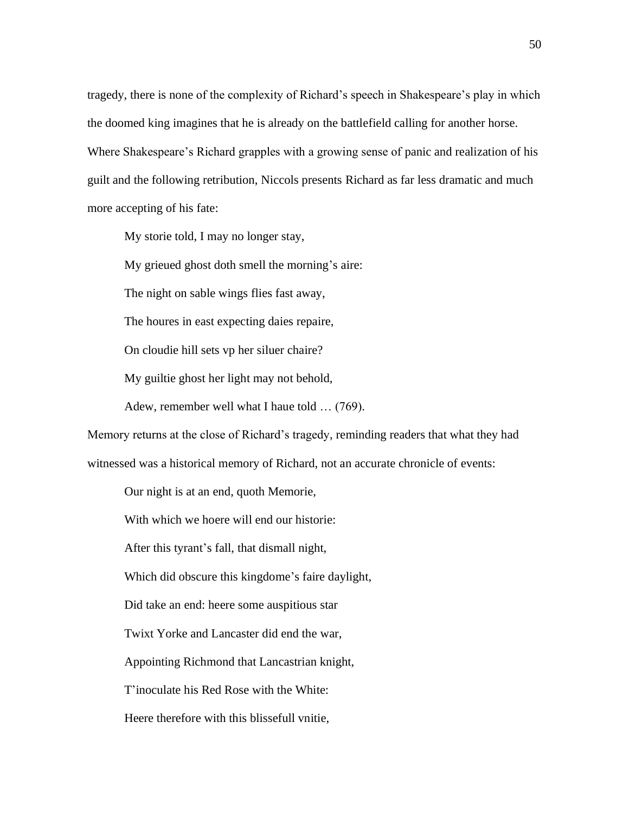tragedy, there is none of the complexity of Richard's speech in Shakespeare's play in which the doomed king imagines that he is already on the battlefield calling for another horse. Where Shakespeare's Richard grapples with a growing sense of panic and realization of his guilt and the following retribution, Niccols presents Richard as far less dramatic and much more accepting of his fate:

My storie told, I may no longer stay,

My grieued ghost doth smell the morning's aire:

The night on sable wings flies fast away,

The houres in east expecting daies repaire,

On cloudie hill sets vp her siluer chaire?

My guiltie ghost her light may not behold,

Adew, remember well what I haue told … (769).

Memory returns at the close of Richard's tragedy, reminding readers that what they had

witnessed was a historical memory of Richard, not an accurate chronicle of events:

Our night is at an end, quoth Memorie,

With which we hoere will end our historie:

After this tyrant's fall, that dismall night,

Which did obscure this kingdome's faire daylight,

Did take an end: heere some auspitious star

Twixt Yorke and Lancaster did end the war,

Appointing Richmond that Lancastrian knight,

T'inoculate his Red Rose with the White:

Heere therefore with this blissefull vnitie,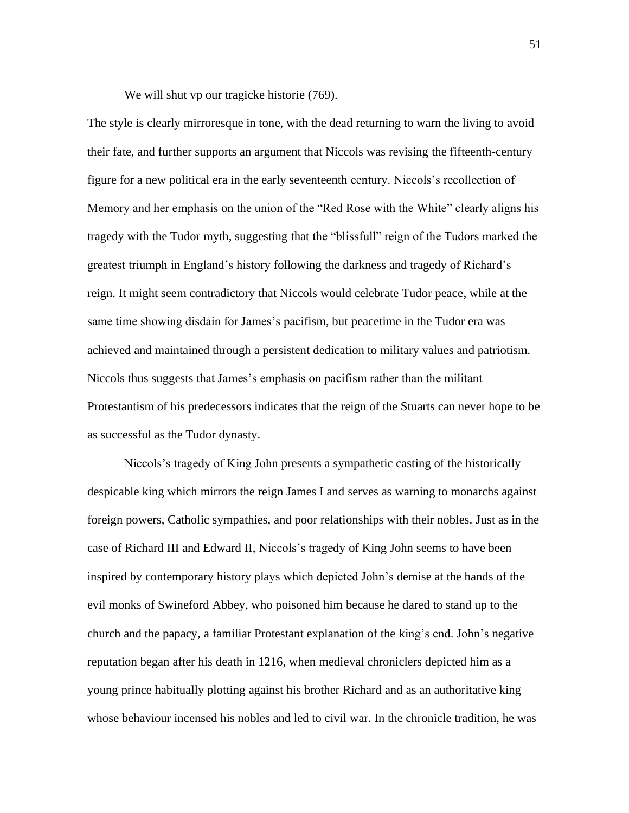We will shut vp our tragicke historie  $(769)$ .

The style is clearly mirroresque in tone, with the dead returning to warn the living to avoid their fate, and further supports an argument that Niccols was revising the fifteenth-century figure for a new political era in the early seventeenth century. Niccols's recollection of Memory and her emphasis on the union of the "Red Rose with the White" clearly aligns his tragedy with the Tudor myth, suggesting that the "blissfull" reign of the Tudors marked the greatest triumph in England's history following the darkness and tragedy of Richard's reign. It might seem contradictory that Niccols would celebrate Tudor peace, while at the same time showing disdain for James's pacifism, but peacetime in the Tudor era was achieved and maintained through a persistent dedication to military values and patriotism. Niccols thus suggests that James's emphasis on pacifism rather than the militant Protestantism of his predecessors indicates that the reign of the Stuarts can never hope to be as successful as the Tudor dynasty.

Niccols's tragedy of King John presents a sympathetic casting of the historically despicable king which mirrors the reign James I and serves as warning to monarchs against foreign powers, Catholic sympathies, and poor relationships with their nobles. Just as in the case of Richard III and Edward II, Niccols's tragedy of King John seems to have been inspired by contemporary history plays which depicted John's demise at the hands of the evil monks of Swineford Abbey, who poisoned him because he dared to stand up to the church and the papacy, a familiar Protestant explanation of the king's end. John's negative reputation began after his death in 1216, when medieval chroniclers depicted him as a young prince habitually plotting against his brother Richard and as an authoritative king whose behaviour incensed his nobles and led to civil war. In the chronicle tradition, he was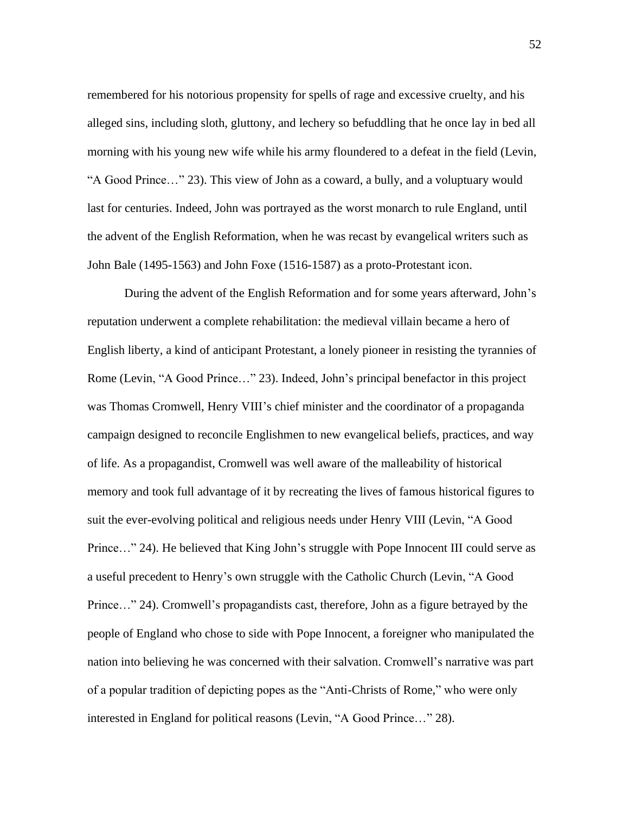remembered for his notorious propensity for spells of rage and excessive cruelty, and his alleged sins, including sloth, gluttony, and lechery so befuddling that he once lay in bed all morning with his young new wife while his army floundered to a defeat in the field (Levin, "A Good Prince…" 23). This view of John as a coward, a bully, and a voluptuary would last for centuries. Indeed, John was portrayed as the worst monarch to rule England, until the advent of the English Reformation, when he was recast by evangelical writers such as John Bale (1495-1563) and John Foxe (1516-1587) as a proto-Protestant icon.

During the advent of the English Reformation and for some years afterward, John's reputation underwent a complete rehabilitation: the medieval villain became a hero of English liberty, a kind of anticipant Protestant, a lonely pioneer in resisting the tyrannies of Rome (Levin, "A Good Prince…" 23). Indeed, John's principal benefactor in this project was Thomas Cromwell, Henry VIII's chief minister and the coordinator of a propaganda campaign designed to reconcile Englishmen to new evangelical beliefs, practices, and way of life. As a propagandist, Cromwell was well aware of the malleability of historical memory and took full advantage of it by recreating the lives of famous historical figures to suit the ever-evolving political and religious needs under Henry VIII (Levin, "A Good Prince…" 24). He believed that King John's struggle with Pope Innocent III could serve as a useful precedent to Henry's own struggle with the Catholic Church (Levin, "A Good Prince…" 24). Cromwell's propagandists cast, therefore, John as a figure betrayed by the people of England who chose to side with Pope Innocent, a foreigner who manipulated the nation into believing he was concerned with their salvation. Cromwell's narrative was part of a popular tradition of depicting popes as the "Anti-Christs of Rome," who were only interested in England for political reasons (Levin, "A Good Prince…" 28).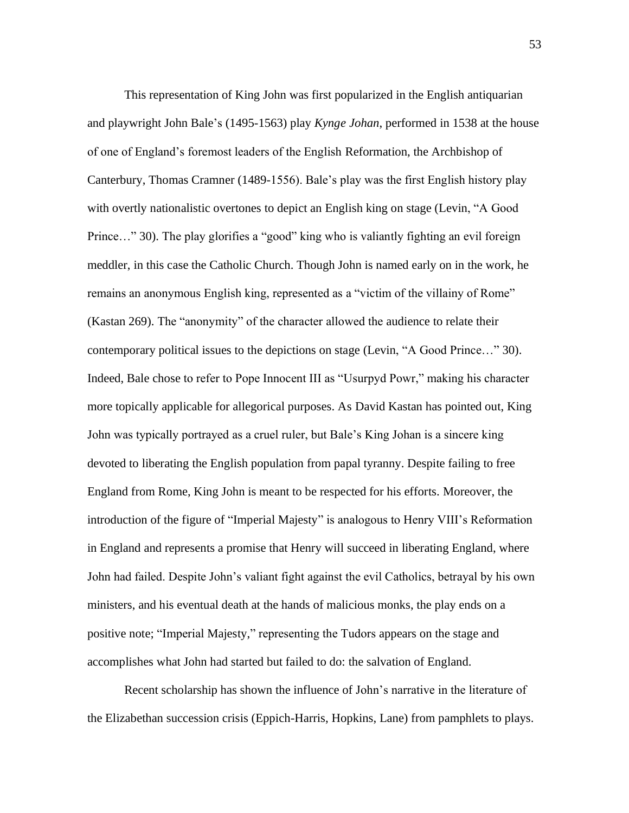This representation of King John was first popularized in the English antiquarian and playwright John Bale's (1495-1563) play *Kynge Johan*, performed in 1538 at the house of one of England's foremost leaders of the English Reformation, the Archbishop of Canterbury, Thomas Cramner (1489-1556). Bale's play was the first English history play with overtly nationalistic overtones to depict an English king on stage (Levin, "A Good Prince..." 30). The play glorifies a "good" king who is valiantly fighting an evil foreign meddler, in this case the Catholic Church. Though John is named early on in the work, he remains an anonymous English king, represented as a "victim of the villainy of Rome" (Kastan 269). The "anonymity" of the character allowed the audience to relate their contemporary political issues to the depictions on stage (Levin, "A Good Prince…" 30). Indeed, Bale chose to refer to Pope Innocent III as "Usurpyd Powr," making his character more topically applicable for allegorical purposes. As David Kastan has pointed out, King John was typically portrayed as a cruel ruler, but Bale's King Johan is a sincere king devoted to liberating the English population from papal tyranny. Despite failing to free England from Rome, King John is meant to be respected for his efforts. Moreover, the introduction of the figure of "Imperial Majesty" is analogous to Henry VIII's Reformation in England and represents a promise that Henry will succeed in liberating England, where John had failed. Despite John's valiant fight against the evil Catholics, betrayal by his own ministers, and his eventual death at the hands of malicious monks, the play ends on a positive note; "Imperial Majesty," representing the Tudors appears on the stage and accomplishes what John had started but failed to do: the salvation of England.

Recent scholarship has shown the influence of John's narrative in the literature of the Elizabethan succession crisis (Eppich-Harris, Hopkins, Lane) from pamphlets to plays.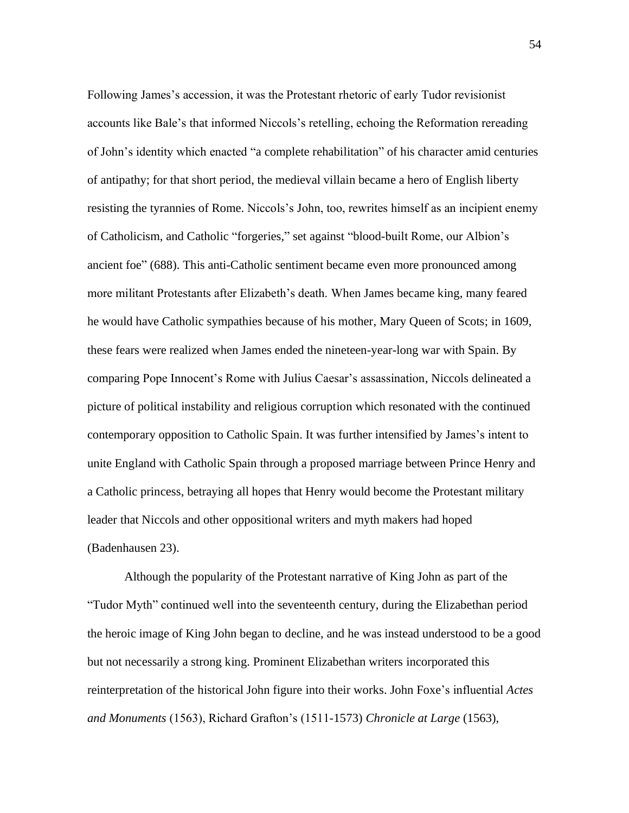Following James's accession, it was the Protestant rhetoric of early Tudor revisionist accounts like Bale's that informed Niccols's retelling, echoing the Reformation rereading of John's identity which enacted "a complete rehabilitation" of his character amid centuries of antipathy; for that short period, the medieval villain became a hero of English liberty resisting the tyrannies of Rome. Niccols's John, too, rewrites himself as an incipient enemy of Catholicism, and Catholic "forgeries," set against "blood-built Rome, our Albion's ancient foe" (688). This anti-Catholic sentiment became even more pronounced among more militant Protestants after Elizabeth's death. When James became king, many feared he would have Catholic sympathies because of his mother, Mary Queen of Scots; in 1609, these fears were realized when James ended the nineteen-year-long war with Spain. By comparing Pope Innocent's Rome with Julius Caesar's assassination, Niccols delineated a picture of political instability and religious corruption which resonated with the continued contemporary opposition to Catholic Spain. It was further intensified by James's intent to unite England with Catholic Spain through a proposed marriage between Prince Henry and a Catholic princess, betraying all hopes that Henry would become the Protestant military leader that Niccols and other oppositional writers and myth makers had hoped (Badenhausen 23).

Although the popularity of the Protestant narrative of King John as part of the "Tudor Myth" continued well into the seventeenth century, during the Elizabethan period the heroic image of King John began to decline, and he was instead understood to be a good but not necessarily a strong king. Prominent Elizabethan writers incorporated this reinterpretation of the historical John figure into their works. John Foxe's influential *Actes and Monuments* (1563), Richard Grafton's (1511-1573) *Chronicle at Large* (1563),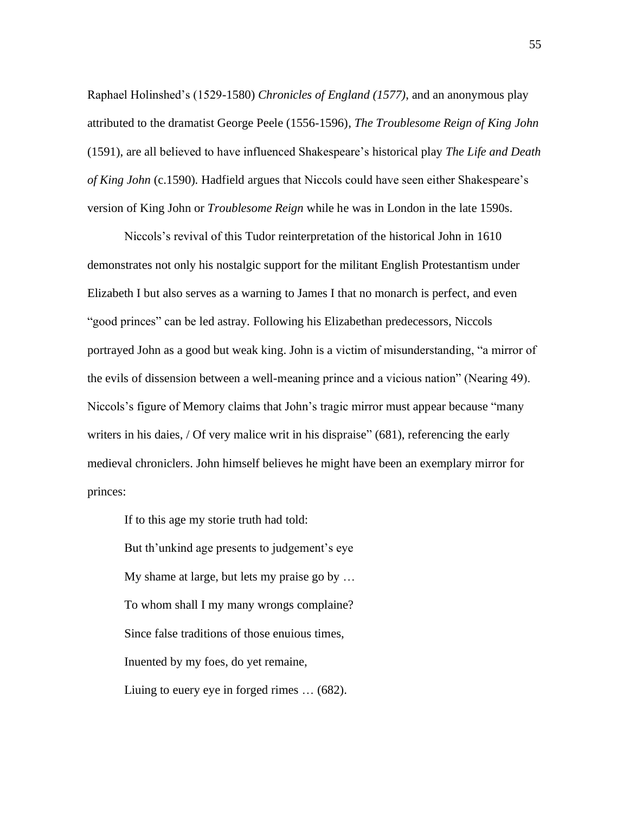Raphael Holinshed's (1529-1580) *Chronicles of England (1577)*, and an anonymous play attributed to the dramatist George Peele (1556-1596), *The Troublesome Reign of King John*  (1591), are all believed to have influenced Shakespeare's historical play *The Life and Death of King John* (c.1590)*.* Hadfield argues that Niccols could have seen either Shakespeare's version of King John or *Troublesome Reign* while he was in London in the late 1590s.

Niccols's revival of this Tudor reinterpretation of the historical John in 1610 demonstrates not only his nostalgic support for the militant English Protestantism under Elizabeth I but also serves as a warning to James I that no monarch is perfect, and even "good princes" can be led astray. Following his Elizabethan predecessors, Niccols portrayed John as a good but weak king. John is a victim of misunderstanding, "a mirror of the evils of dissension between a well-meaning prince and a vicious nation" (Nearing 49). Niccols's figure of Memory claims that John's tragic mirror must appear because "many writers in his daies, / Of very malice writ in his dispraise" (681), referencing the early medieval chroniclers. John himself believes he might have been an exemplary mirror for princes:

But th'unkind age presents to judgement's eye My shame at large, but lets my praise go by … To whom shall I my many wrongs complaine? Since false traditions of those enuious times, Inuented by my foes, do yet remaine, Liuing to euery eye in forged rimes … (682).

If to this age my storie truth had told: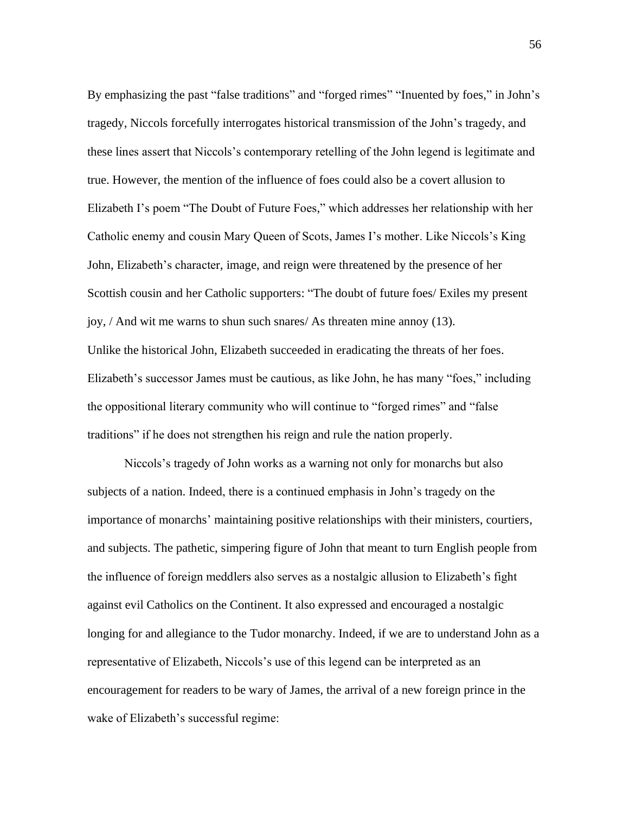By emphasizing the past "false traditions" and "forged rimes" "Inuented by foes," in John's tragedy, Niccols forcefully interrogates historical transmission of the John's tragedy, and these lines assert that Niccols's contemporary retelling of the John legend is legitimate and true. However, the mention of the influence of foes could also be a covert allusion to Elizabeth I's poem "The Doubt of Future Foes," which addresses her relationship with her Catholic enemy and cousin Mary Queen of Scots, James I's mother. Like Niccols's King John, Elizabeth's character, image, and reign were threatened by the presence of her Scottish cousin and her Catholic supporters: "The doubt of future foes/ Exiles my present joy, / And wit me warns to shun such snares/ As threaten mine annoy (13). Unlike the historical John, Elizabeth succeeded in eradicating the threats of her foes. Elizabeth's successor James must be cautious, as like John, he has many "foes," including the oppositional literary community who will continue to "forged rimes" and "false traditions" if he does not strengthen his reign and rule the nation properly.

Niccols's tragedy of John works as a warning not only for monarchs but also subjects of a nation. Indeed, there is a continued emphasis in John's tragedy on the importance of monarchs' maintaining positive relationships with their ministers, courtiers, and subjects. The pathetic, simpering figure of John that meant to turn English people from the influence of foreign meddlers also serves as a nostalgic allusion to Elizabeth's fight against evil Catholics on the Continent. It also expressed and encouraged a nostalgic longing for and allegiance to the Tudor monarchy. Indeed, if we are to understand John as a representative of Elizabeth, Niccols's use of this legend can be interpreted as an encouragement for readers to be wary of James, the arrival of a new foreign prince in the wake of Elizabeth's successful regime: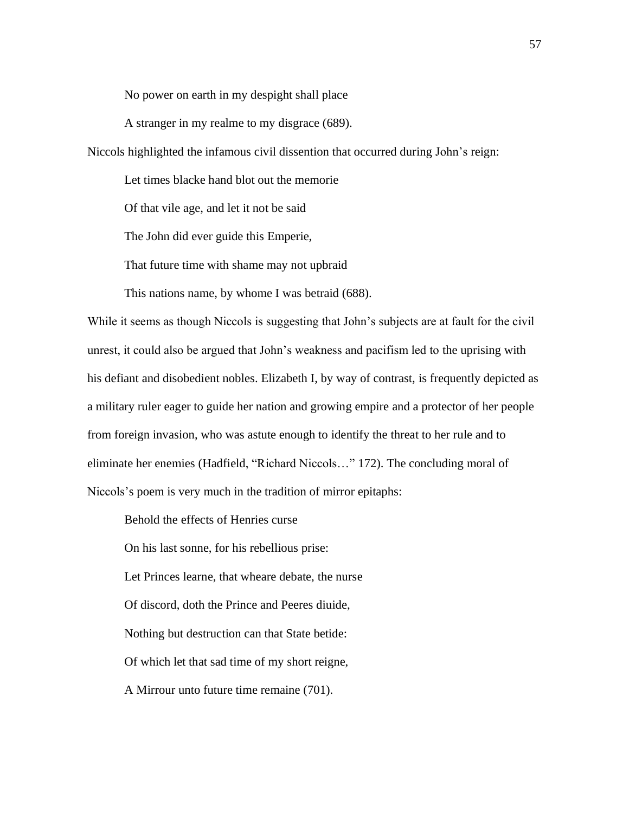No power on earth in my despight shall place

A stranger in my realme to my disgrace (689).

Niccols highlighted the infamous civil dissention that occurred during John's reign:

Let times blacke hand blot out the memorie

Of that vile age, and let it not be said

The John did ever guide this Emperie,

That future time with shame may not upbraid

This nations name, by whome I was betraid (688).

While it seems as though Niccols is suggesting that John's subjects are at fault for the civil unrest, it could also be argued that John's weakness and pacifism led to the uprising with his defiant and disobedient nobles. Elizabeth I, by way of contrast, is frequently depicted as a military ruler eager to guide her nation and growing empire and a protector of her people from foreign invasion, who was astute enough to identify the threat to her rule and to eliminate her enemies (Hadfield, "Richard Niccols…" 172). The concluding moral of Niccols's poem is very much in the tradition of mirror epitaphs:

Behold the effects of Henries curse On his last sonne, for his rebellious prise: Let Princes learne, that wheare debate, the nurse Of discord, doth the Prince and Peeres diuide, Nothing but destruction can that State betide: Of which let that sad time of my short reigne, A Mirrour unto future time remaine (701).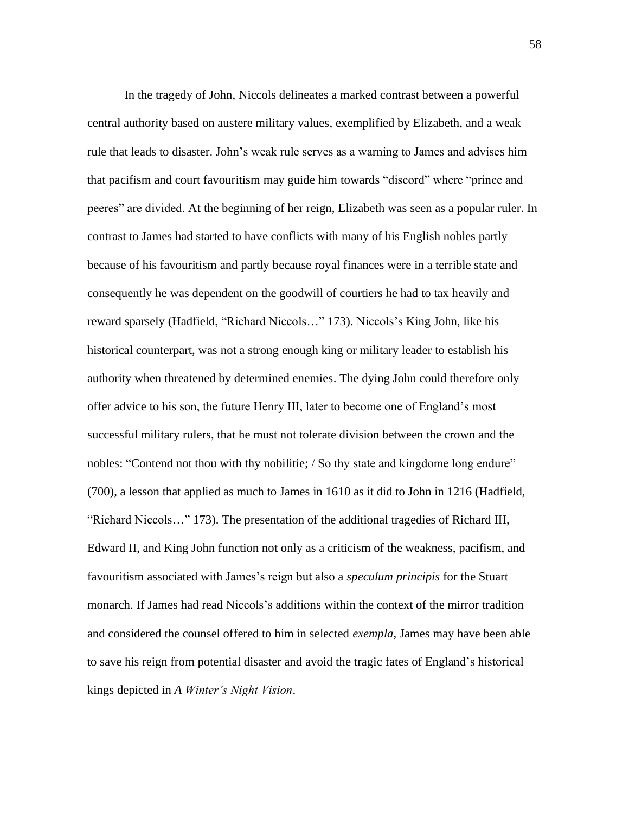In the tragedy of John, Niccols delineates a marked contrast between a powerful central authority based on austere military values, exemplified by Elizabeth, and a weak rule that leads to disaster. John's weak rule serves as a warning to James and advises him that pacifism and court favouritism may guide him towards "discord" where "prince and peeres" are divided. At the beginning of her reign, Elizabeth was seen as a popular ruler. In contrast to James had started to have conflicts with many of his English nobles partly because of his favouritism and partly because royal finances were in a terrible state and consequently he was dependent on the goodwill of courtiers he had to tax heavily and reward sparsely (Hadfield, "Richard Niccols…" 173). Niccols's King John, like his historical counterpart, was not a strong enough king or military leader to establish his authority when threatened by determined enemies. The dying John could therefore only offer advice to his son, the future Henry III, later to become one of England's most successful military rulers, that he must not tolerate division between the crown and the nobles: "Contend not thou with thy nobilitie; / So thy state and kingdome long endure" (700), a lesson that applied as much to James in 1610 as it did to John in 1216 (Hadfield, "Richard Niccols…" 173). The presentation of the additional tragedies of Richard III, Edward II, and King John function not only as a criticism of the weakness, pacifism, and favouritism associated with James's reign but also a *speculum principis* for the Stuart monarch. If James had read Niccols's additions within the context of the mirror tradition and considered the counsel offered to him in selected *exempla*, James may have been able to save his reign from potential disaster and avoid the tragic fates of England's historical kings depicted in *A Winter's Night Vision*.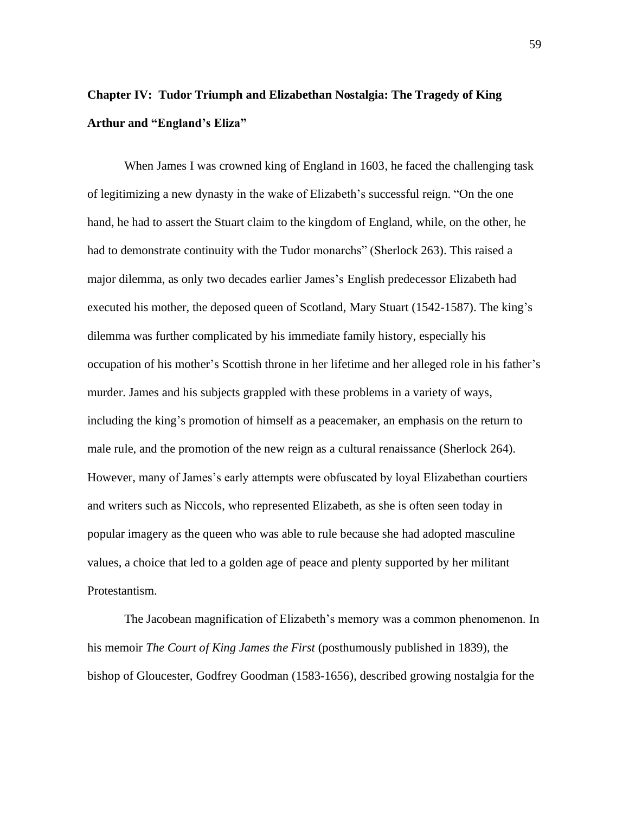## **Chapter IV: Tudor Triumph and Elizabethan Nostalgia: The Tragedy of King Arthur and "England's Eliza"**

When James I was crowned king of England in 1603, he faced the challenging task of legitimizing a new dynasty in the wake of Elizabeth's successful reign. "On the one hand, he had to assert the Stuart claim to the kingdom of England, while, on the other, he had to demonstrate continuity with the Tudor monarchs" (Sherlock 263). This raised a major dilemma, as only two decades earlier James's English predecessor Elizabeth had executed his mother, the deposed queen of Scotland, Mary Stuart (1542-1587). The king's dilemma was further complicated by his immediate family history, especially his occupation of his mother's Scottish throne in her lifetime and her alleged role in his father's murder. James and his subjects grappled with these problems in a variety of ways, including the king's promotion of himself as a peacemaker, an emphasis on the return to male rule, and the promotion of the new reign as a cultural renaissance (Sherlock 264). However, many of James's early attempts were obfuscated by loyal Elizabethan courtiers and writers such as Niccols, who represented Elizabeth, as she is often seen today in popular imagery as the queen who was able to rule because she had adopted masculine values, a choice that led to a golden age of peace and plenty supported by her militant Protestantism.

The Jacobean magnification of Elizabeth's memory was a common phenomenon. In his memoir *The Court of King James the First* (posthumously published in 1839), the bishop of Gloucester, Godfrey Goodman (1583-1656), described growing nostalgia for the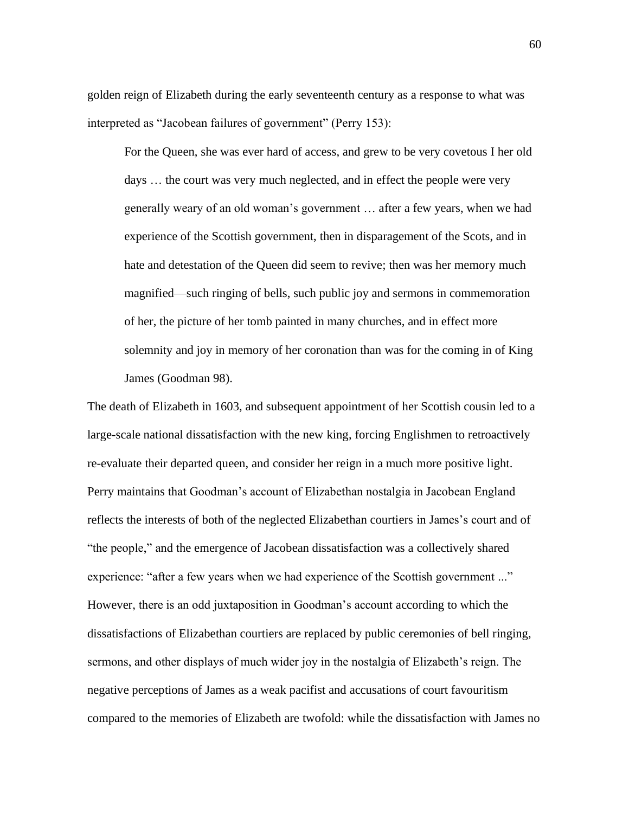golden reign of Elizabeth during the early seventeenth century as a response to what was interpreted as "Jacobean failures of government" (Perry 153):

For the Queen, she was ever hard of access, and grew to be very covetous I her old days … the court was very much neglected, and in effect the people were very generally weary of an old woman's government … after a few years, when we had experience of the Scottish government, then in disparagement of the Scots, and in hate and detestation of the Queen did seem to revive; then was her memory much magnified—such ringing of bells, such public joy and sermons in commemoration of her, the picture of her tomb painted in many churches, and in effect more solemnity and joy in memory of her coronation than was for the coming in of King James (Goodman 98).

The death of Elizabeth in 1603, and subsequent appointment of her Scottish cousin led to a large-scale national dissatisfaction with the new king, forcing Englishmen to retroactively re-evaluate their departed queen, and consider her reign in a much more positive light. Perry maintains that Goodman's account of Elizabethan nostalgia in Jacobean England reflects the interests of both of the neglected Elizabethan courtiers in James's court and of "the people," and the emergence of Jacobean dissatisfaction was a collectively shared experience: "after a few years when we had experience of the Scottish government ..." However, there is an odd juxtaposition in Goodman's account according to which the dissatisfactions of Elizabethan courtiers are replaced by public ceremonies of bell ringing, sermons, and other displays of much wider joy in the nostalgia of Elizabeth's reign. The negative perceptions of James as a weak pacifist and accusations of court favouritism compared to the memories of Elizabeth are twofold: while the dissatisfaction with James no

60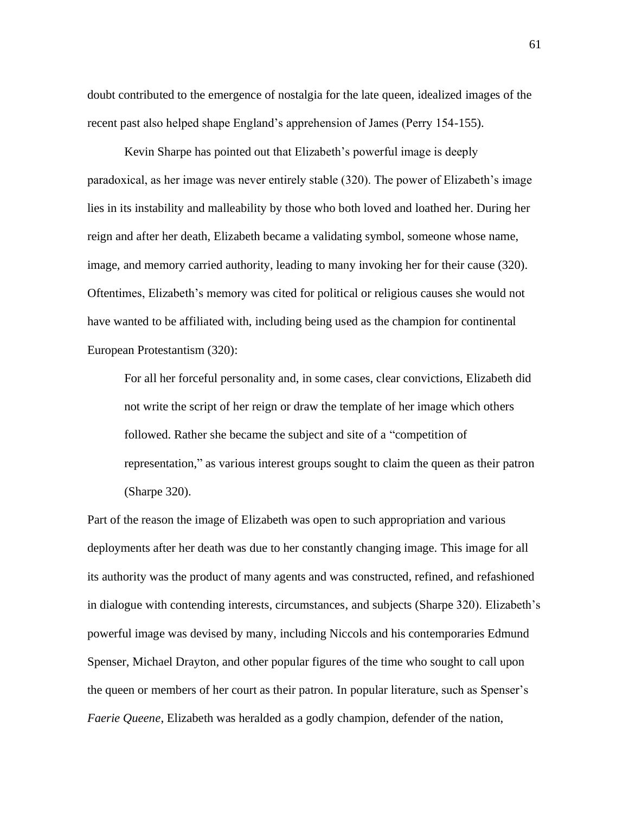doubt contributed to the emergence of nostalgia for the late queen, idealized images of the recent past also helped shape England's apprehension of James (Perry 154-155).

Kevin Sharpe has pointed out that Elizabeth's powerful image is deeply paradoxical, as her image was never entirely stable (320). The power of Elizabeth's image lies in its instability and malleability by those who both loved and loathed her. During her reign and after her death, Elizabeth became a validating symbol, someone whose name, image, and memory carried authority, leading to many invoking her for their cause (320). Oftentimes, Elizabeth's memory was cited for political or religious causes she would not have wanted to be affiliated with, including being used as the champion for continental European Protestantism (320):

For all her forceful personality and, in some cases, clear convictions, Elizabeth did not write the script of her reign or draw the template of her image which others followed. Rather she became the subject and site of a "competition of representation," as various interest groups sought to claim the queen as their patron (Sharpe 320).

Part of the reason the image of Elizabeth was open to such appropriation and various deployments after her death was due to her constantly changing image. This image for all its authority was the product of many agents and was constructed, refined, and refashioned in dialogue with contending interests, circumstances, and subjects (Sharpe 320). Elizabeth's powerful image was devised by many, including Niccols and his contemporaries Edmund Spenser, Michael Drayton, and other popular figures of the time who sought to call upon the queen or members of her court as their patron. In popular literature, such as Spenser's *Faerie Queene*, Elizabeth was heralded as a godly champion, defender of the nation,

61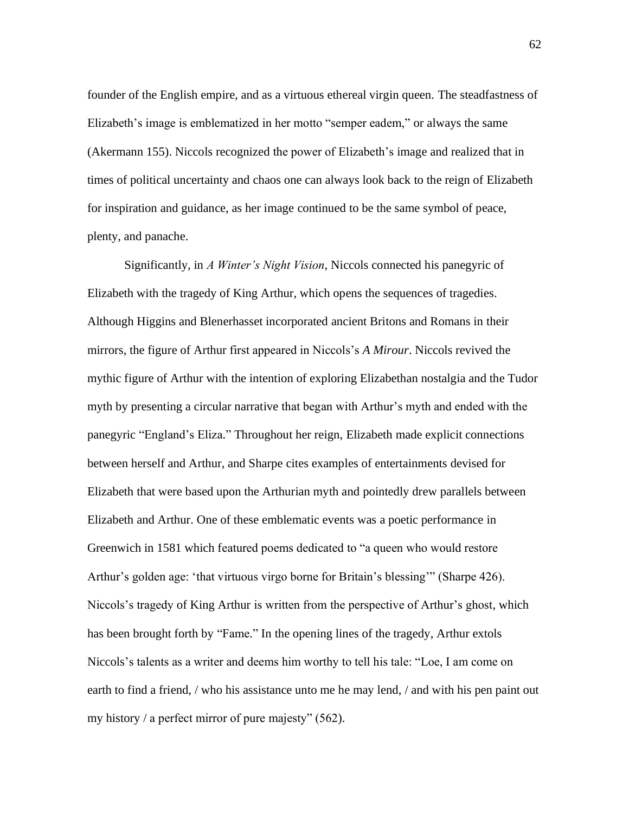founder of the English empire, and as a virtuous ethereal virgin queen. The steadfastness of Elizabeth's image is emblematized in her motto "semper eadem," or always the same (Akermann 155). Niccols recognized the power of Elizabeth's image and realized that in times of political uncertainty and chaos one can always look back to the reign of Elizabeth for inspiration and guidance, as her image continued to be the same symbol of peace, plenty, and panache.

Significantly, in *A Winter's Night Vision*, Niccols connected his panegyric of Elizabeth with the tragedy of King Arthur, which opens the sequences of tragedies. Although Higgins and Blenerhasset incorporated ancient Britons and Romans in their mirrors, the figure of Arthur first appeared in Niccols's *A Mirour*. Niccols revived the mythic figure of Arthur with the intention of exploring Elizabethan nostalgia and the Tudor myth by presenting a circular narrative that began with Arthur's myth and ended with the panegyric "England's Eliza." Throughout her reign, Elizabeth made explicit connections between herself and Arthur, and Sharpe cites examples of entertainments devised for Elizabeth that were based upon the Arthurian myth and pointedly drew parallels between Elizabeth and Arthur. One of these emblematic events was a poetic performance in Greenwich in 1581 which featured poems dedicated to "a queen who would restore Arthur's golden age: 'that virtuous virgo borne for Britain's blessing'" (Sharpe 426). Niccols's tragedy of King Arthur is written from the perspective of Arthur's ghost, which has been brought forth by "Fame." In the opening lines of the tragedy, Arthur extols Niccols's talents as a writer and deems him worthy to tell his tale: "Loe, I am come on earth to find a friend, / who his assistance unto me he may lend, / and with his pen paint out my history / a perfect mirror of pure majesty" (562).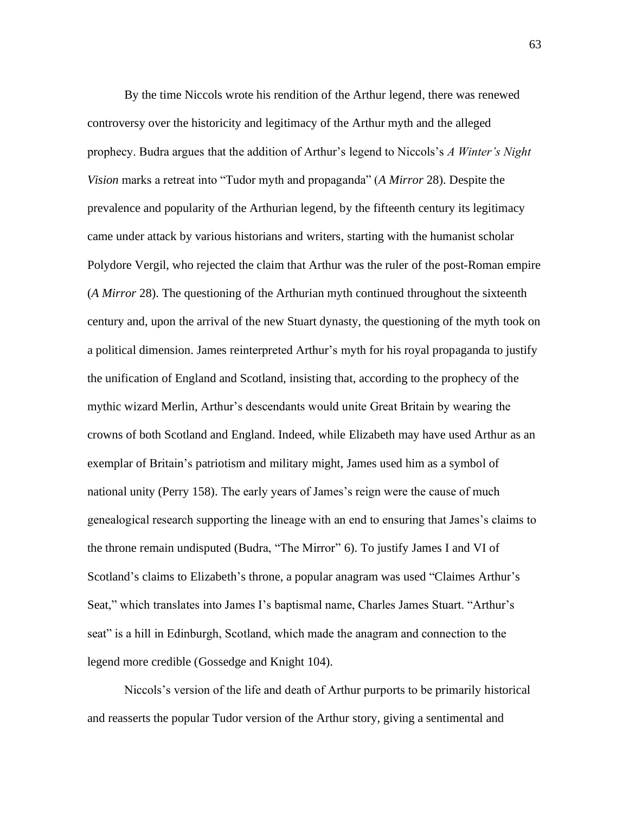By the time Niccols wrote his rendition of the Arthur legend, there was renewed controversy over the historicity and legitimacy of the Arthur myth and the alleged prophecy. Budra argues that the addition of Arthur's legend to Niccols's *A Winter's Night Vision* marks a retreat into "Tudor myth and propaganda" (*A Mirror* 28). Despite the prevalence and popularity of the Arthurian legend, by the fifteenth century its legitimacy came under attack by various historians and writers, starting with the humanist scholar Polydore Vergil, who rejected the claim that Arthur was the ruler of the post-Roman empire (*A Mirror* 28). The questioning of the Arthurian myth continued throughout the sixteenth century and, upon the arrival of the new Stuart dynasty, the questioning of the myth took on a political dimension. James reinterpreted Arthur's myth for his royal propaganda to justify the unification of England and Scotland, insisting that, according to the prophecy of the mythic wizard Merlin, Arthur's descendants would unite Great Britain by wearing the crowns of both Scotland and England. Indeed, while Elizabeth may have used Arthur as an exemplar of Britain's patriotism and military might, James used him as a symbol of national unity (Perry 158). The early years of James's reign were the cause of much genealogical research supporting the lineage with an end to ensuring that James's claims to the throne remain undisputed (Budra, "The Mirror" 6). To justify James I and VI of Scotland's claims to Elizabeth's throne, a popular anagram was used "Claimes Arthur's Seat," which translates into James I's baptismal name, Charles James Stuart. "Arthur's seat" is a hill in Edinburgh, Scotland, which made the anagram and connection to the legend more credible (Gossedge and Knight 104).

Niccols's version of the life and death of Arthur purports to be primarily historical and reasserts the popular Tudor version of the Arthur story, giving a sentimental and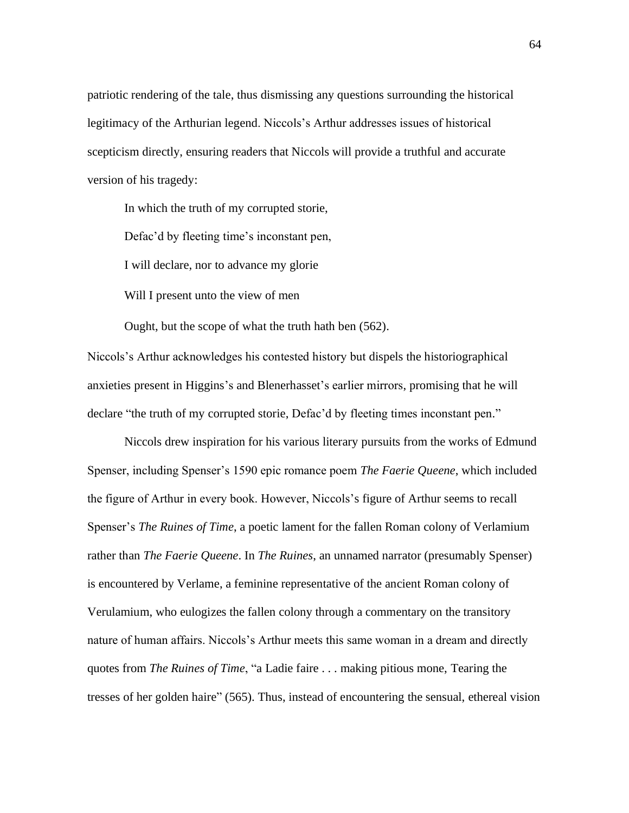patriotic rendering of the tale, thus dismissing any questions surrounding the historical legitimacy of the Arthurian legend. Niccols's Arthur addresses issues of historical scepticism directly, ensuring readers that Niccols will provide a truthful and accurate version of his tragedy:

In which the truth of my corrupted storie,

Defac'd by fleeting time's inconstant pen,

I will declare, nor to advance my glorie

Will I present unto the view of men

Ought, but the scope of what the truth hath ben (562).

Niccols's Arthur acknowledges his contested history but dispels the historiographical anxieties present in Higgins's and Blenerhasset's earlier mirrors, promising that he will declare "the truth of my corrupted storie, Defac'd by fleeting times inconstant pen."

Niccols drew inspiration for his various literary pursuits from the works of Edmund Spenser, including Spenser's 1590 epic romance poem *The Faerie Queene*, which included the figure of Arthur in every book. However, Niccols's figure of Arthur seems to recall Spenser's *The Ruines of Time*, a poetic lament for the fallen Roman colony of Verlamium rather than *The Faerie Queene*. In *The Ruines*, an unnamed narrator (presumably Spenser) is encountered by Verlame, a feminine representative of the ancient Roman colony of Verulamium, who eulogizes the fallen colony through a commentary on the transitory nature of human affairs. Niccols's Arthur meets this same woman in a dream and directly quotes from *The Ruines of Time*, "a Ladie faire . . . making pitious mone, Tearing the tresses of her golden haire" (565). Thus, instead of encountering the sensual, ethereal vision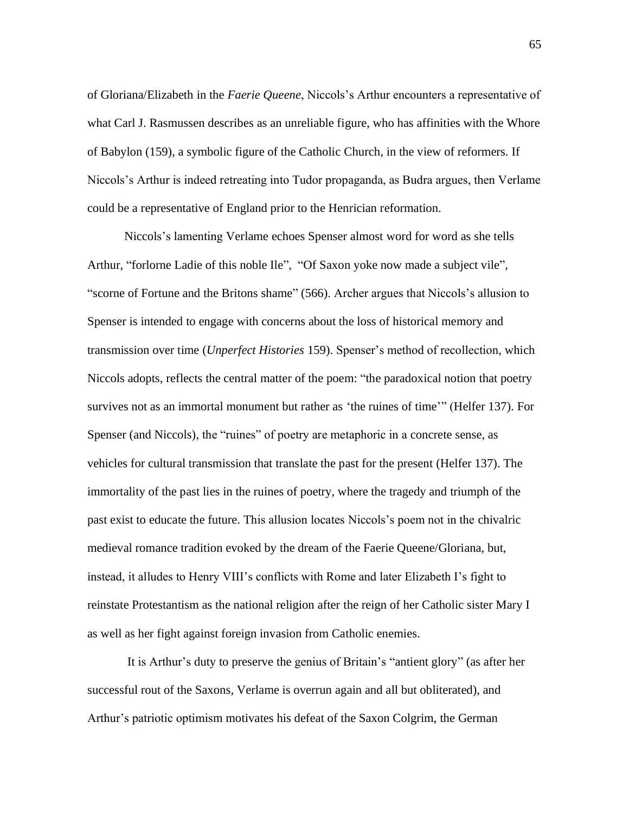of Gloriana/Elizabeth in the *Faerie Queene*, Niccols's Arthur encounters a representative of what Carl J. Rasmussen describes as an unreliable figure, who has affinities with the Whore of Babylon (159), a symbolic figure of the Catholic Church, in the view of reformers. If Niccols's Arthur is indeed retreating into Tudor propaganda, as Budra argues, then Verlame could be a representative of England prior to the Henrician reformation.

Niccols's lamenting Verlame echoes Spenser almost word for word as she tells Arthur, "forlorne Ladie of this noble Ile", "Of Saxon yoke now made a subject vile", "scorne of Fortune and the Britons shame" (566). Archer argues that Niccols's allusion to Spenser is intended to engage with concerns about the loss of historical memory and transmission over time (*Unperfect Histories* 159). Spenser's method of recollection, which Niccols adopts, reflects the central matter of the poem: "the paradoxical notion that poetry survives not as an immortal monument but rather as 'the ruines of time'" (Helfer 137). For Spenser (and Niccols), the "ruines" of poetry are metaphoric in a concrete sense, as vehicles for cultural transmission that translate the past for the present (Helfer 137). The immortality of the past lies in the ruines of poetry, where the tragedy and triumph of the past exist to educate the future. This allusion locates Niccols's poem not in the chivalric medieval romance tradition evoked by the dream of the Faerie Queene/Gloriana, but, instead, it alludes to Henry VIII's conflicts with Rome and later Elizabeth I's fight to reinstate Protestantism as the national religion after the reign of her Catholic sister Mary I as well as her fight against foreign invasion from Catholic enemies.

It is Arthur's duty to preserve the genius of Britain's "antient glory" (as after her successful rout of the Saxons, Verlame is overrun again and all but obliterated), and Arthur's patriotic optimism motivates his defeat of the Saxon Colgrim, the German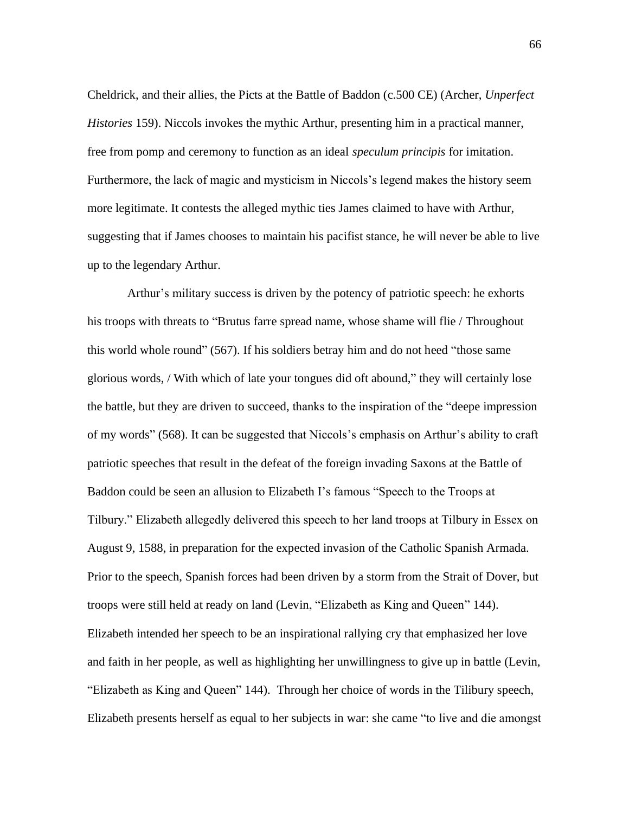Cheldrick, and their allies, the Picts at the Battle of Baddon (c.500 CE) (Archer, *Unperfect Histories* 159). Niccols invokes the mythic Arthur, presenting him in a practical manner, free from pomp and ceremony to function as an ideal *speculum principis* for imitation. Furthermore, the lack of magic and mysticism in Niccols's legend makes the history seem more legitimate. It contests the alleged mythic ties James claimed to have with Arthur, suggesting that if James chooses to maintain his pacifist stance, he will never be able to live up to the legendary Arthur.

Arthur's military success is driven by the potency of patriotic speech: he exhorts his troops with threats to "Brutus farre spread name, whose shame will flie / Throughout this world whole round" (567). If his soldiers betray him and do not heed "those same glorious words, / With which of late your tongues did oft abound," they will certainly lose the battle, but they are driven to succeed, thanks to the inspiration of the "deepe impression of my words" (568). It can be suggested that Niccols's emphasis on Arthur's ability to craft patriotic speeches that result in the defeat of the foreign invading Saxons at the Battle of Baddon could be seen an allusion to Elizabeth I's famous "Speech to the Troops at Tilbury." Elizabeth allegedly delivered this speech to her land troops at Tilbury in Essex on August 9, 1588, in preparation for the expected invasion of the Catholic Spanish Armada. Prior to the speech, Spanish forces had been driven by a storm from the Strait of Dover, but troops were still held at ready on land (Levin, "Elizabeth as King and Queen" 144). Elizabeth intended her speech to be an inspirational rallying cry that emphasized her love and faith in her people, as well as highlighting her unwillingness to give up in battle (Levin, "Elizabeth as King and Queen" 144). Through her choice of words in the Tilibury speech, Elizabeth presents herself as equal to her subjects in war: she came "to live and die amongst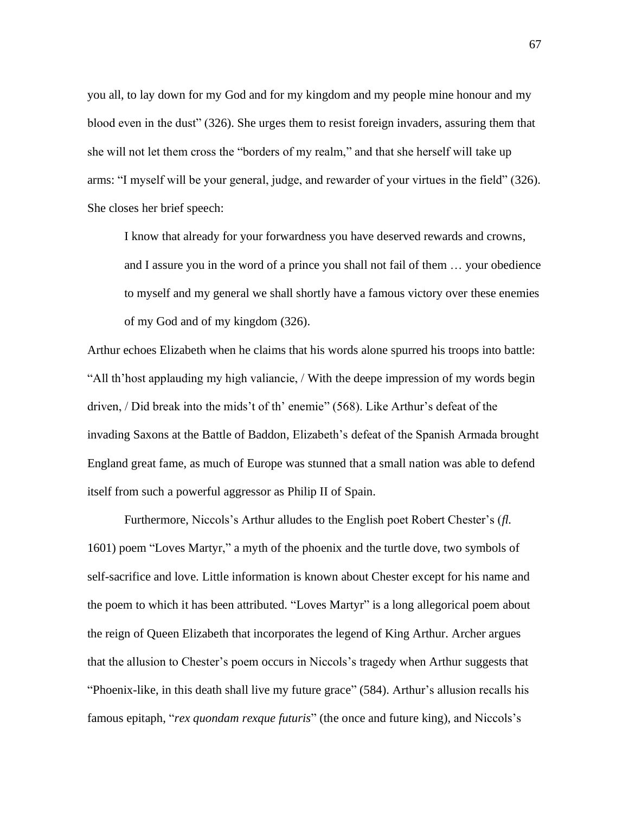you all, to lay down for my God and for my kingdom and my people mine honour and my blood even in the dust" (326). She urges them to resist foreign invaders, assuring them that she will not let them cross the "borders of my realm," and that she herself will take up arms: "I myself will be your general, judge, and rewarder of your virtues in the field" (326). She closes her brief speech:

I know that already for your forwardness you have deserved rewards and crowns, and I assure you in the word of a prince you shall not fail of them … your obedience to myself and my general we shall shortly have a famous victory over these enemies of my God and of my kingdom (326).

Arthur echoes Elizabeth when he claims that his words alone spurred his troops into battle: "All th'host applauding my high valiancie, / With the deepe impression of my words begin driven, / Did break into the mids't of th' enemie" (568). Like Arthur's defeat of the invading Saxons at the Battle of Baddon, Elizabeth's defeat of the Spanish Armada brought England great fame, as much of Europe was stunned that a small nation was able to defend itself from such a powerful aggressor as Philip II of Spain.

Furthermore, Niccols's Arthur alludes to the English poet Robert Chester's (*fl.*  1601) poem "Loves Martyr," a myth of the phoenix and the turtle dove, two symbols of self-sacrifice and love. Little information is known about Chester except for his name and the poem to which it has been attributed. "Loves Martyr" is a long allegorical poem about the reign of Queen Elizabeth that incorporates the legend of King Arthur. Archer argues that the allusion to Chester's poem occurs in Niccols's tragedy when Arthur suggests that "Phoenix-like, in this death shall live my future grace" (584). Arthur's allusion recalls his famous epitaph, "*rex quondam rexque futuris*" (the once and future king), and Niccols's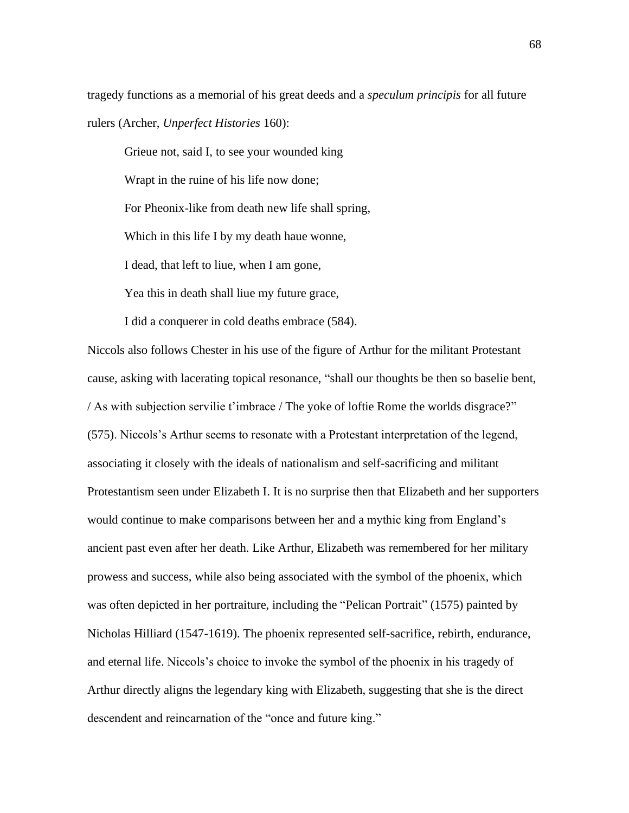tragedy functions as a memorial of his great deeds and a *speculum principis* for all future rulers (Archer, *Unperfect Histories* 160):

Grieue not, said I, to see your wounded king Wrapt in the ruine of his life now done; For Pheonix-like from death new life shall spring, Which in this life I by my death haue wonne, I dead, that left to liue, when I am gone, Yea this in death shall liue my future grace,

I did a conquerer in cold deaths embrace (584).

Niccols also follows Chester in his use of the figure of Arthur for the militant Protestant cause, asking with lacerating topical resonance, "shall our thoughts be then so baselie bent, / As with subjection servilie t'imbrace / The yoke of loftie Rome the worlds disgrace?" (575). Niccols's Arthur seems to resonate with a Protestant interpretation of the legend, associating it closely with the ideals of nationalism and self-sacrificing and militant Protestantism seen under Elizabeth I. It is no surprise then that Elizabeth and her supporters would continue to make comparisons between her and a mythic king from England's ancient past even after her death. Like Arthur, Elizabeth was remembered for her military prowess and success, while also being associated with the symbol of the phoenix, which was often depicted in her portraiture, including the "Pelican Portrait" (1575) painted by Nicholas Hilliard (1547-1619). The phoenix represented self-sacrifice, rebirth, endurance, and eternal life. Niccols's choice to invoke the symbol of the phoenix in his tragedy of Arthur directly aligns the legendary king with Elizabeth, suggesting that she is the direct descendent and reincarnation of the "once and future king."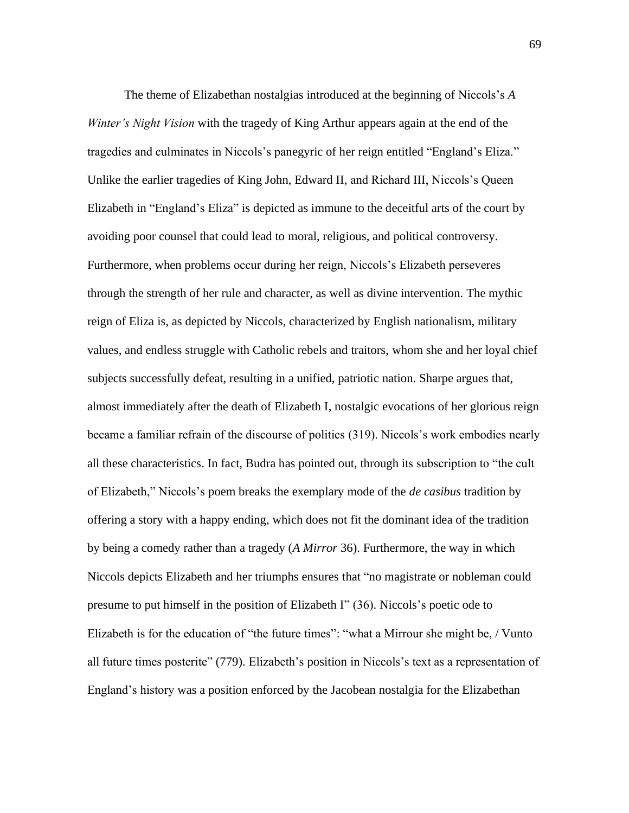The theme of Elizabethan nostalgias introduced at the beginning of Niccols's *A Winter's Night Vision* with the tragedy of King Arthur appears again at the end of the tragedies and culminates in Niccols's panegyric of her reign entitled "England's Eliza." Unlike the earlier tragedies of King John, Edward II, and Richard III, Niccols's Queen Elizabeth in "England's Eliza" is depicted as immune to the deceitful arts of the court by avoiding poor counsel that could lead to moral, religious, and political controversy. Furthermore, when problems occur during her reign, Niccols's Elizabeth perseveres through the strength of her rule and character, as well as divine intervention. The mythic reign of Eliza is, as depicted by Niccols, characterized by English nationalism, military values, and endless struggle with Catholic rebels and traitors, whom she and her loyal chief subjects successfully defeat, resulting in a unified, patriotic nation. Sharpe argues that, almost immediately after the death of Elizabeth I, nostalgic evocations of her glorious reign became a familiar refrain of the discourse of politics (319). Niccols's work embodies nearly all these characteristics. In fact, Budra has pointed out, through its subscription to "the cult of Elizabeth," Niccols's poem breaks the exemplary mode of the *de casibus* tradition by offering a story with a happy ending, which does not fit the dominant idea of the tradition by being a comedy rather than a tragedy (*A Mirror* 36). Furthermore, the way in which Niccols depicts Elizabeth and her triumphs ensures that "no magistrate or nobleman could presume to put himself in the position of Elizabeth I" (36). Niccols's poetic ode to Elizabeth is for the education of "the future times": "what a Mirrour she might be, / Vunto all future times posterite" (779). Elizabeth's position in Niccols's text as a representation of England's history was a position enforced by the Jacobean nostalgia for the Elizabethan

69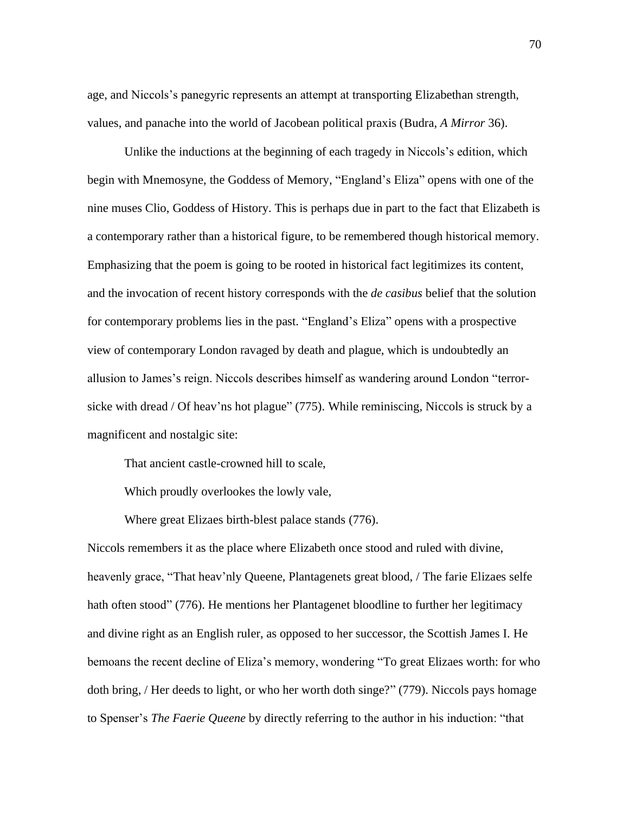age, and Niccols's panegyric represents an attempt at transporting Elizabethan strength, values, and panache into the world of Jacobean political praxis (Budra, *A Mirror* 36).

Unlike the inductions at the beginning of each tragedy in Niccols's edition, which begin with Mnemosyne, the Goddess of Memory, "England's Eliza" opens with one of the nine muses Clio, Goddess of History. This is perhaps due in part to the fact that Elizabeth is a contemporary rather than a historical figure, to be remembered though historical memory. Emphasizing that the poem is going to be rooted in historical fact legitimizes its content, and the invocation of recent history corresponds with the *de casibus* belief that the solution for contemporary problems lies in the past. "England's Eliza" opens with a prospective view of contemporary London ravaged by death and plague, which is undoubtedly an allusion to James's reign. Niccols describes himself as wandering around London "terrorsicke with dread / Of heav'ns hot plague" (775). While reminiscing, Niccols is struck by a magnificent and nostalgic site:

That ancient castle-crowned hill to scale,

Which proudly overlookes the lowly vale,

Where great Elizaes birth-blest palace stands (776).

Niccols remembers it as the place where Elizabeth once stood and ruled with divine, heavenly grace, "That heav'nly Queene, Plantagenets great blood, / The farie Elizaes selfe hath often stood" (776). He mentions her Plantagenet bloodline to further her legitimacy and divine right as an English ruler, as opposed to her successor, the Scottish James I. He bemoans the recent decline of Eliza's memory, wondering "To great Elizaes worth: for who doth bring, / Her deeds to light, or who her worth doth singe?" (779). Niccols pays homage to Spenser's *The Faerie Queene* by directly referring to the author in his induction: "that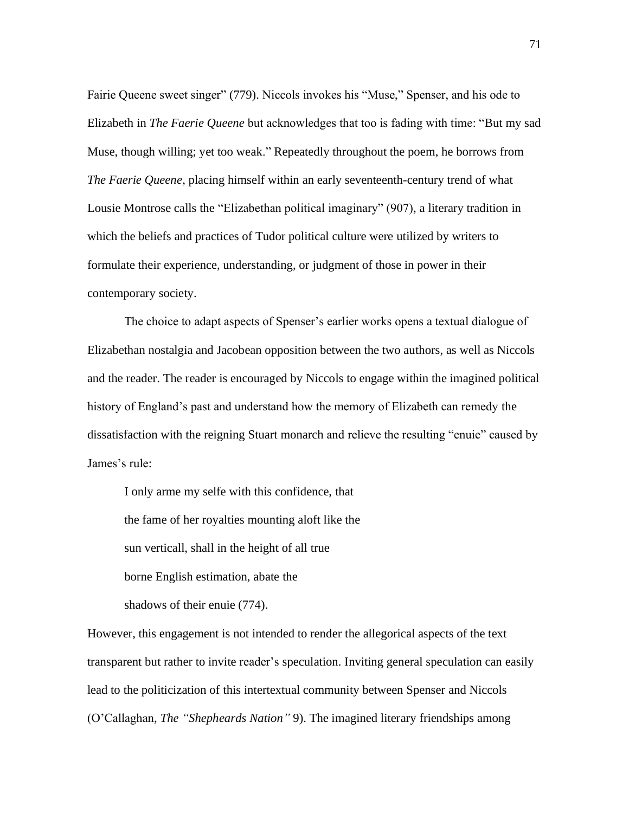Fairie Queene sweet singer" (779). Niccols invokes his "Muse," Spenser, and his ode to Elizabeth in *The Faerie Queene* but acknowledges that too is fading with time: "But my sad Muse, though willing; yet too weak." Repeatedly throughout the poem, he borrows from *The Faerie Queene*, placing himself within an early seventeenth-century trend of what Lousie Montrose calls the "Elizabethan political imaginary" (907), a literary tradition in which the beliefs and practices of Tudor political culture were utilized by writers to formulate their experience, understanding, or judgment of those in power in their contemporary society.

The choice to adapt aspects of Spenser's earlier works opens a textual dialogue of Elizabethan nostalgia and Jacobean opposition between the two authors, as well as Niccols and the reader. The reader is encouraged by Niccols to engage within the imagined political history of England's past and understand how the memory of Elizabeth can remedy the dissatisfaction with the reigning Stuart monarch and relieve the resulting "enuie" caused by James's rule:

I only arme my selfe with this confidence, that the fame of her royalties mounting aloft like the sun verticall, shall in the height of all true borne English estimation, abate the

shadows of their enuie (774).

However, this engagement is not intended to render the allegorical aspects of the text transparent but rather to invite reader's speculation. Inviting general speculation can easily lead to the politicization of this intertextual community between Spenser and Niccols (O'Callaghan, *The "Shepheards Nation"* 9). The imagined literary friendships among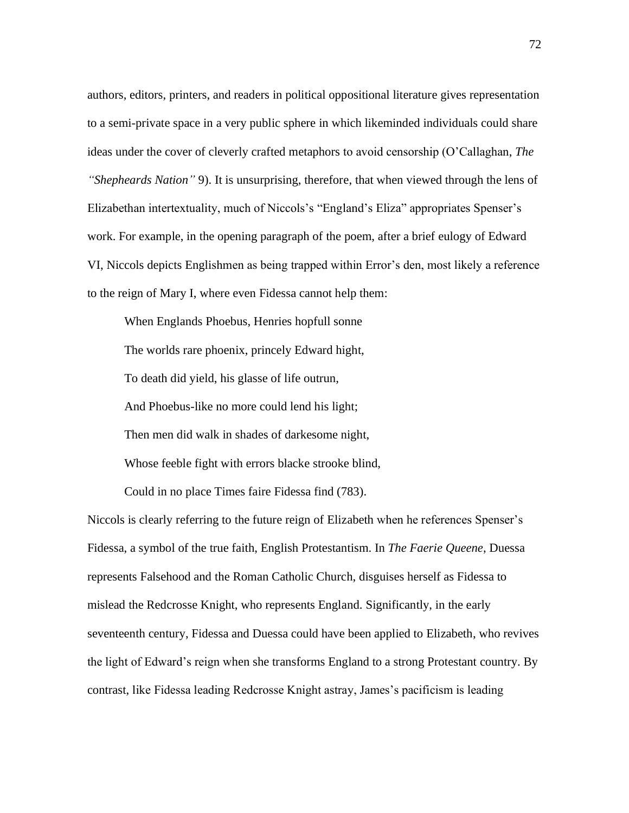authors, editors, printers, and readers in political oppositional literature gives representation to a semi-private space in a very public sphere in which likeminded individuals could share ideas under the cover of cleverly crafted metaphors to avoid censorship (O'Callaghan, *The "Shepheards Nation"* 9). It is unsurprising, therefore, that when viewed through the lens of Elizabethan intertextuality, much of Niccols's "England's Eliza" appropriates Spenser's work. For example, in the opening paragraph of the poem, after a brief eulogy of Edward VI, Niccols depicts Englishmen as being trapped within Error's den, most likely a reference to the reign of Mary I, where even Fidessa cannot help them:

When Englands Phoebus, Henries hopfull sonne The worlds rare phoenix, princely Edward hight, To death did yield, his glasse of life outrun, And Phoebus-like no more could lend his light; Then men did walk in shades of darkesome night, Whose feeble fight with errors blacke strooke blind, Could in no place Times faire Fidessa find (783).

Niccols is clearly referring to the future reign of Elizabeth when he references Spenser's Fidessa, a symbol of the true faith, English Protestantism. In *The Faerie Queene*, Duessa represents Falsehood and the Roman Catholic Church, disguises herself as Fidessa to mislead the Redcrosse Knight, who represents England. Significantly, in the early seventeenth century, Fidessa and Duessa could have been applied to Elizabeth, who revives the light of Edward's reign when she transforms England to a strong Protestant country. By contrast, like Fidessa leading Redcrosse Knight astray, James's pacificism is leading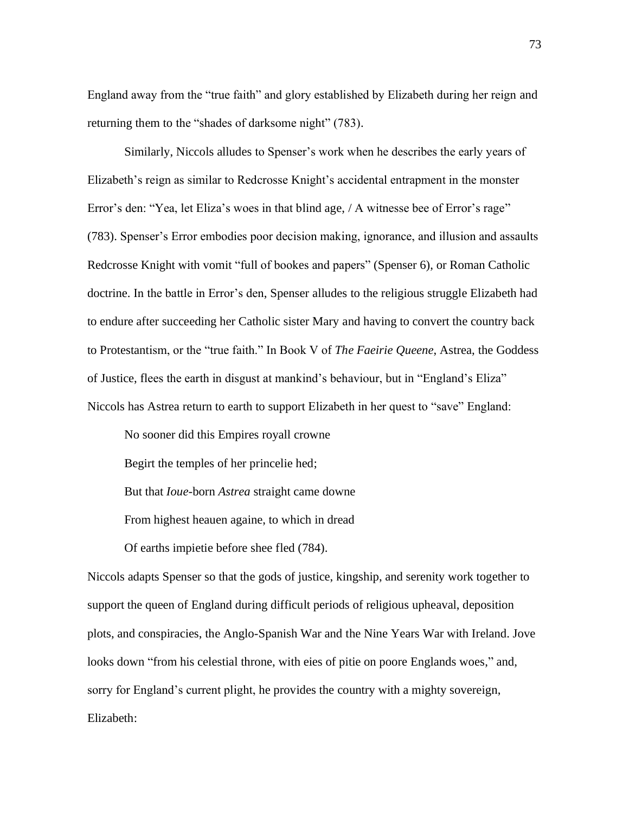England away from the "true faith" and glory established by Elizabeth during her reign and returning them to the "shades of darksome night" (783).

Similarly, Niccols alludes to Spenser's work when he describes the early years of Elizabeth's reign as similar to Redcrosse Knight's accidental entrapment in the monster Error's den: "Yea, let Eliza's woes in that blind age, / A witnesse bee of Error's rage" (783). Spenser's Error embodies poor decision making, ignorance, and illusion and assaults Redcrosse Knight with vomit "full of bookes and papers" (Spenser 6), or Roman Catholic doctrine. In the battle in Error's den, Spenser alludes to the religious struggle Elizabeth had to endure after succeeding her Catholic sister Mary and having to convert the country back to Protestantism, or the "true faith." In Book V of *The Faeirie Queene*, Astrea, the Goddess of Justice, flees the earth in disgust at mankind's behaviour, but in "England's Eliza" Niccols has Astrea return to earth to support Elizabeth in her quest to "save" England:

No sooner did this Empires royall crowne Begirt the temples of her princelie hed; But that *Ioue*-born *Astrea* straight came downe From highest heauen againe, to which in dread Of earths impietie before shee fled (784).

Niccols adapts Spenser so that the gods of justice, kingship, and serenity work together to support the queen of England during difficult periods of religious upheaval, deposition plots, and conspiracies, the Anglo-Spanish War and the Nine Years War with Ireland. Jove looks down "from his celestial throne, with eies of pitie on poore Englands woes," and, sorry for England's current plight, he provides the country with a mighty sovereign, Elizabeth: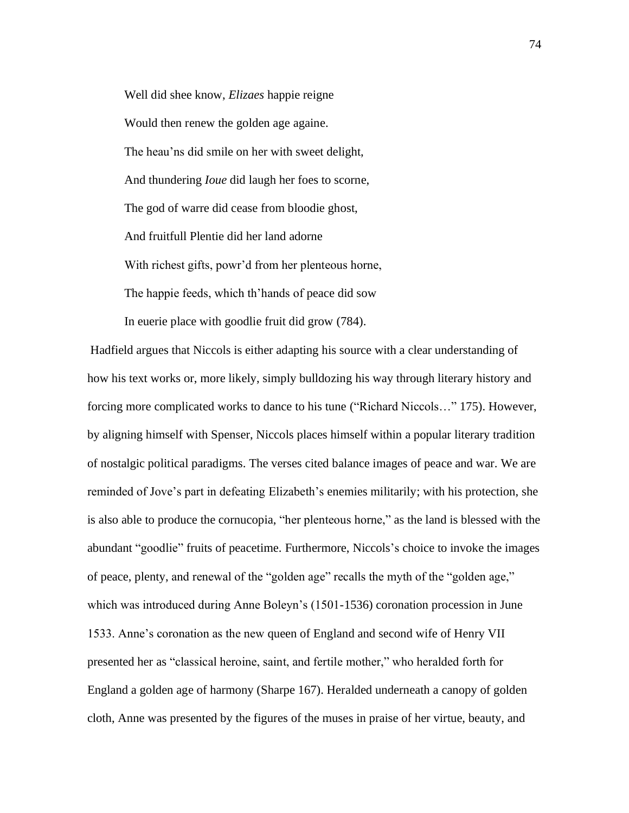Well did shee know, *Elizaes* happie reigne Would then renew the golden age againe. The heau'ns did smile on her with sweet delight, And thundering *Ioue* did laugh her foes to scorne, The god of warre did cease from bloodie ghost, And fruitfull Plentie did her land adorne With richest gifts, powr'd from her plenteous horne, The happie feeds, which th'hands of peace did sow

In euerie place with goodlie fruit did grow (784).

Hadfield argues that Niccols is either adapting his source with a clear understanding of how his text works or, more likely, simply bulldozing his way through literary history and forcing more complicated works to dance to his tune ("Richard Niccols…" 175). However, by aligning himself with Spenser, Niccols places himself within a popular literary tradition of nostalgic political paradigms. The verses cited balance images of peace and war. We are reminded of Jove's part in defeating Elizabeth's enemies militarily; with his protection, she is also able to produce the cornucopia, "her plenteous horne," as the land is blessed with the abundant "goodlie" fruits of peacetime. Furthermore, Niccols's choice to invoke the images of peace, plenty, and renewal of the "golden age" recalls the myth of the "golden age," which was introduced during Anne Boleyn's (1501-1536) coronation procession in June 1533. Anne's coronation as the new queen of England and second wife of Henry VII presented her as "classical heroine, saint, and fertile mother," who heralded forth for England a golden age of harmony (Sharpe 167). Heralded underneath a canopy of golden cloth, Anne was presented by the figures of the muses in praise of her virtue, beauty, and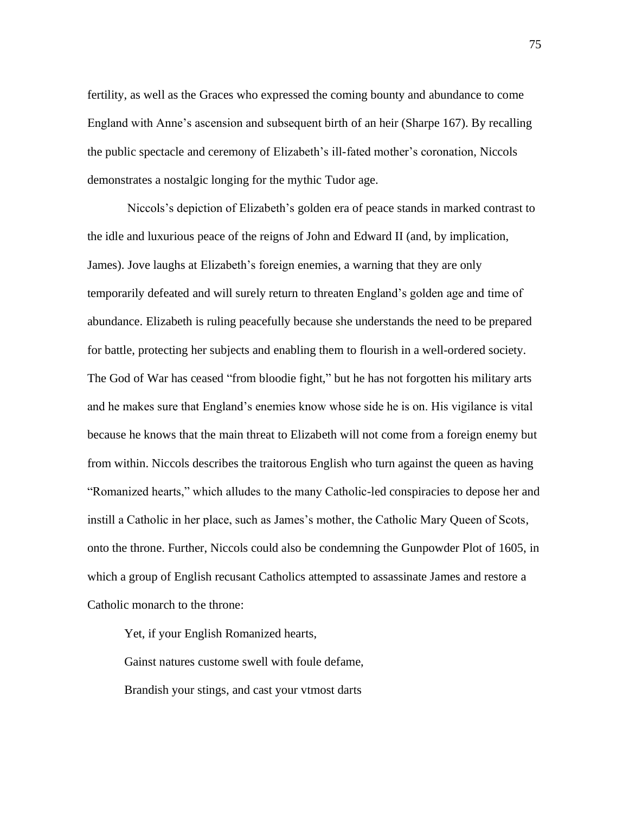fertility, as well as the Graces who expressed the coming bounty and abundance to come England with Anne's ascension and subsequent birth of an heir (Sharpe 167). By recalling the public spectacle and ceremony of Elizabeth's ill-fated mother's coronation, Niccols demonstrates a nostalgic longing for the mythic Tudor age.

Niccols's depiction of Elizabeth's golden era of peace stands in marked contrast to the idle and luxurious peace of the reigns of John and Edward II (and, by implication, James). Jove laughs at Elizabeth's foreign enemies, a warning that they are only temporarily defeated and will surely return to threaten England's golden age and time of abundance. Elizabeth is ruling peacefully because she understands the need to be prepared for battle, protecting her subjects and enabling them to flourish in a well-ordered society. The God of War has ceased "from bloodie fight," but he has not forgotten his military arts and he makes sure that England's enemies know whose side he is on. His vigilance is vital because he knows that the main threat to Elizabeth will not come from a foreign enemy but from within. Niccols describes the traitorous English who turn against the queen as having "Romanized hearts," which alludes to the many Catholic-led conspiracies to depose her and instill a Catholic in her place, such as James's mother, the Catholic Mary Queen of Scots, onto the throne. Further, Niccols could also be condemning the Gunpowder Plot of 1605, in which a group of English recusant Catholics attempted to assassinate James and restore a Catholic monarch to the throne:

Yet, if your English Romanized hearts,

Gainst natures custome swell with foule defame, Brandish your stings, and cast your vtmost darts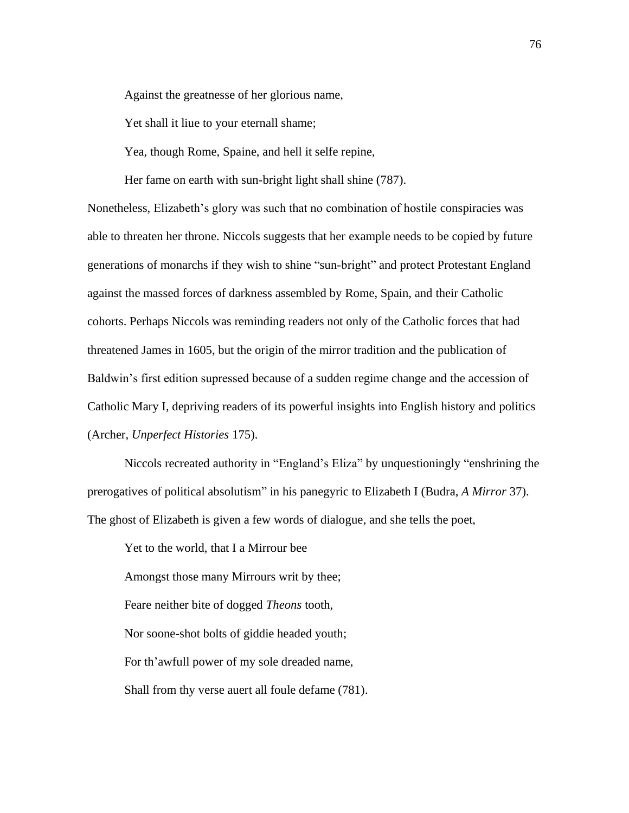Against the greatnesse of her glorious name,

Yet shall it liue to your eternall shame;

Yea, though Rome, Spaine, and hell it selfe repine,

Her fame on earth with sun-bright light shall shine (787).

Nonetheless, Elizabeth's glory was such that no combination of hostile conspiracies was able to threaten her throne. Niccols suggests that her example needs to be copied by future generations of monarchs if they wish to shine "sun-bright" and protect Protestant England against the massed forces of darkness assembled by Rome, Spain, and their Catholic cohorts. Perhaps Niccols was reminding readers not only of the Catholic forces that had threatened James in 1605, but the origin of the mirror tradition and the publication of Baldwin's first edition supressed because of a sudden regime change and the accession of Catholic Mary I, depriving readers of its powerful insights into English history and politics (Archer, *Unperfect Histories* 175).

Niccols recreated authority in "England's Eliza" by unquestioningly "enshrining the prerogatives of political absolutism" in his panegyric to Elizabeth I (Budra, *A Mirror* 37). The ghost of Elizabeth is given a few words of dialogue, and she tells the poet,

Yet to the world, that I a Mirrour bee Amongst those many Mirrours writ by thee; Feare neither bite of dogged *Theons* tooth, Nor soone-shot bolts of giddie headed youth; For th'awfull power of my sole dreaded name, Shall from thy verse auert all foule defame (781).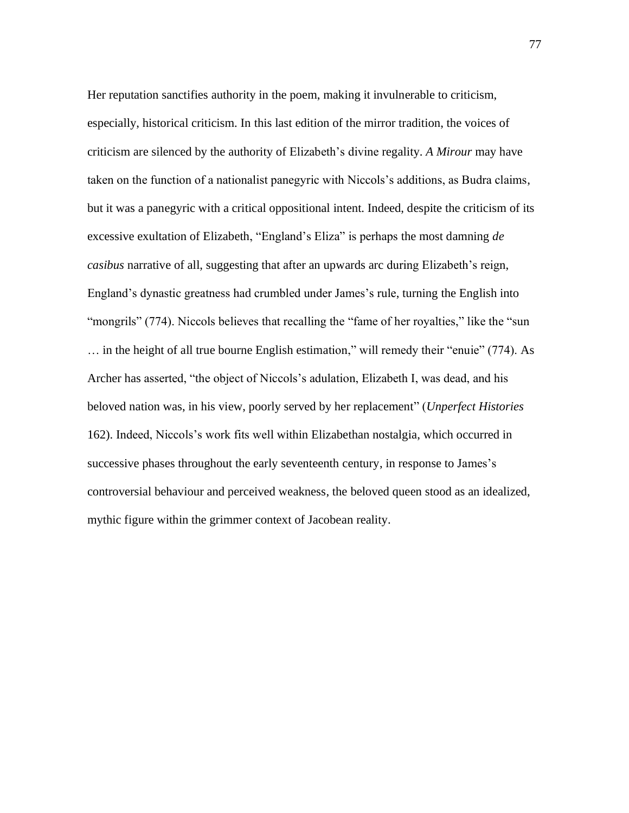Her reputation sanctifies authority in the poem, making it invulnerable to criticism, especially, historical criticism. In this last edition of the mirror tradition, the voices of criticism are silenced by the authority of Elizabeth's divine regality. *A Mirour* may have taken on the function of a nationalist panegyric with Niccols's additions, as Budra claims, but it was a panegyric with a critical oppositional intent. Indeed, despite the criticism of its excessive exultation of Elizabeth, "England's Eliza" is perhaps the most damning *de casibus* narrative of all, suggesting that after an upwards arc during Elizabeth's reign, England's dynastic greatness had crumbled under James's rule, turning the English into "mongrils" (774). Niccols believes that recalling the "fame of her royalties," like the "sun … in the height of all true bourne English estimation," will remedy their "enuie" (774). As Archer has asserted, "the object of Niccols's adulation, Elizabeth I, was dead, and his beloved nation was, in his view, poorly served by her replacement" (*Unperfect Histories* 162). Indeed, Niccols's work fits well within Elizabethan nostalgia, which occurred in successive phases throughout the early seventeenth century, in response to James's controversial behaviour and perceived weakness, the beloved queen stood as an idealized, mythic figure within the grimmer context of Jacobean reality.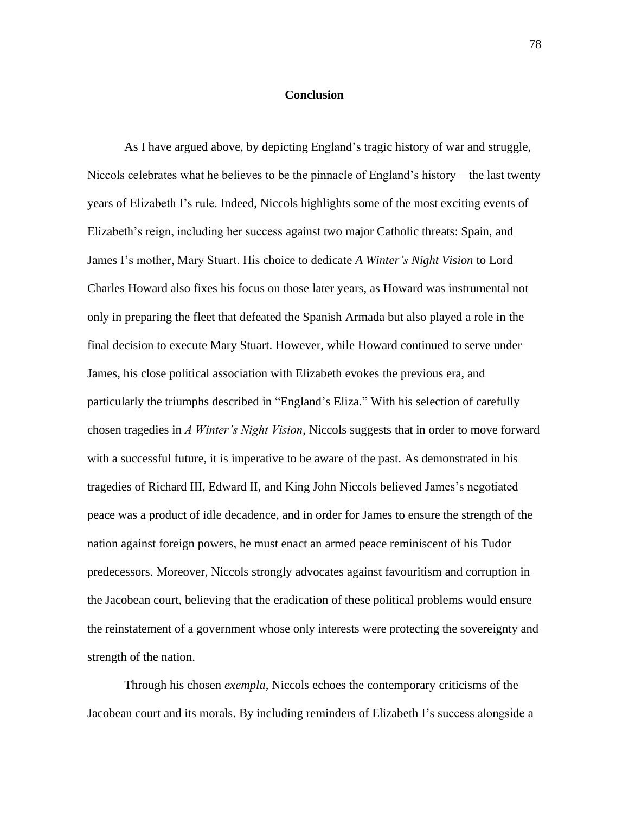## **Conclusion**

As I have argued above, by depicting England's tragic history of war and struggle, Niccols celebrates what he believes to be the pinnacle of England's history—the last twenty years of Elizabeth I's rule. Indeed, Niccols highlights some of the most exciting events of Elizabeth's reign, including her success against two major Catholic threats: Spain, and James I's mother, Mary Stuart. His choice to dedicate *A Winter's Night Vision* to Lord Charles Howard also fixes his focus on those later years, as Howard was instrumental not only in preparing the fleet that defeated the Spanish Armada but also played a role in the final decision to execute Mary Stuart. However, while Howard continued to serve under James, his close political association with Elizabeth evokes the previous era, and particularly the triumphs described in "England's Eliza." With his selection of carefully chosen tragedies in *A Winter's Night Vision*, Niccols suggests that in order to move forward with a successful future, it is imperative to be aware of the past. As demonstrated in his tragedies of Richard III, Edward II, and King John Niccols believed James's negotiated peace was a product of idle decadence, and in order for James to ensure the strength of the nation against foreign powers, he must enact an armed peace reminiscent of his Tudor predecessors. Moreover, Niccols strongly advocates against favouritism and corruption in the Jacobean court, believing that the eradication of these political problems would ensure the reinstatement of a government whose only interests were protecting the sovereignty and strength of the nation.

Through his chosen *exempla*, Niccols echoes the contemporary criticisms of the Jacobean court and its morals. By including reminders of Elizabeth I's success alongside a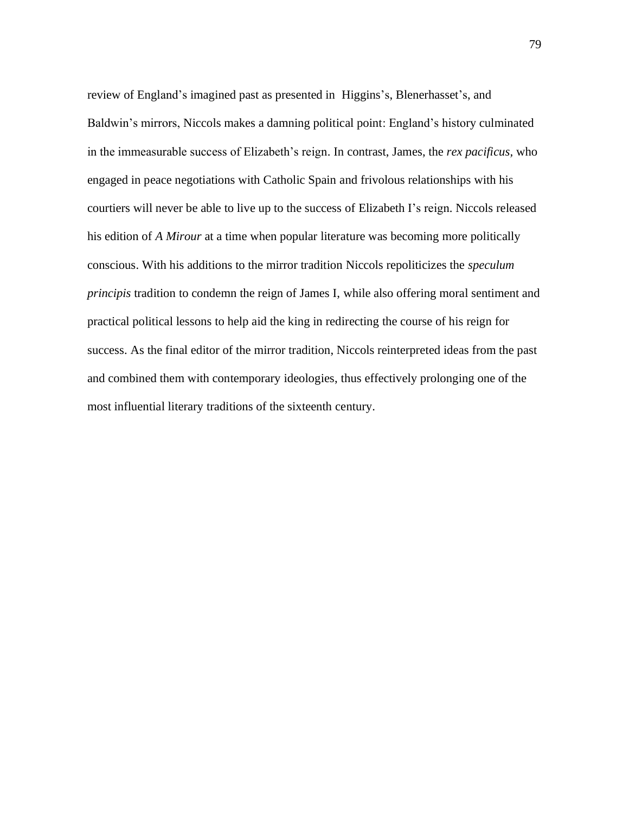review of England's imagined past as presented in Higgins's, Blenerhasset's, and Baldwin's mirrors, Niccols makes a damning political point: England's history culminated in the immeasurable success of Elizabeth's reign. In contrast, James, the *rex pacificus,* who engaged in peace negotiations with Catholic Spain and frivolous relationships with his courtiers will never be able to live up to the success of Elizabeth I's reign. Niccols released his edition of *A Mirour* at a time when popular literature was becoming more politically conscious. With his additions to the mirror tradition Niccols repoliticizes the *speculum principis* tradition to condemn the reign of James I, while also offering moral sentiment and practical political lessons to help aid the king in redirecting the course of his reign for success. As the final editor of the mirror tradition, Niccols reinterpreted ideas from the past and combined them with contemporary ideologies, thus effectively prolonging one of the most influential literary traditions of the sixteenth century.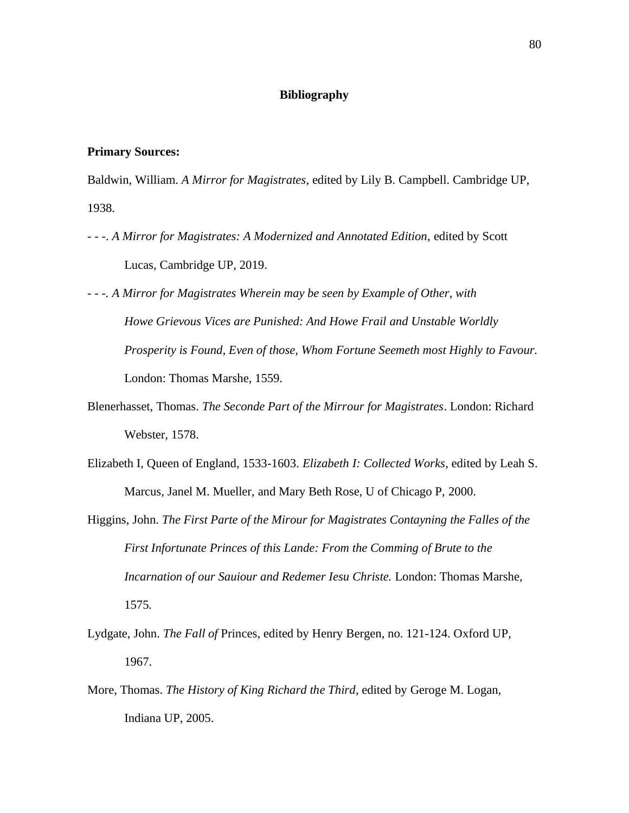## **Bibliography**

## **Primary Sources:**

Baldwin, William. *A Mirror for Magistrates*, edited by Lily B. Campbell. Cambridge UP, 1938.

- - -. *A Mirror for Magistrates: A Modernized and Annotated Edition*, edited by Scott Lucas, Cambridge UP, 2019.
- *- - -. A Mirror for Magistrates Wherein may be seen by Example of Other, with Howe Grievous Vices are Punished: And Howe Frail and Unstable Worldly Prosperity is Found, Even of those, Whom Fortune Seemeth most Highly to Favour.*  London: Thomas Marshe, 1559*.*
- Blenerhasset, Thomas. *The Seconde Part of the Mirrour for Magistrates*. London: Richard Webster, 1578.
- Elizabeth I, Queen of England, 1533-1603. *Elizabeth I: Collected Works*, edited by Leah S. Marcus, Janel M. Mueller, and Mary Beth Rose, U of Chicago P, 2000.
- Higgins, John. *The First Parte of the Mirour for Magistrates Contayning the Falles of the First Infortunate Princes of this Lande: From the Comming of Brute to the Incarnation of our Sauiour and Redemer Iesu Christe.* London: Thomas Marshe, 1575*.*
- Lydgate, John. *The Fall of* Princes, edited by Henry Bergen, no. 121-124. Oxford UP, 1967.
- More, Thomas. *The History of King Richard the Third*, edited by Geroge M. Logan, Indiana UP, 2005.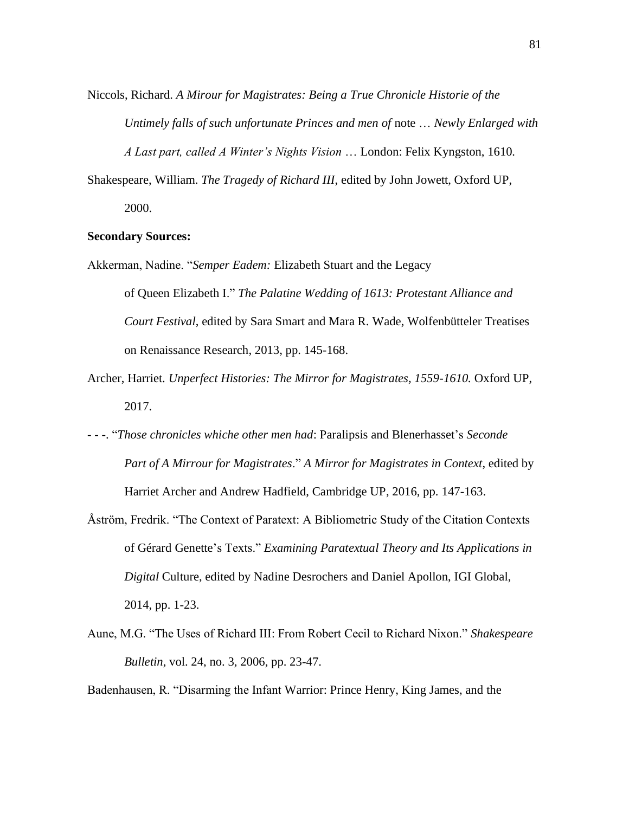Niccols, Richard. *A Mirour for Magistrates: Being a True Chronicle Historie of the Untimely falls of such unfortunate Princes and men of note ... Newly Enlarged with A Last part, called A Winter's Nights Vision* … London: Felix Kyngston, 1610*.* 

Shakespeare, William. *The Tragedy of Richard III*, edited by John Jowett, Oxford UP, 2000.

## **Secondary Sources:**

- Akkerman, Nadine. "*Semper Eadem:* Elizabeth Stuart and the Legacy of Queen Elizabeth I." *The Palatine Wedding of 1613: Protestant Alliance and Court Festival*, edited by Sara Smart and Mara R. Wade, Wolfenbütteler Treatises on Renaissance Research, 2013, pp. 145-168.
- Archer, Harriet. *Unperfect Histories: The Mirror for Magistrates, 1559-1610.* Oxford UP, 2017.
- - -. "*Those chronicles whiche other men had*: Paralipsis and Blenerhasset's *Seconde Part of A Mirrour for Magistrates*." *A Mirror for Magistrates in Context*, edited by Harriet Archer and Andrew Hadfield, Cambridge UP, 2016, pp. 147-163.
- Åström, Fredrik. "The Context of Paratext: A Bibliometric Study of the Citation Contexts of Gérard Genette's Texts." *Examining Paratextual Theory and Its Applications in Digital* Culture, edited by Nadine Desrochers and Daniel Apollon, IGI Global, 2014, pp. 1-23.
- Aune, M.G. "The Uses of Richard III: From Robert Cecil to Richard Nixon." *Shakespeare Bulletin*, vol. 24, no. 3, 2006, pp. 23-47.

Badenhausen, R. "Disarming the Infant Warrior: Prince Henry, King James, and the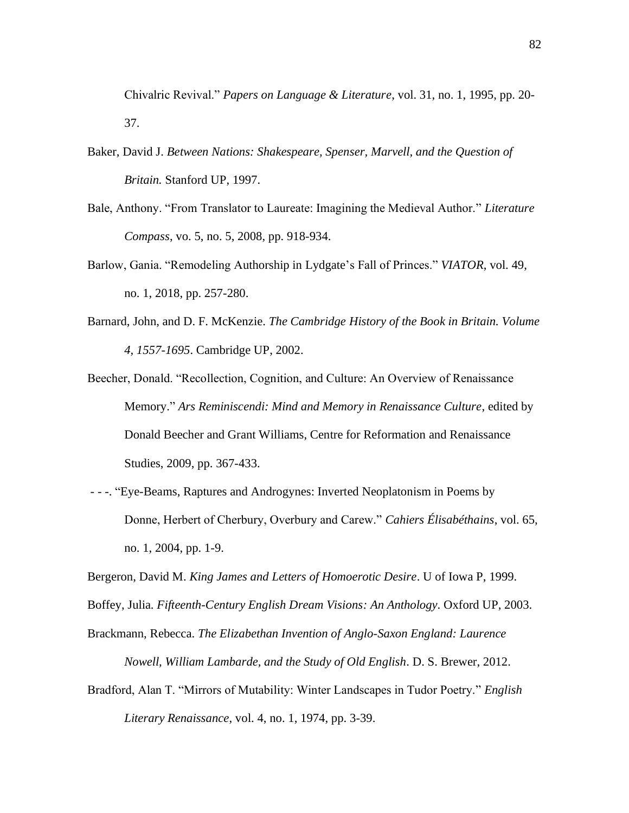Chivalric Revival." *Papers on Language & Literature*, vol. 31, no. 1, 1995, pp. 20- 37.

- Baker, David J. *Between Nations: Shakespeare, Spenser, Marvell, and the Question of Britain.* Stanford UP, 1997.
- Bale, Anthony. "From Translator to Laureate: Imagining the Medieval Author." *Literature Compass*, vo. 5, no. 5, 2008, pp. 918-934.
- Barlow, Gania. "Remodeling Authorship in Lydgate's Fall of Princes." *VIATOR*, vol. 49, no. 1, 2018, pp. 257-280.
- Barnard, John, and D. F. McKenzie. *The Cambridge History of the Book in Britain. Volume 4, 1557-1695*. Cambridge UP, 2002.
- Beecher, Donald. "Recollection, Cognition, and Culture: An Overview of Renaissance Memory." *Ars Reminiscendi: Mind and Memory in Renaissance Culture*, edited by Donald Beecher and Grant Williams, Centre for Reformation and Renaissance Studies, 2009, pp. 367-433.
- - -. "Eye-Beams, Raptures and Androgynes: Inverted Neoplatonism in Poems by Donne, Herbert of Cherbury, Overbury and Carew." *Cahiers Élisabéthains*, vol. 65, no. 1, 2004, pp. 1-9.
- Bergeron, David M. *King James and Letters of Homoerotic Desire*. U of Iowa P, 1999.
- Boffey, Julia. *Fifteenth-Century English Dream Visions: An Anthology*. Oxford UP, 2003.
- Brackmann, Rebecca. *The Elizabethan Invention of Anglo-Saxon England: Laurence Nowell, William Lambarde, and the Study of Old English*. D. S. Brewer, 2012.
- Bradford, Alan T. "Mirrors of Mutability: Winter Landscapes in Tudor Poetry." *English Literary Renaissance*, vol. 4, no. 1, 1974, pp. 3-39.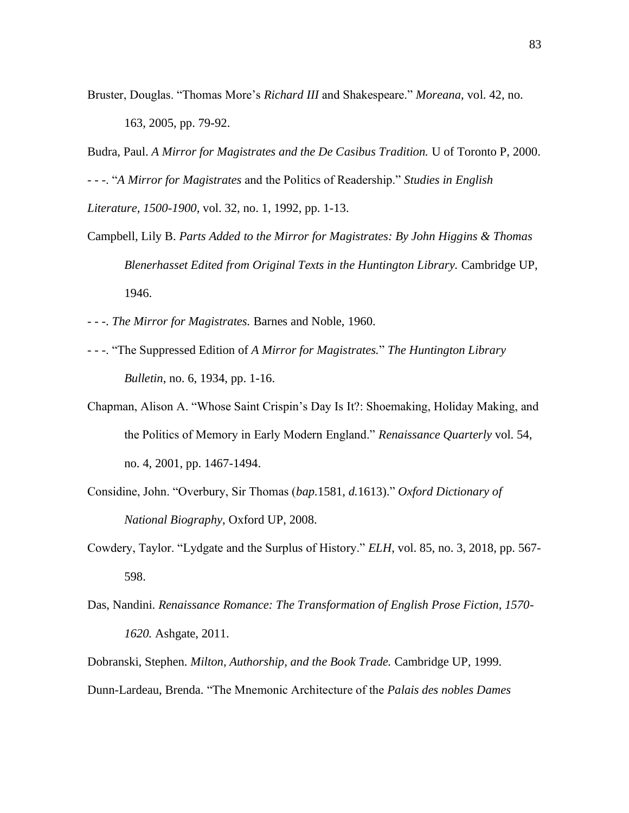Bruster, Douglas. "Thomas More's *Richard III* and Shakespeare." *Moreana*, vol. 42, no. 163, 2005, pp. 79-92.

Budra, Paul. *A Mirror for Magistrates and the De Casibus Tradition.* U of Toronto P, 2000.

- - -. "*A Mirror for Magistrates* and the Politics of Readership." *Studies in English Literature, 1500-1900*, vol. 32, no. 1, 1992, pp. 1-13.

- Campbell, Lily B. *Parts Added to the Mirror for Magistrates: By John Higgins & Thomas Blenerhasset Edited from Original Texts in the Huntington Library.* Cambridge UP, 1946.
- - -. *The Mirror for Magistrates.* Barnes and Noble, 1960.
- - -. "The Suppressed Edition of *A Mirror for Magistrates.*" *The Huntington Library Bulletin*, no. 6, 1934, pp. 1-16.
- Chapman, Alison A. "Whose Saint Crispin's Day Is It?: Shoemaking, Holiday Making, and the Politics of Memory in Early Modern England." *Renaissance Quarterly* vol. 54, no. 4, 2001, pp. 1467-1494.
- Considine, John. "Overbury, Sir Thomas (*bap.*1581, *d.*1613)." *Oxford Dictionary of National Biography*, Oxford UP, 2008.
- Cowdery, Taylor. "Lydgate and the Surplus of History." *ELH*, vol. 85, no. 3, 2018, pp. 567- 598.
- Das, Nandini. *Renaissance Romance: The Transformation of English Prose Fiction, 1570- 1620.* Ashgate, 2011.
- Dobranski, Stephen. *Milton, Authorship, and the Book Trade.* Cambridge UP, 1999.
- Dunn-Lardeau, Brenda. "The Mnemonic Architecture of the *Palais des nobles Dames*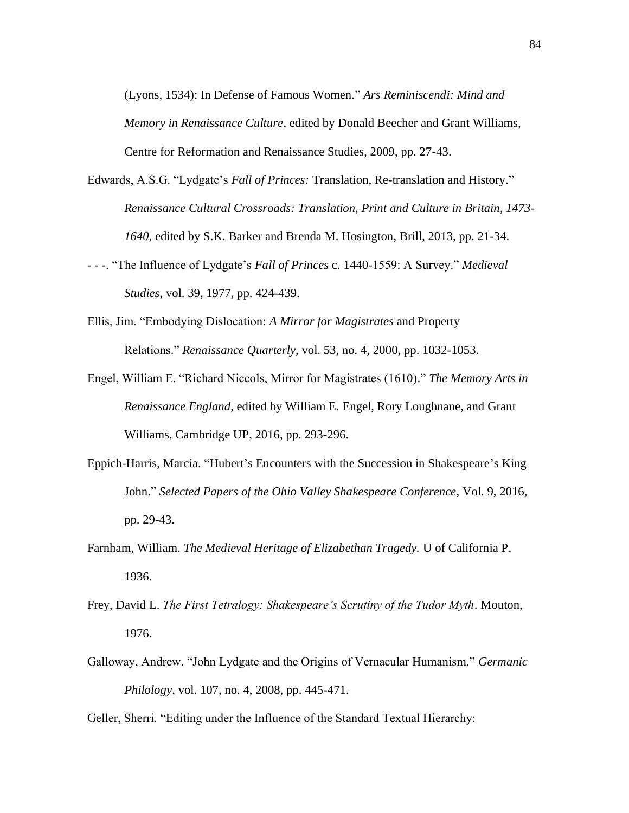(Lyons, 1534): In Defense of Famous Women." *Ars Reminiscendi: Mind and Memory in Renaissance Culture*, edited by Donald Beecher and Grant Williams, Centre for Reformation and Renaissance Studies, 2009, pp. 27-43.

- Edwards, A.S.G. "Lydgate's *Fall of Princes:* Translation, Re-translation and History." *Renaissance Cultural Crossroads: Translation, Print and Culture in Britain, 1473- 1640*, edited by S.K. Barker and Brenda M. Hosington, Brill, 2013, pp. 21-34.
- - -. "The Influence of Lydgate's *Fall of Princes* c. 1440-1559: A Survey." *Medieval Studies*, vol. 39, 1977, pp. 424-439.
- Ellis, Jim. "Embodying Dislocation: *A Mirror for Magistrates* and Property Relations." *Renaissance Quarterly*, vol. 53, no. 4, 2000, pp. 1032-1053.
- Engel, William E. "Richard Niccols, Mirror for Magistrates (1610)." *The Memory Arts in Renaissance England*, edited by William E. Engel, Rory Loughnane, and Grant Williams, Cambridge UP, 2016, pp. 293-296.
- Eppich-Harris, Marcia. "Hubert's Encounters with the Succession in Shakespeare's King John." *Selected Papers of the Ohio Valley Shakespeare Conference*, Vol. 9, 2016, pp. 29-43.
- Farnham, William. *The Medieval Heritage of Elizabethan Tragedy.* U of California P, 1936.
- Frey, David L. *The First Tetralogy: Shakespeare's Scrutiny of the Tudor Myth*. Mouton, 1976.
- Galloway, Andrew. "John Lydgate and the Origins of Vernacular Humanism." *Germanic Philology*, vol. 107, no. 4, 2008, pp. 445-471.

Geller, Sherri. "Editing under the Influence of the Standard Textual Hierarchy: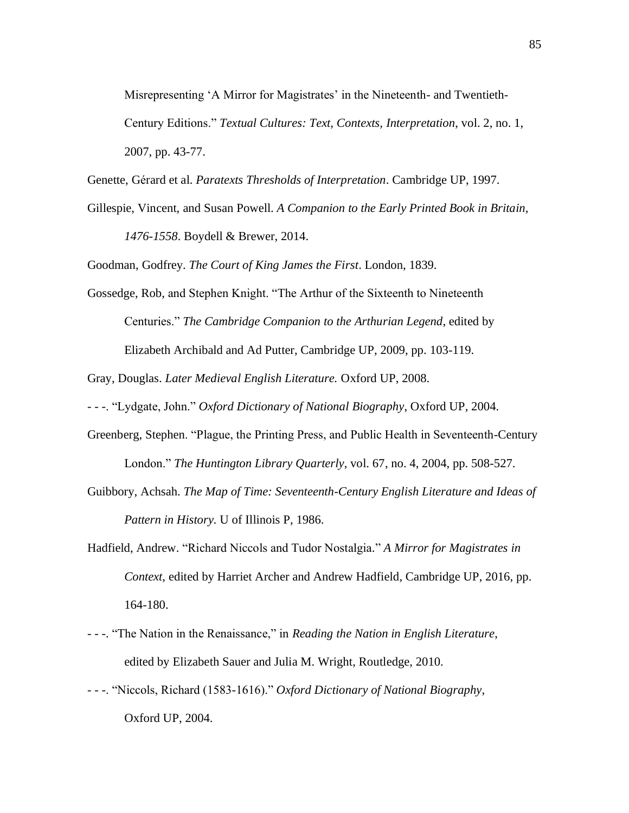Misrepresenting 'A Mirror for Magistrates' in the Nineteenth- and Twentieth-Century Editions." *Textual Cultures: Text, Contexts, Interpretation*, vol. 2, no. 1, 2007, pp. 43-77.

Genette, Gérard et al. *Paratexts Thresholds of Interpretation*. Cambridge UP, 1997.

Gillespie, Vincent, and Susan Powell. *A Companion to the Early Printed Book in Britain, 1476-1558*. Boydell & Brewer, 2014.

Goodman, Godfrey. *The Court of King James the First*. London, 1839.

Gossedge, Rob, and Stephen Knight. "The Arthur of the Sixteenth to Nineteenth Centuries." *The Cambridge Companion to the Arthurian Legend*, edited by Elizabeth Archibald and Ad Putter, Cambridge UP, 2009, pp. 103-119.

Gray, Douglas. *Later Medieval English Literature.* Oxford UP, 2008.

- - -. "Lydgate, John." *Oxford Dictionary of National Biography*, Oxford UP, 2004.

- Greenberg, Stephen. "Plague, the Printing Press, and Public Health in Seventeenth-Century London." *The Huntington Library Quarterly*, vol. 67, no. 4, 2004, pp. 508-527.
- Guibbory, Achsah. *The Map of Time: Seventeenth-Century English Literature and Ideas of Pattern in History.* U of Illinois P, 1986.
- Hadfield, Andrew. "Richard Niccols and Tudor Nostalgia." *A Mirror for Magistrates in Context*, edited by Harriet Archer and Andrew Hadfield, Cambridge UP, 2016, pp. 164-180.
- - -. "The Nation in the Renaissance," in *Reading the Nation in English Literature*, edited by Elizabeth Sauer and Julia M. Wright, Routledge, 2010.
- - -. "Niccols, Richard (1583-1616)." *Oxford Dictionary of National Biography*, Oxford UP, 2004.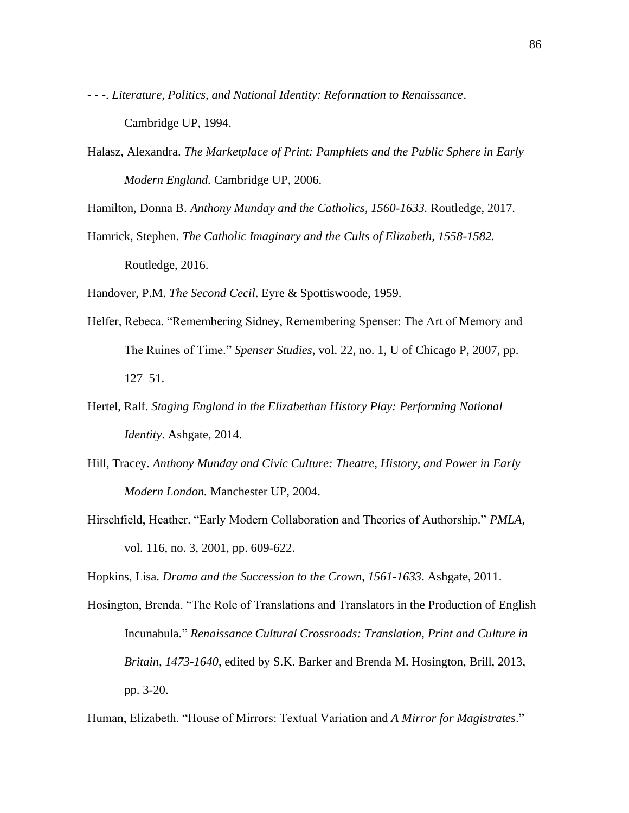- - -. *Literature, Politics, and National Identity: Reformation to Renaissance*. Cambridge UP, 1994.
- Halasz, Alexandra. *The Marketplace of Print: Pamphlets and the Public Sphere in Early Modern England.* Cambridge UP, 2006.

Hamilton, Donna B. *Anthony Munday and the Catholics, 1560-1633.* Routledge, 2017.

Hamrick, Stephen. *The Catholic Imaginary and the Cults of Elizabeth, 1558-1582.* Routledge, 2016.

Handover, P.M. *The Second Cecil*. Eyre & Spottiswoode, 1959.

- Helfer, Rebeca. "Remembering Sidney, Remembering Spenser: The Art of Memory and The Ruines of Time." *Spenser Studies*, vol. 22, no. 1, U of Chicago P, 2007, pp. 127–51.
- Hertel, Ralf. *Staging England in the Elizabethan History Play: Performing National Identity*. Ashgate, 2014.
- Hill, Tracey. *Anthony Munday and Civic Culture: Theatre, History, and Power in Early Modern London.* Manchester UP, 2004.
- Hirschfield, Heather. "Early Modern Collaboration and Theories of Authorship." *PMLA*, vol. 116, no. 3, 2001, pp. 609-622.

Hopkins, Lisa. *Drama and the Succession to the Crown, 1561-1633*. Ashgate, 2011.

Hosington, Brenda. "The Role of Translations and Translators in the Production of English Incunabula." *Renaissance Cultural Crossroads: Translation, Print and Culture in Britain, 1473-1640*, edited by S.K. Barker and Brenda M. Hosington, Brill, 2013, pp. 3-20.

Human, Elizabeth. "House of Mirrors: Textual Variation and *A Mirror for Magistrates*."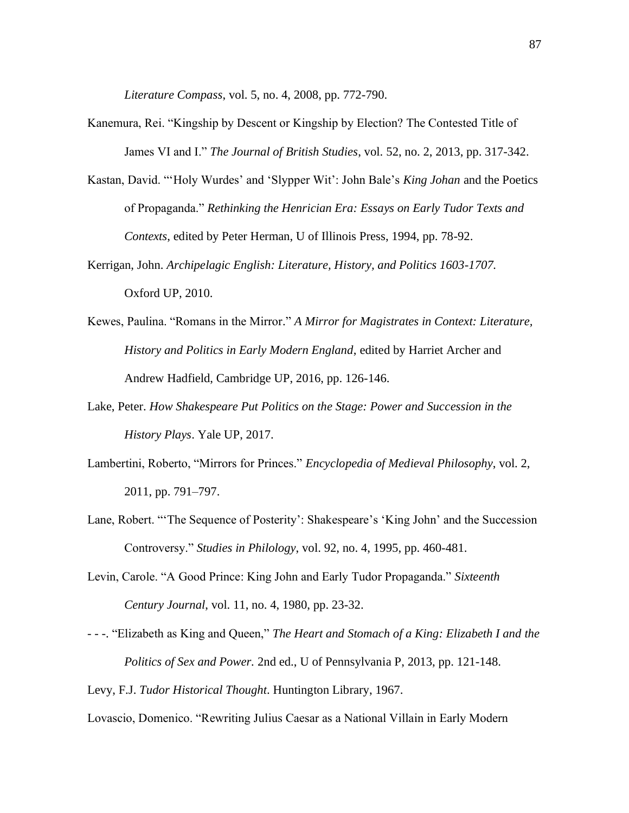*Literature Compass*, vol. 5, no. 4, 2008, pp. 772-790.

- Kanemura, Rei. "Kingship by Descent or Kingship by Election? The Contested Title of James VI and I." *The Journal of British Studies*, vol. 52, no. 2, 2013, pp. 317-342.
- Kastan, David. "'Holy Wurdes' and 'Slypper Wit': John Bale's *King Johan* and the Poetics of Propaganda." *Rethinking the Henrician Era: Essays on Early Tudor Texts and Contexts*, edited by Peter Herman, U of Illinois Press, 1994, pp. 78-92.
- Kerrigan, John. *Archipelagic English: Literature, History, and Politics 1603-1707.* Oxford UP, 2010.
- Kewes, Paulina. "Romans in the Mirror." *A Mirror for Magistrates in Context: Literature, History and Politics in Early Modern England*, edited by Harriet Archer and Andrew Hadfield, Cambridge UP, 2016, pp. 126-146.
- Lake, Peter. *How Shakespeare Put Politics on the Stage: Power and Succession in the History Plays*. Yale UP, 2017.
- Lambertini, Roberto, "Mirrors for Princes." *Encyclopedia of Medieval Philosophy*, vol. 2, 2011, pp. 791–797.
- Lane, Robert. "'The Sequence of Posterity': Shakespeare's 'King John' and the Succession Controversy." *Studies in Philology*, vol. 92, no. 4, 1995, pp. 460-481.
- Levin, Carole. "A Good Prince: King John and Early Tudor Propaganda." *Sixteenth Century Journal*, vol. 11, no. 4, 1980, pp. 23-32.
- - -. "Elizabeth as King and Queen," *The Heart and Stomach of a King: Elizabeth I and the Politics of Sex and Power.* 2nd ed., U of Pennsylvania P, 2013, pp. 121-148.

Levy, F.J. *Tudor Historical Thought*. Huntington Library, 1967.

Lovascio, Domenico. "Rewriting Julius Caesar as a National Villain in Early Modern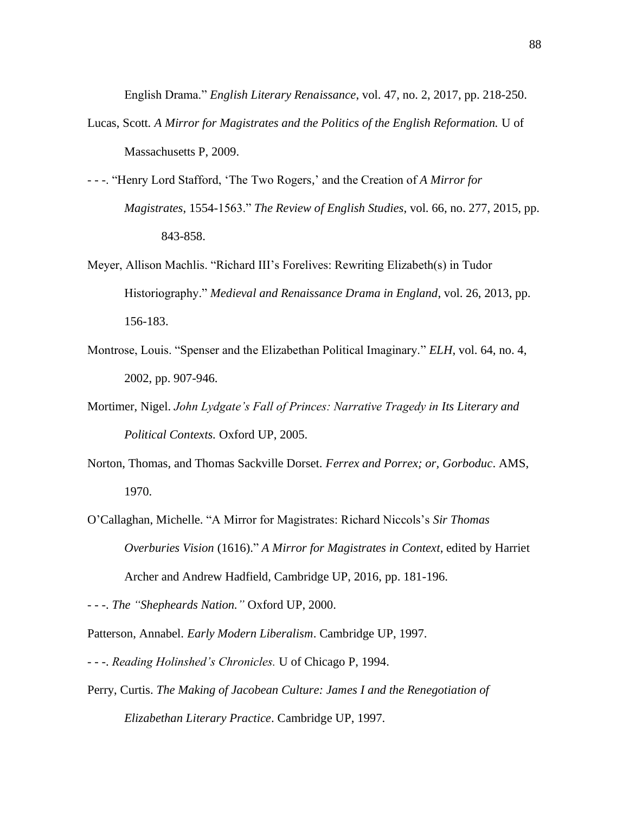English Drama." *English Literary Renaissance*, vol. 47, no. 2, 2017, pp. 218-250.

- Lucas, Scott. *A Mirror for Magistrates and the Politics of the English Reformation.* U of Massachusetts P, 2009.
- - -. "Henry Lord Stafford, 'The Two Rogers,' and the Creation of *A Mirror for Magistrates*, 1554-1563." *The Review of English Studies*, vol. 66, no. 277, 2015, pp. 843-858.
- Meyer, Allison Machlis. "Richard III's Forelives: Rewriting Elizabeth(s) in Tudor Historiography." *Medieval and Renaissance Drama in England*, vol. 26, 2013, pp. 156-183.
- Montrose, Louis. "Spenser and the Elizabethan Political Imaginary." *ELH*, vol. 64, no. 4, 2002, pp. 907-946.
- Mortimer, Nigel. *John Lydgate's Fall of Princes: Narrative Tragedy in Its Literary and Political Contexts.* Oxford UP, 2005.
- Norton, Thomas, and Thomas Sackville Dorset. *Ferrex and Porrex; or, Gorboduc*. AMS, 1970.
- O'Callaghan, Michelle. "A Mirror for Magistrates: Richard Niccols's *Sir Thomas Overburies Vision* (1616)." *A Mirror for Magistrates in Context*, edited by Harriet Archer and Andrew Hadfield, Cambridge UP, 2016, pp. 181-196.

- - -. *The "Shepheards Nation."* Oxford UP, 2000.

Patterson, Annabel. *Early Modern Liberalism*. Cambridge UP, 1997.

- - -. *Reading Holinshed's Chronicles.* U of Chicago P, 1994.
- Perry, Curtis. *The Making of Jacobean Culture: James I and the Renegotiation of Elizabethan Literary Practice*. Cambridge UP, 1997.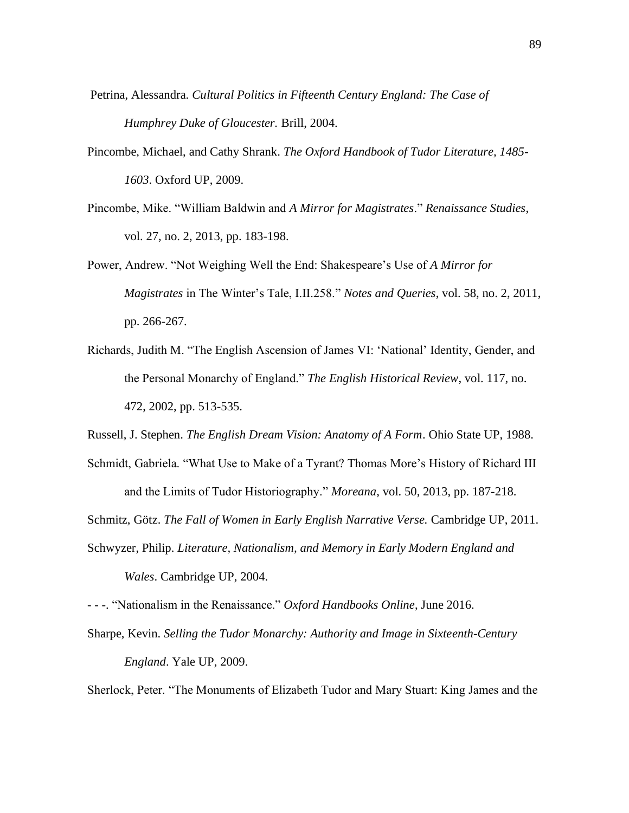- Petrina, Alessandra. *Cultural Politics in Fifteenth Century England: The Case of Humphrey Duke of Gloucester.* Brill, 2004.
- Pincombe, Michael, and Cathy Shrank. *The Oxford Handbook of Tudor Literature, 1485- 1603*. Oxford UP, 2009.
- Pincombe, Mike. "William Baldwin and *A Mirror for Magistrates*." *Renaissance Studies*, vol. 27, no. 2, 2013, pp. 183-198.
- Power, Andrew. "Not Weighing Well the End: Shakespeare's Use of *A Mirror for Magistrates* in The Winter's Tale, I.II.258." *Notes and Queries*, vol. 58, no. 2, 2011, pp. 266-267.
- Richards, Judith M. "The English Ascension of James VI: 'National' Identity, Gender, and the Personal Monarchy of England." *The English Historical Review*, vol. 117, no. 472, 2002, pp. 513-535.
- Russell, J. Stephen. *The English Dream Vision: Anatomy of A Form*. Ohio State UP, 1988.
- Schmidt, Gabriela. "What Use to Make of a Tyrant? Thomas More's History of Richard III and the Limits of Tudor Historiography." *Moreana*, vol. 50, 2013, pp. 187-218.
- Schmitz, Götz. *The Fall of Women in Early English Narrative Verse.* Cambridge UP, 2011.
- Schwyzer, Philip. *Literature, Nationalism, and Memory in Early Modern England and Wales*. Cambridge UP, 2004.

- - -. "Nationalism in the Renaissance." *Oxford Handbooks Online*, June 2016.

Sharpe, Kevin. *Selling the Tudor Monarchy: Authority and Image in Sixteenth-Century England*. Yale UP, 2009.

Sherlock, Peter. "The Monuments of Elizabeth Tudor and Mary Stuart: King James and the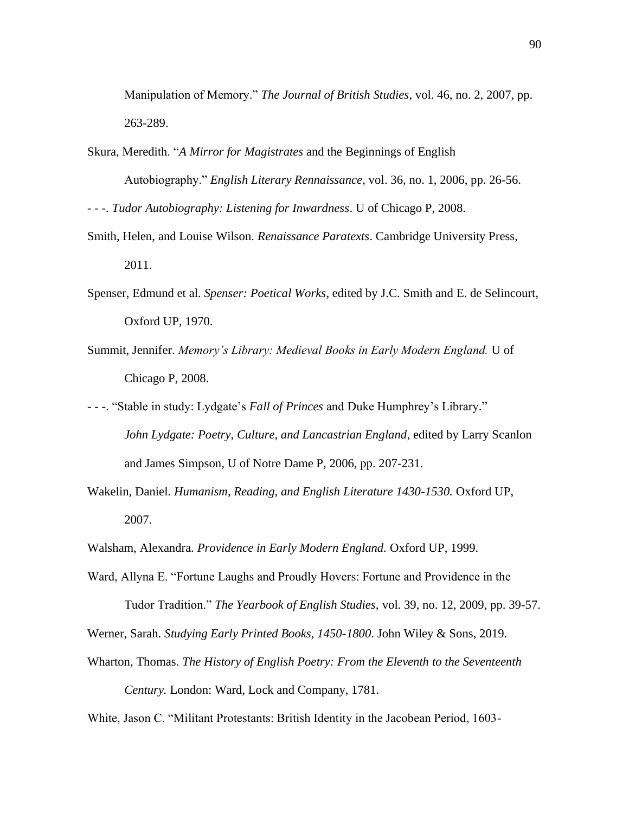Manipulation of Memory." *The Journal of British Studies*, vol. 46, no. 2, 2007, pp. 263-289.

Skura, Meredith. "*A Mirror for Magistrates* and the Beginnings of English Autobiography." *English Literary Rennaissance*, vol. 36, no. 1, 2006, pp. 26-56.

- - -. *Tudor Autobiography: Listening for Inwardness*. U of Chicago P, 2008.

- Smith, Helen, and Louise Wilson. *Renaissance Paratexts*. Cambridge University Press, 2011.
- Spenser, Edmund et al. *Spenser: Poetical Works*, edited by J.C. Smith and E. de Selincourt, Oxford UP, 1970.
- Summit, Jennifer. *Memory's Library: Medieval Books in Early Modern England.* U of Chicago P, 2008.
- - -. "Stable in study: Lydgate's *Fall of Princes* and Duke Humphrey's Library." *John Lydgate: Poetry, Culture, and Lancastrian England*, edited by Larry Scanlon and James Simpson, U of Notre Dame P, 2006, pp. 207-231.
- Wakelin, Daniel. *Humanism, Reading, and English Literature 1430-1530.* Oxford UP, 2007.

- Ward, Allyna E. "Fortune Laughs and Proudly Hovers: Fortune and Providence in the Tudor Tradition." *The Yearbook of English Studies*, vol. 39, no. 12, 2009, pp. 39-57.
- Werner, Sarah. *Studying Early Printed Books, 1450-1800*. John Wiley & Sons, 2019.
- Wharton, Thomas. *The History of English Poetry: From the Eleventh to the Seventeenth Century.* London: Ward, Lock and Company, 1781.

White, Jason C. "Militant Protestants: British Identity in the Jacobean Period, 1603-

Walsham, Alexandra. *Providence in Early Modern England.* Oxford UP, 1999.